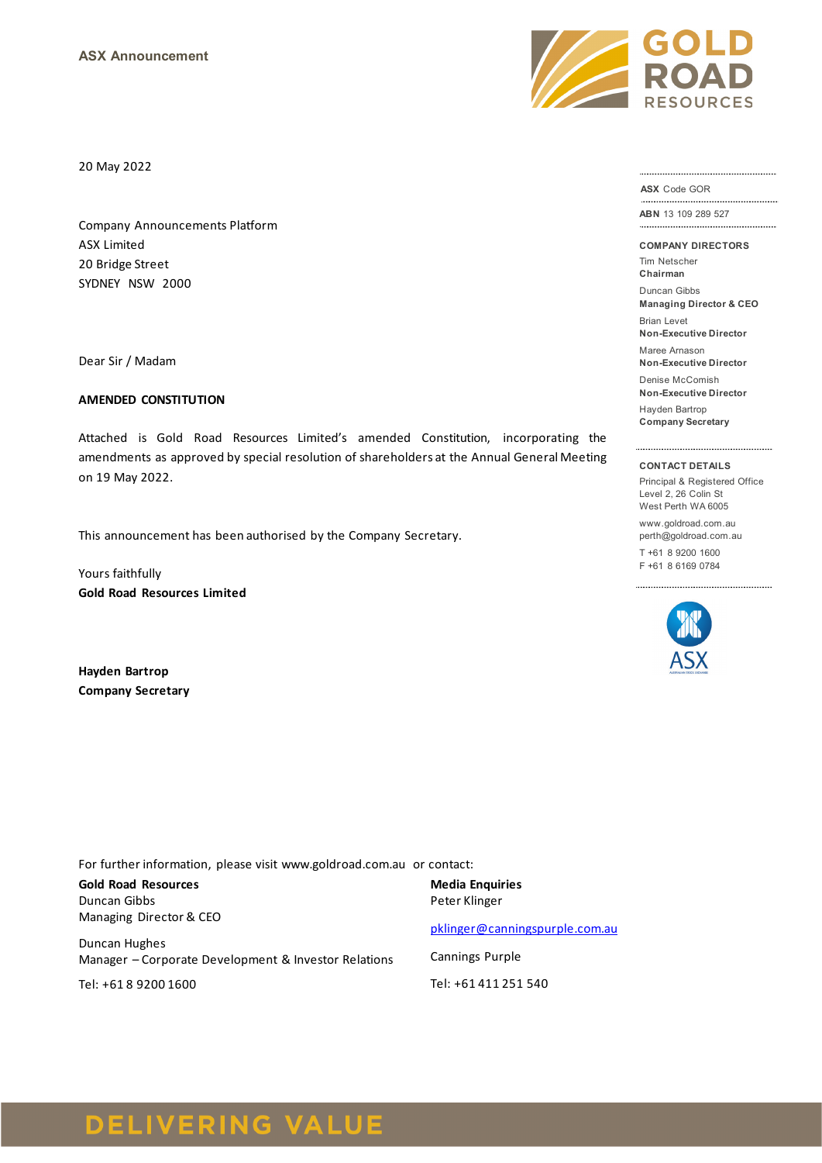20 May 2022

Company Announcements Platform ASX Limited 20 Bridge Street SYDNEY NSW 2000

Dear Sir / Madam

#### **AMENDED CONSTITUTION**

Attached is Gold Road Resources Limited's amended Constitution, incorporating the amendments as approved by special resolution of shareholders at the Annual General Meeting on 19 May 2022.

This announcement has been authorised by the Company Secretary.

Yours faithfully **Gold Road Resources Limited**

**Hayden Bartrop Company Secretary**

For further information, please visit www.goldroad.com.au or contact:

**Gold Road Resources** Duncan Gibbs Managing Director & CEO

Duncan Hughes Manager – Corporate Development & Investor Relations

Tel: +61 8 9200 1600

**Media Enquiries** Peter Klinger

[pklinger@canningspurple.com.au](mailto:pklinger@canningspurple.com.au)

Cannings Purple Tel: +61 411 251 540



**ASX** Code GOR

**ABN** 13 109 289 527 

**COMPANY DIRECTORS**

Tim Netscher

**Chairman** Duncan Gibbs

**Managing Director & CEO**

Brian Levet **Non-Executive Director**

Maree Arnason **Non-Executive Director**

Denise McComish

**Non-Executive Director**

Hayden Bartrop **Company Secretary**

#### **CONTACT DETAILS**

Principal & Registered Office Level 2, 26 Colin St West Perth WA 6005

www.goldroad.com.au perth@goldroad.com.au

T +61 8 9200 1600 F +61 8 6169 0784



**DELIVERING VALUE**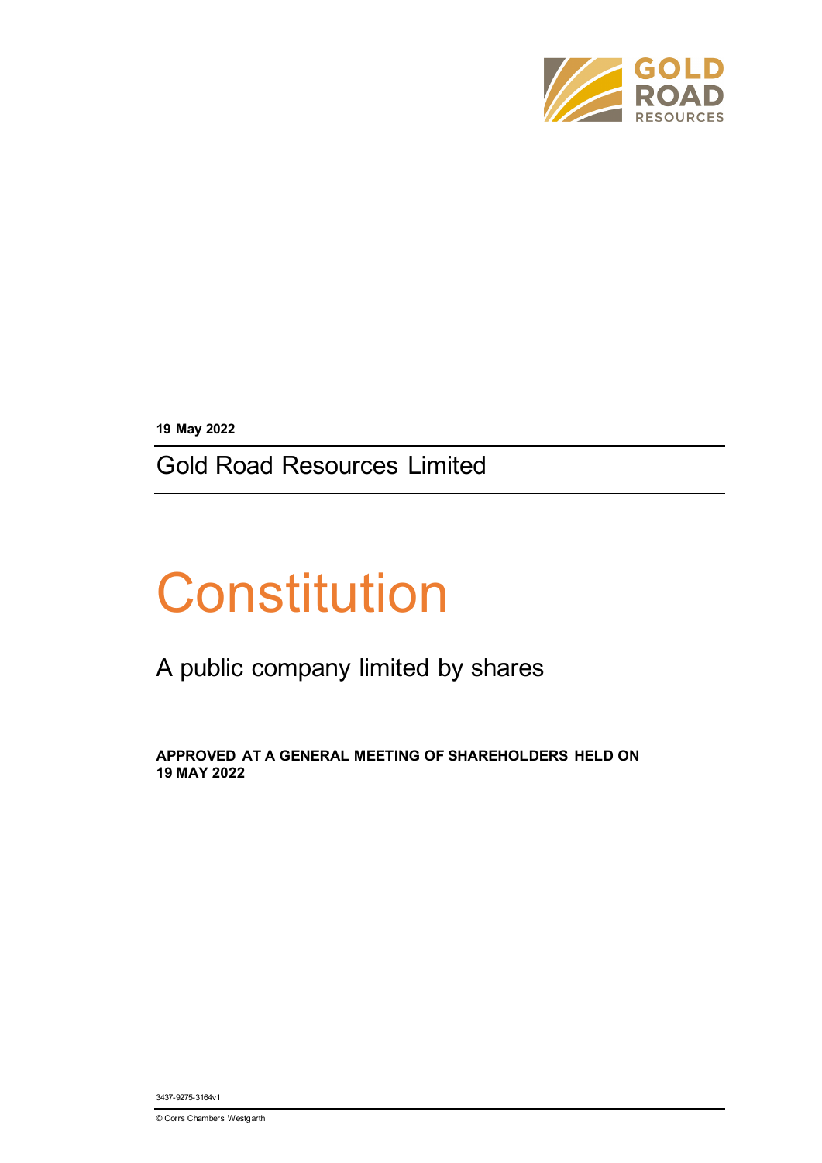

**19 May 2022**

Gold Road Resources Limited

# **Constitution**

## A public company limited by shares

**APPROVED AT A GENERAL MEETING OF SHAREHOLDERS HELD ON 19 MAY 2022**

3437-9275-3164v1

© Corrs Chambers Westgarth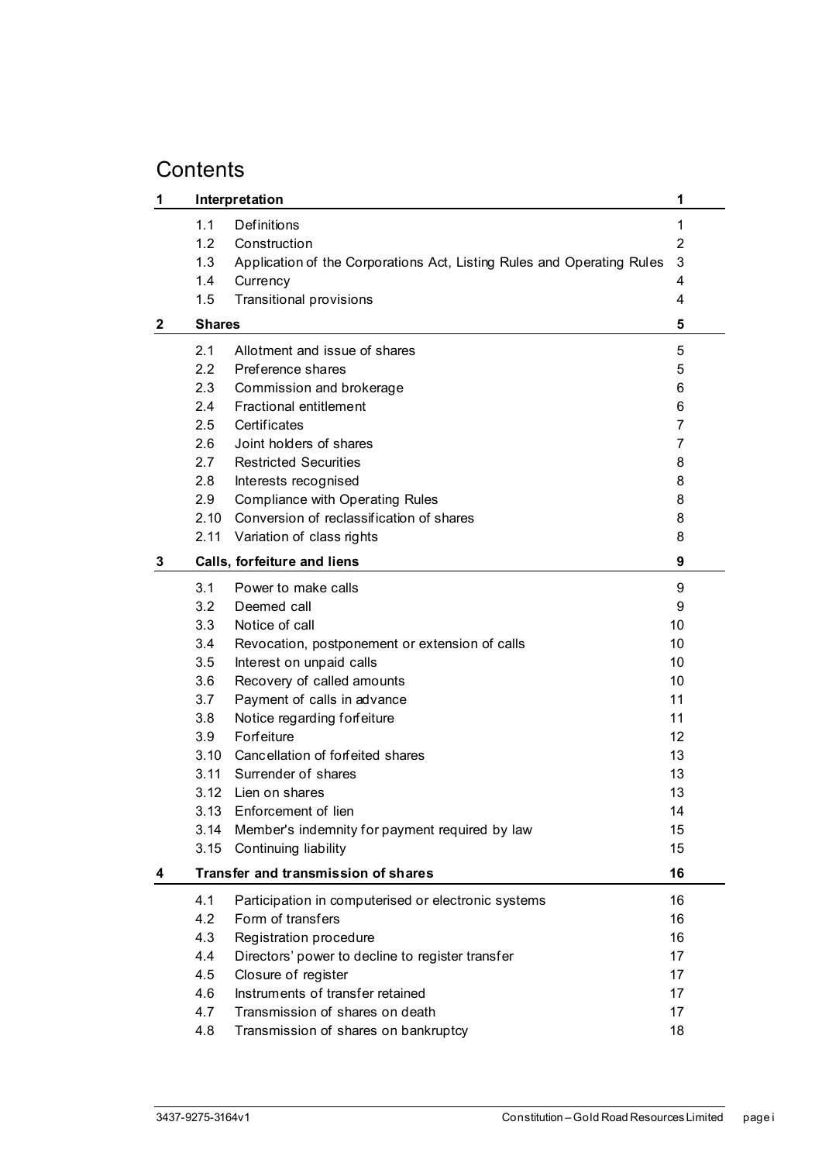## **Contents**

| 1            |               | Interpretation                                                         | 1  |
|--------------|---------------|------------------------------------------------------------------------|----|
|              | 1.1           | Definitions                                                            | 1  |
|              | 1.2           | Construction                                                           | 2  |
|              | 1.3           | Application of the Corporations Act, Listing Rules and Operating Rules | 3  |
|              | 1.4           | Currency                                                               | 4  |
|              | 1.5           | <b>Transitional provisions</b>                                         | 4  |
| $\mathbf{2}$ | <b>Shares</b> |                                                                        | 5  |
|              | 2.1           | Allotment and issue of shares                                          | 5  |
|              | 2.2           | Preference shares                                                      | 5  |
|              | 2.3           | Commission and brokerage                                               | 6  |
|              | 2.4           | <b>Fractional entitlement</b>                                          | 6  |
|              | 2.5           | Certificates                                                           | 7  |
|              | 2.6           | Joint holders of shares                                                | 7  |
|              | 2.7           | <b>Restricted Securities</b>                                           | 8  |
|              | 2.8           | Interests recognised                                                   | 8  |
|              | 2.9           | <b>Compliance with Operating Rules</b>                                 | 8  |
|              | 2.10          | Conversion of reclassification of shares                               | 8  |
|              | 2.11          | Variation of class rights                                              | 8  |
| 3            |               | Calls, forfeiture and liens                                            | 9  |
|              | 3.1           | Power to make calls                                                    | 9  |
|              | 3.2           | Deemed call                                                            | 9  |
|              | 3.3           | Notice of call                                                         | 10 |
|              | 3.4           | Revocation, postponement or extension of calls                         | 10 |
|              | 3.5           | Interest on unpaid calls                                               | 10 |
|              | 3.6           | Recovery of called amounts                                             | 10 |
|              | 3.7           | Payment of calls in advance                                            | 11 |
|              | 3.8           | Notice regarding forfeiture                                            | 11 |
|              | 3.9           | Forfeiture                                                             | 12 |
|              | 3.10          | Cancellation of forfeited shares                                       | 13 |
|              |               | 3.11 Surrender of shares                                               | 13 |
|              |               | 3.12 Lien on shares                                                    | 13 |
|              | 3.13          | Enforcement of lien                                                    | 14 |
|              | 3.14          | Member's indemnity for payment required by law                         | 15 |
|              | 3.15          | Continuing liability                                                   | 15 |
| 4            |               | Transfer and transmission of shares                                    | 16 |
|              | 4.1           | Participation in computerised or electronic systems                    | 16 |
|              | 4.2           | Form of transfers                                                      | 16 |
|              | 4.3           | Registration procedure                                                 | 16 |
|              | 4.4           | Directors' power to decline to register transfer                       | 17 |
|              | 4.5           | Closure of register                                                    | 17 |
|              | 4.6           | Instruments of transfer retained                                       | 17 |
|              | 4.7           | Transmission of shares on death                                        | 17 |
|              | 4.8           | Transmission of shares on bankruptcy                                   | 18 |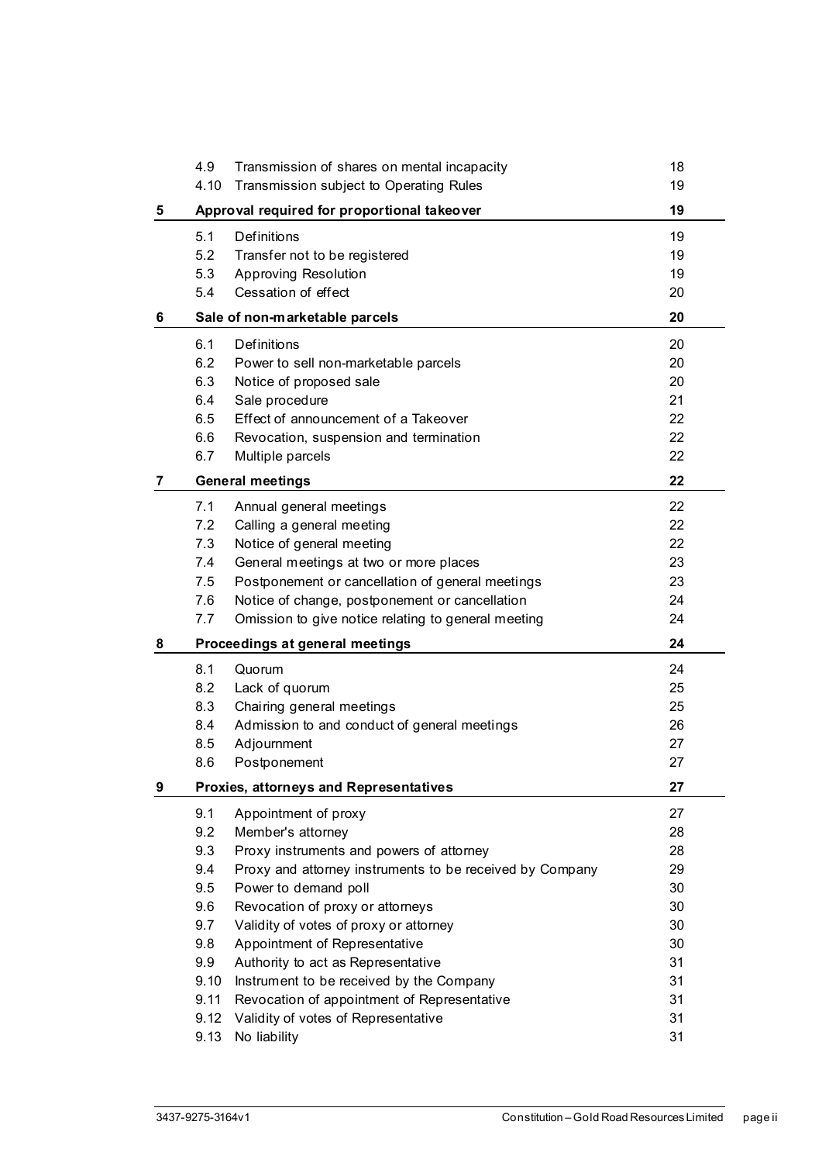|   | 4.9  | Transmission of shares on mental incapacity              | 18 |
|---|------|----------------------------------------------------------|----|
|   | 4.10 | Transmission subject to Operating Rules                  | 19 |
| 5 |      | Approval required for proportional takeover              |    |
|   | 5.1  | <b>Definitions</b>                                       | 19 |
|   | 5.2  | Transfer not to be registered                            | 19 |
|   | 5.3  | Approving Resolution                                     | 19 |
|   | 5.4  | Cessation of effect                                      | 20 |
| 6 |      | Sale of non-marketable parcels                           | 20 |
|   | 6.1  | <b>Definitions</b>                                       | 20 |
|   | 6.2  | Power to sell non-marketable parcels                     | 20 |
|   | 6.3  | Notice of proposed sale                                  | 20 |
|   | 6.4  | Sale procedure                                           | 21 |
|   | 6.5  | Effect of announcement of a Takeover                     | 22 |
|   | 6.6  | Revocation, suspension and termination                   | 22 |
|   | 6.7  | Multiple parcels                                         | 22 |
| 7 |      | <b>General meetings</b>                                  | 22 |
|   | 7.1  | Annual general meetings                                  | 22 |
|   | 7.2  | Calling a general meeting                                | 22 |
|   | 7.3  | Notice of general meeting                                | 22 |
|   | 7.4  | General meetings at two or more places                   | 23 |
|   | 7.5  | Postponement or cancellation of general meetings         | 23 |
|   | 7.6  | Notice of change, postponement or cancellation           | 24 |
|   | 7.7  | Omission to give notice relating to general meeting      | 24 |
| 8 |      | Proceedings at general meetings                          | 24 |
|   | 8.1  | Quorum                                                   | 24 |
|   | 8.2  | Lack of quorum                                           | 25 |
|   | 8.3  | Chairing general meetings                                | 25 |
|   | 8.4  | Admission to and conduct of general meetings             | 26 |
|   | 8.5  | Adjournment                                              | 27 |
|   | 8.6  | Postponement                                             | 27 |
| 9 |      | Proxies, attorneys and Representatives                   | 27 |
|   | 9.1  | Appointment of proxy                                     | 27 |
|   | 9.2  | Member's attorney                                        | 28 |
|   | 9.3  | Proxy instruments and powers of attorney                 | 28 |
|   | 9.4  | Proxy and attorney instruments to be received by Company | 29 |
|   | 9.5  | Power to demand poll                                     | 30 |
|   | 9.6  | Revocation of proxy or attorneys                         | 30 |
|   | 9.7  | Validity of votes of proxy or attorney                   | 30 |
|   | 9.8  | Appointment of Representative                            | 30 |
|   | 9.9  | Authority to act as Representative                       | 31 |
|   | 9.10 | Instrument to be received by the Company                 | 31 |
|   | 9.11 | Revocation of appointment of Representative              | 31 |
|   | 9.12 | Validity of votes of Representative                      | 31 |
|   | 9.13 | No liability                                             | 31 |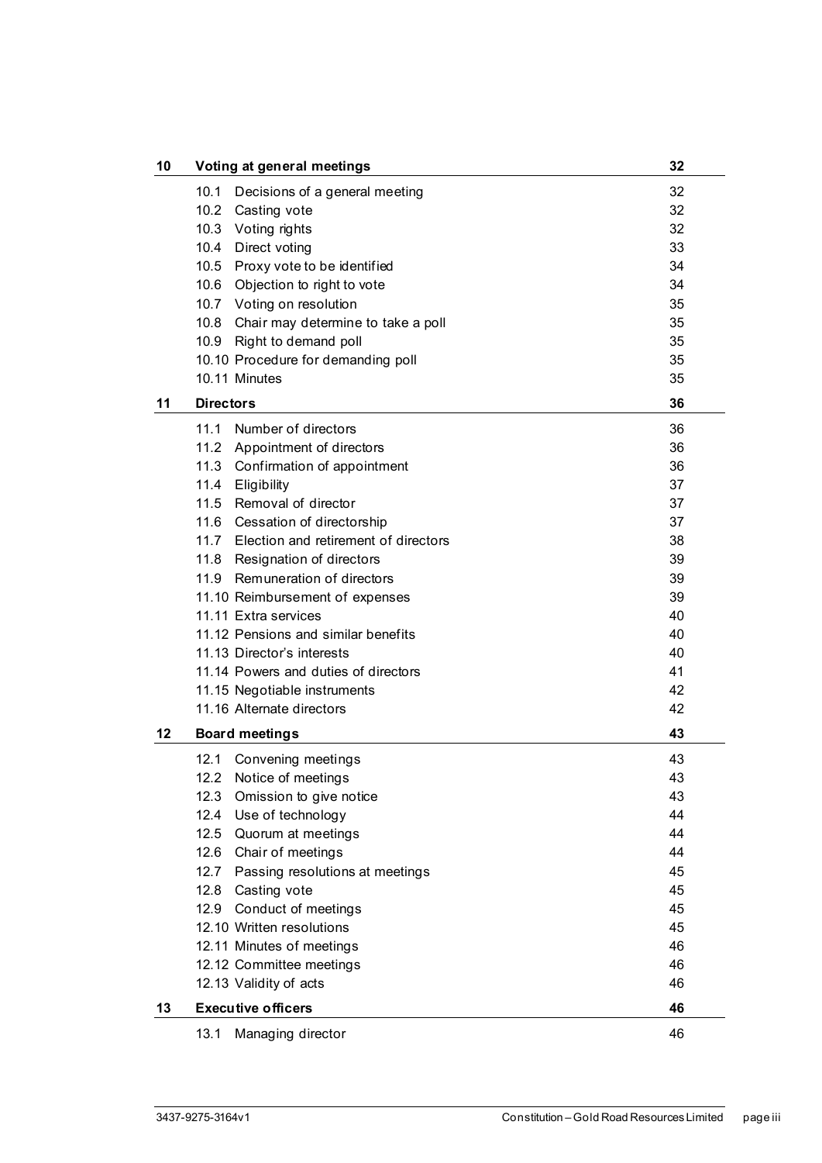| 10 | Voting at general meetings                                     | 32       |
|----|----------------------------------------------------------------|----------|
|    | 10.1<br>Decisions of a general meeting                         | 32       |
|    | 10.2 Casting vote                                              | 32       |
|    | 10.3 Voting rights                                             | 32       |
|    | 10.4 Direct voting                                             | 33       |
|    | 10.5 Proxy vote to be identified                               | 34       |
|    | 10.6 Objection to right to vote                                | 34       |
|    | 10.7 Voting on resolution                                      | 35       |
|    | 10.8 Chair may determine to take a poll                        | 35       |
|    | 10.9 Right to demand poll                                      | 35       |
|    | 10.10 Procedure for demanding poll                             | 35       |
|    | 10.11 Minutes                                                  | 35       |
| 11 | <b>Directors</b>                                               | 36       |
|    | Number of directors<br>11.1                                    | 36       |
|    | 11.2 Appointment of directors                                  | 36       |
|    | 11.3 Confirmation of appointment                               | 36       |
|    | 11.4 Eligibility                                               | 37       |
|    | 11.5 Removal of director                                       | 37       |
|    | 11.6 Cessation of directorship                                 | 37       |
|    | 11.7 Election and retirement of directors                      | 38       |
|    | 11.8 Resignation of directors                                  | 39       |
|    | 11.9 Remuneration of directors                                 | 39       |
|    | 11.10 Reimbursement of expenses                                | 39       |
|    | 11.11 Extra services                                           | 40       |
|    | 11.12 Pensions and similar benefits                            | 40       |
|    | 11.13 Director's interests                                     | 40       |
|    | 11.14 Powers and duties of directors                           | 41       |
|    | 11.15 Negotiable instruments                                   | 42       |
|    | 11.16 Alternate directors                                      | 42       |
| 12 | <b>Board meetings</b>                                          | 43       |
|    |                                                                |          |
|    | 12.1<br>Convening meetings                                     | 43       |
|    | 12.2 Notice of meetings<br>12.3                                | 43<br>43 |
|    | Omission to give notice<br>12.4<br>Use of technology           | 44       |
|    | 12.5                                                           | 44       |
|    | Quorum at meetings                                             | 44       |
|    | 12.6 Chair of meetings<br>12.7 Passing resolutions at meetings | 45       |
|    | 12.8                                                           | 45       |
|    | Casting vote<br>12.9 Conduct of meetings                       | 45       |
|    | 12.10 Written resolutions                                      | 45       |
|    |                                                                | 46       |
|    | 12.11 Minutes of meetings                                      | 46       |
|    | 12.12 Committee meetings                                       | 46       |
|    | 12.13 Validity of acts                                         |          |
| 13 | <b>Executive officers</b>                                      | 46       |
|    | 13.1<br>Managing director                                      | 46       |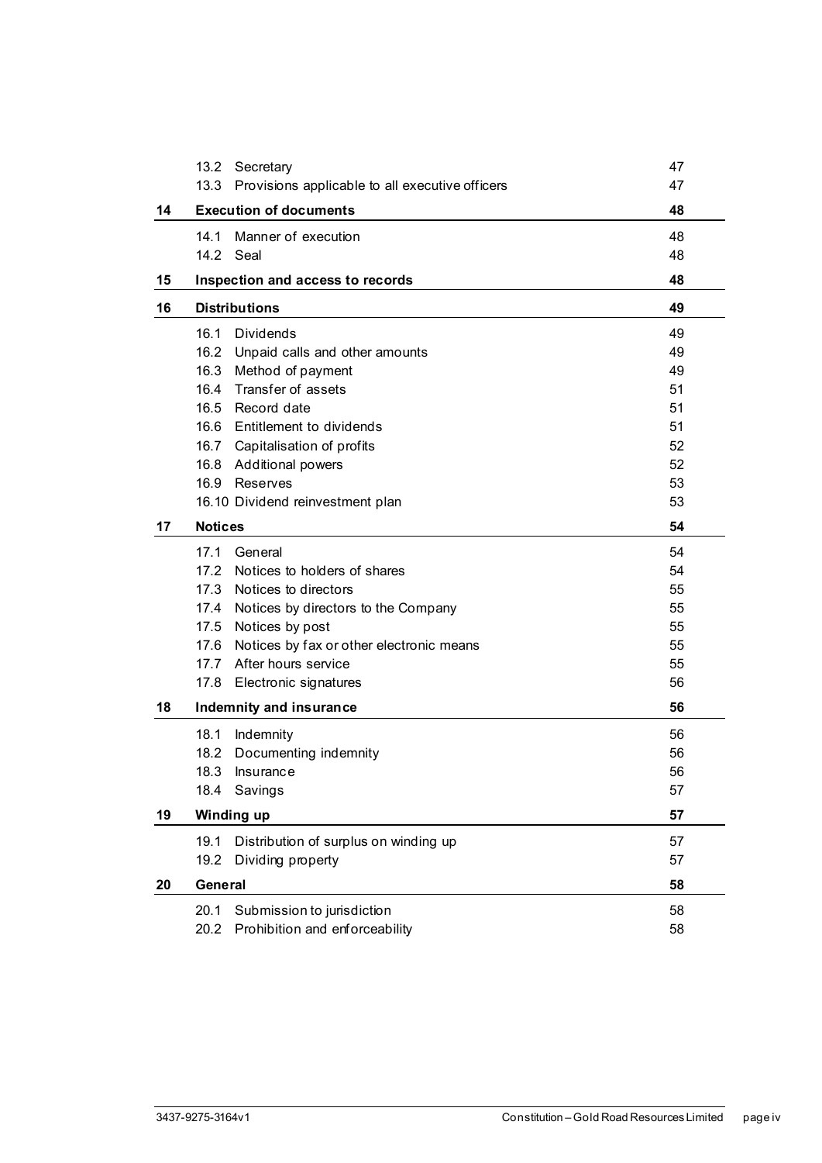|    | 13.2                    | Secretary                                       | 47 |
|----|-------------------------|-------------------------------------------------|----|
|    | 13.3                    | Provisions applicable to all executive officers | 47 |
| 14 |                         | <b>Execution of documents</b>                   | 48 |
|    | 14.1                    | Manner of execution                             | 48 |
|    |                         | 14.2 Seal                                       | 48 |
| 15 |                         | Inspection and access to records                | 48 |
| 16 | <b>Distributions</b>    | 49                                              |    |
|    | 16.1                    | <b>Dividends</b>                                | 49 |
|    | 16.2                    | Unpaid calls and other amounts                  | 49 |
|    | 16.3                    | Method of payment                               | 49 |
|    | 16.4                    | Transfer of assets                              | 51 |
|    | 16.5                    | Record date                                     | 51 |
|    |                         | 16.6 Entitlement to dividends                   | 51 |
|    |                         | 16.7 Capitalisation of profits                  | 52 |
|    | 16.8                    | <b>Additional powers</b>                        | 52 |
|    | 16.9                    | Reserves                                        | 53 |
|    |                         | 16.10 Dividend reinvestment plan                | 53 |
| 17 | <b>Notices</b>          |                                                 | 54 |
|    | 17.1                    | General                                         | 54 |
|    | 17.2                    | Notices to holders of shares                    | 54 |
|    | 17.3                    | Notices to directors                            | 55 |
|    | 17.4                    | Notices by directors to the Company             | 55 |
|    | 17.5                    | Notices by post                                 | 55 |
|    | 17.6                    | Notices by fax or other electronic means        | 55 |
|    | 17.7                    | After hours service                             | 55 |
|    | 17.8                    | Electronic signatures                           | 56 |
| 18 | Indemnity and insurance |                                                 | 56 |
|    | 18.1                    | Indemnity                                       | 56 |
|    | 18.2                    | Documenting indemnity                           | 56 |
|    | 18.3                    | Insurance                                       | 56 |
|    | 18.4                    | Savings                                         | 57 |
| 19 |                         | Winding up                                      | 57 |
|    | 19.1                    | Distribution of surplus on winding up           | 57 |
|    | 19.2                    | Dividing property                               | 57 |
| 20 | General                 |                                                 | 58 |
|    | 20.1                    | Submission to jurisdiction                      | 58 |
|    | 20.2                    | Prohibition and enforceability                  | 58 |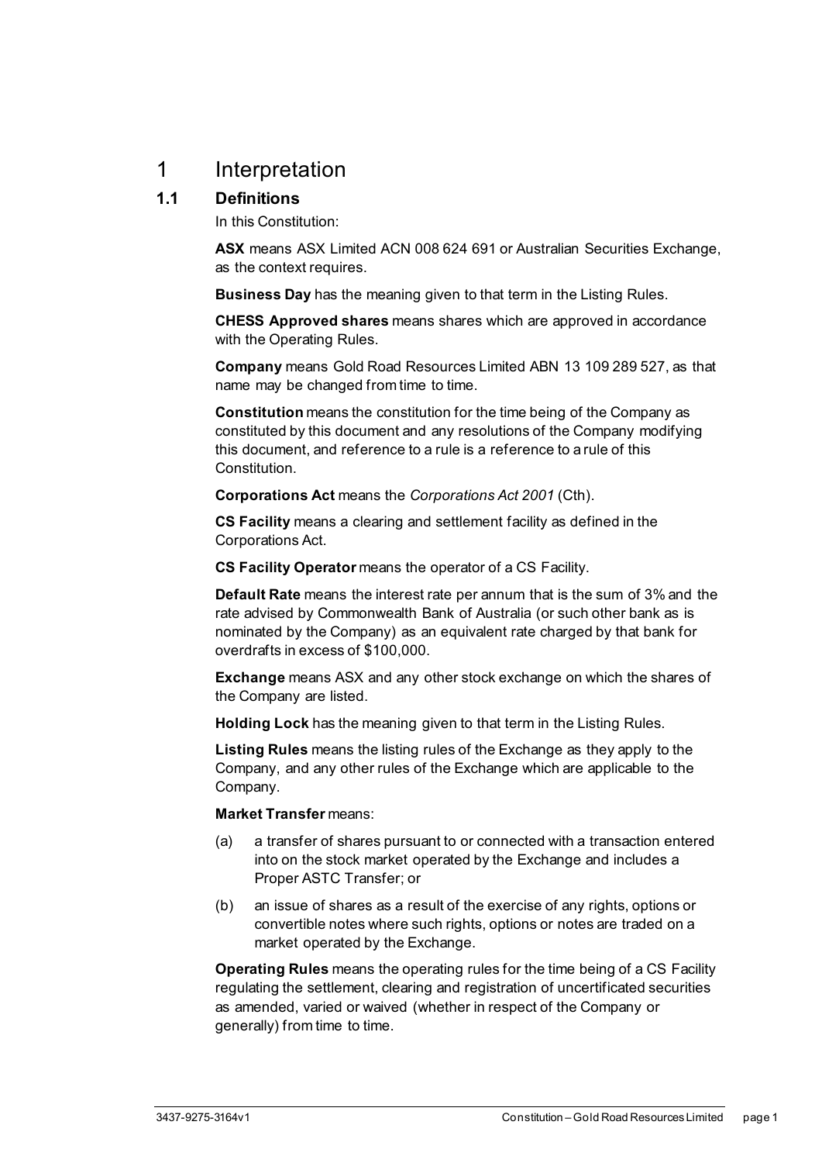## <span id="page-6-0"></span>1 Interpretation

#### <span id="page-6-1"></span>**1.1 Definitions**

In this Constitution:

**ASX** means ASX Limited ACN 008 624 691 or Australian Securities Exchange, as the context requires.

**Business Day** has the meaning given to that term in the Listing Rules.

**CHESS Approved shares** means shares which are approved in accordance with the Operating Rules.

**Company** means Gold Road Resources Limited ABN 13 109 289 527, as that name may be changed from time to time.

**Constitution** means the constitution for the time being of the Company as constituted by this document and any resolutions of the Company modifying this document, and reference to a rule is a reference to a rule of this **Constitution** 

**Corporations Act** means the *Corporations Act 2001* (Cth).

**CS Facility** means a clearing and settlement facility as defined in the Corporations Act.

**CS Facility Operator** means the operator of a CS Facility.

**Default Rate** means the interest rate per annum that is the sum of 3% and the rate advised by Commonwealth Bank of Australia (or such other bank as is nominated by the Company) as an equivalent rate charged by that bank for overdrafts in excess of \$100,000.

**Exchange** means ASX and any other stock exchange on which the shares of the Company are listed.

**Holding Lock** has the meaning given to that term in the Listing Rules.

**Listing Rules** means the listing rules of the Exchange as they apply to the Company, and any other rules of the Exchange which are applicable to the Company.

#### **Market Transfer** means:

- (a) a transfer of shares pursuant to or connected with a transaction entered into on the stock market operated by the Exchange and includes a Proper ASTC Transfer; or
- (b) an issue of shares as a result of the exercise of any rights, options or convertible notes where such rights, options or notes are traded on a market operated by the Exchange.

**Operating Rules** means the operating rules for the time being of a CS Facility regulating the settlement, clearing and registration of uncertificated securities as amended, varied or waived (whether in respect of the Company or generally) from time to time.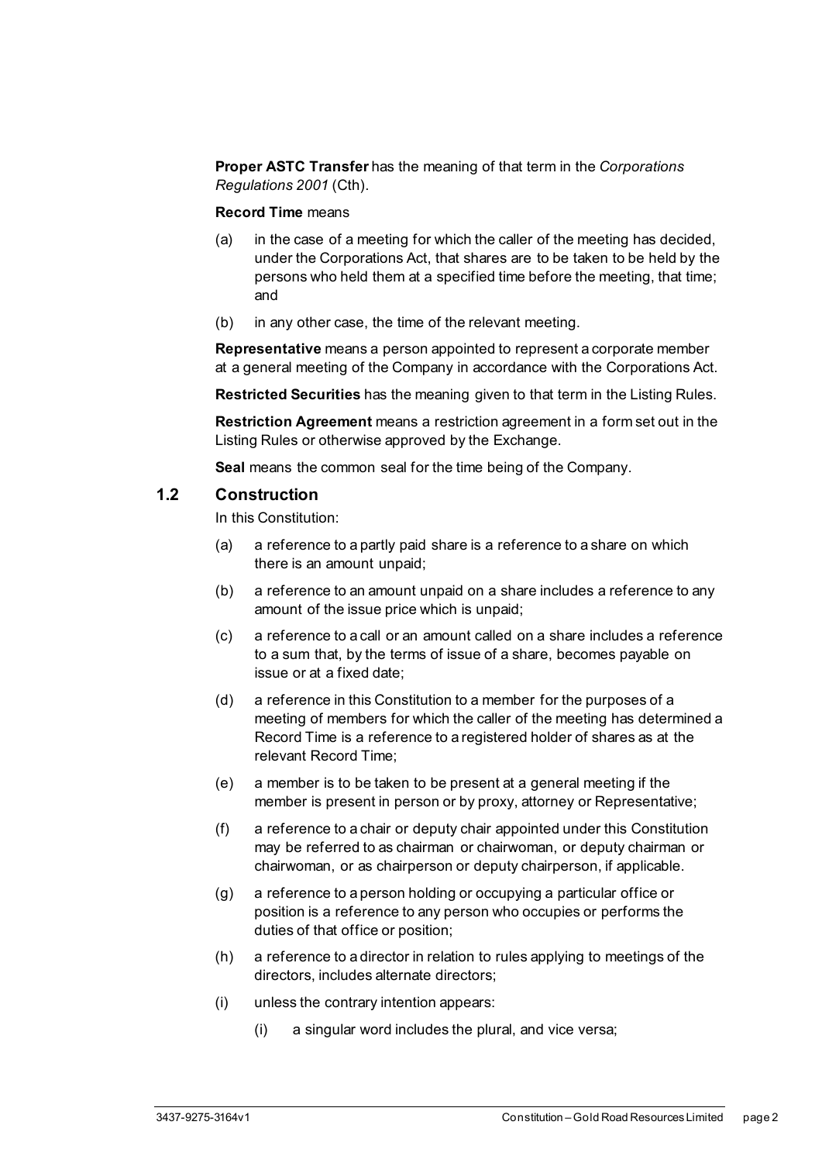**Proper ASTC Transfer** has the meaning of that term in the *Corporations Regulations 2001* (Cth).

#### **Record Time** means

- (a) in the case of a meeting for which the caller of the meeting has decided, under the Corporations Act, that shares are to be taken to be held by the persons who held them at a specified time before the meeting, that time; and
- (b) in any other case, the time of the relevant meeting.

**Representative** means a person appointed to represent a corporate member at a general meeting of the Company in accordance with the Corporations Act.

**Restricted Securities** has the meaning given to that term in the Listing Rules.

**Restriction Agreement** means a restriction agreement in a form set out in the Listing Rules or otherwise approved by the Exchange.

**Seal** means the common seal for the time being of the Company.

#### <span id="page-7-0"></span>**1.2 Construction**

In this Constitution:

- (a) a reference to a partly paid share is a reference to a share on which there is an amount unpaid;
- (b) a reference to an amount unpaid on a share includes a reference to any amount of the issue price which is unpaid;
- (c) a reference to a call or an amount called on a share includes a reference to a sum that, by the terms of issue of a share, becomes payable on issue or at a fixed date;
- (d) a reference in this Constitution to a member for the purposes of a meeting of members for which the caller of the meeting has determined a Record Time is a reference to a registered holder of shares as at the relevant Record Time;
- (e) a member is to be taken to be present at a general meeting if the member is present in person or by proxy, attorney or Representative;
- (f) a reference to a chair or deputy chair appointed under this Constitution may be referred to as chairman or chairwoman, or deputy chairman or chairwoman, or as chairperson or deputy chairperson, if applicable.
- (g) a reference to a person holding or occupying a particular office or position is a reference to any person who occupies or performs the duties of that office or position;
- (h) a reference to a director in relation to rules applying to meetings of the directors, includes alternate directors;
- (i) unless the contrary intention appears:
	- (i) a singular word includes the plural, and vice versa;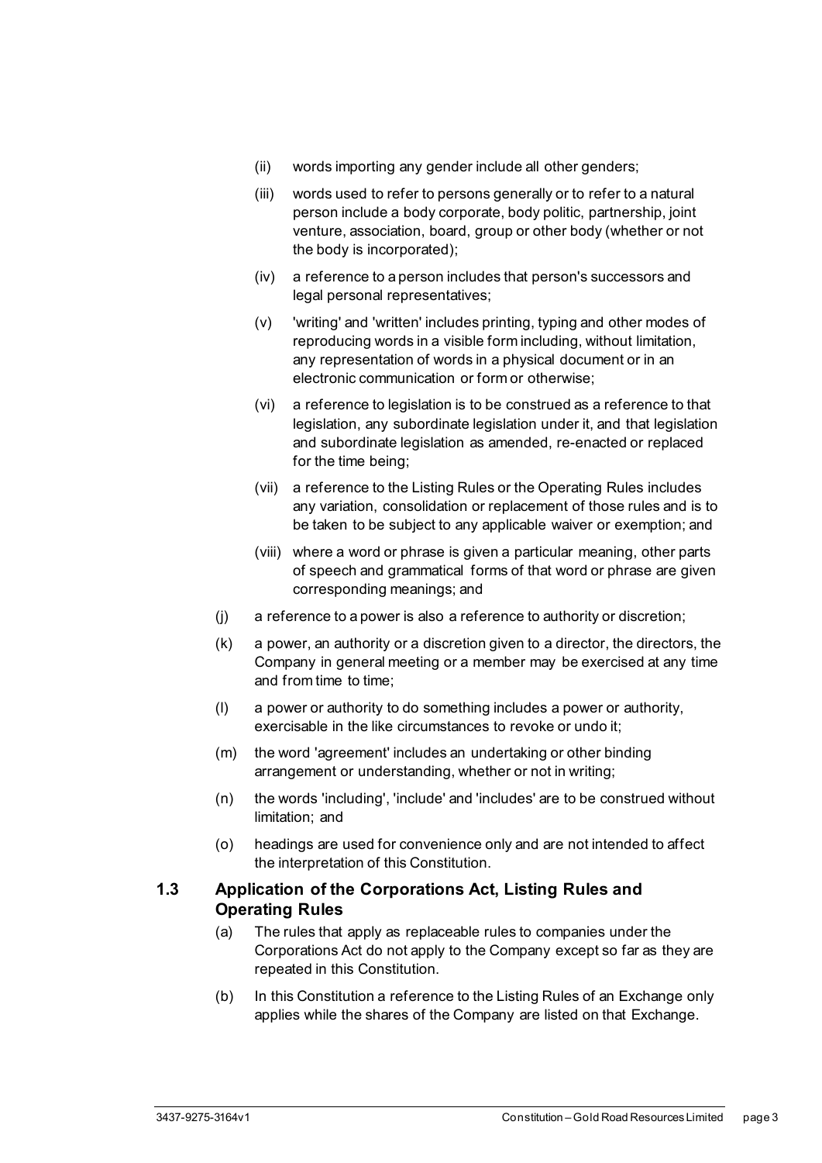- (ii) words importing any gender include all other genders;
- (iii) words used to refer to persons generally or to refer to a natural person include a body corporate, body politic, partnership, joint venture, association, board, group or other body (whether or not the body is incorporated);
- (iv) a reference to a person includes that person's successors and legal personal representatives;
- (v) 'writing' and 'written' includes printing, typing and other modes of reproducing words in a visible form including, without limitation, any representation of words in a physical document or in an electronic communication or form or otherwise;
- (vi) a reference to legislation is to be construed as a reference to that legislation, any subordinate legislation under it, and that legislation and subordinate legislation as amended, re-enacted or replaced for the time being;
- (vii) a reference to the Listing Rules or the Operating Rules includes any variation, consolidation or replacement of those rules and is to be taken to be subject to any applicable waiver or exemption; and
- (viii) where a word or phrase is given a particular meaning, other parts of speech and grammatical forms of that word or phrase are given corresponding meanings; and
- (j) a reference to a power is also a reference to authority or discretion;
- (k) a power, an authority or a discretion given to a director, the directors, the Company in general meeting or a member may be exercised at any time and from time to time;
- (l) a power or authority to do something includes a power or authority, exercisable in the like circumstances to revoke or undo it;
- (m) the word 'agreement' includes an undertaking or other binding arrangement or understanding, whether or not in writing;
- (n) the words 'including', 'include' and 'includes' are to be construed without limitation; and
- (o) headings are used for convenience only and are not intended to affect the interpretation of this Constitution.

#### <span id="page-8-0"></span>**1.3 Application of the Corporations Act, Listing Rules and Operating Rules**

- (a) The rules that apply as replaceable rules to companies under the Corporations Act do not apply to the Company except so far as they are repeated in this Constitution.
- (b) In this Constitution a reference to the Listing Rules of an Exchange only applies while the shares of the Company are listed on that Exchange.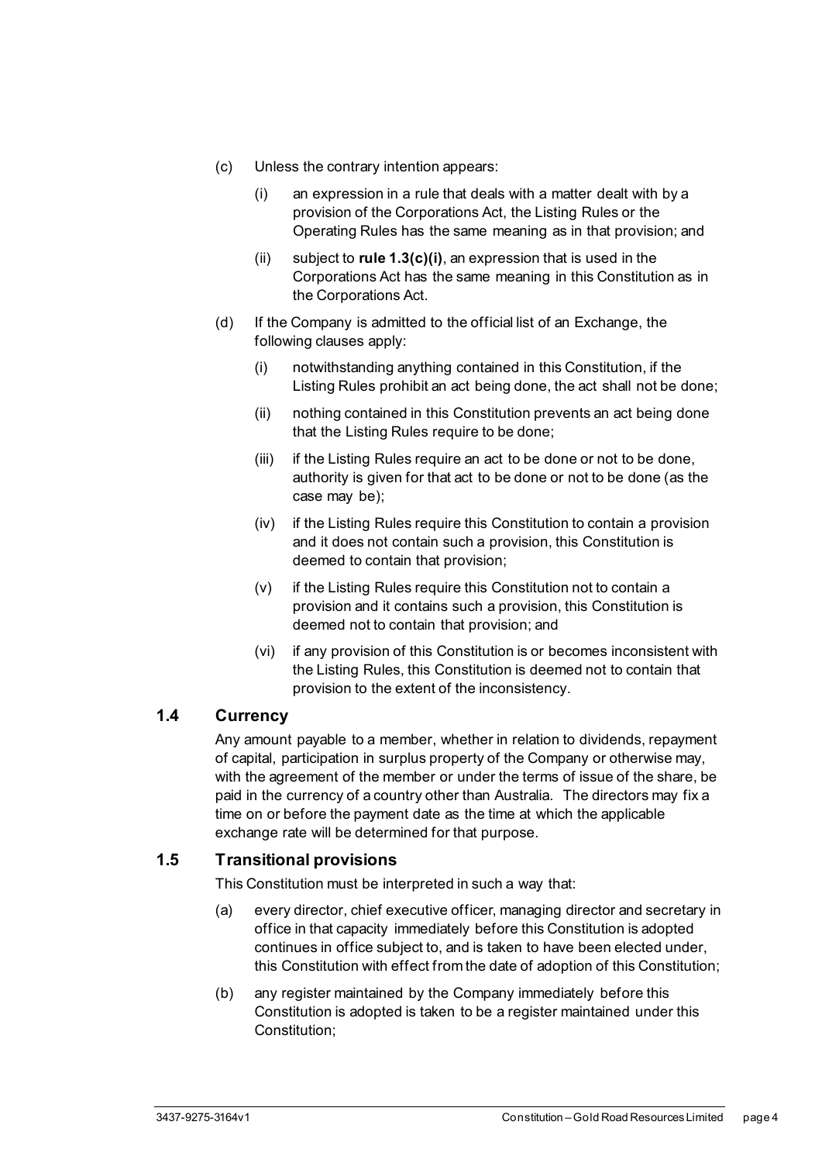- <span id="page-9-2"></span>(c) Unless the contrary intention appears:
	- (i) an expression in a rule that deals with a matter dealt with by a provision of the Corporations Act, the Listing Rules or the Operating Rules has the same meaning as in that provision; and
	- (ii) subject to **rule [1.3\(c\)\(i\)](#page-9-2)**, an expression that is used in the Corporations Act has the same meaning in this Constitution as in the Corporations Act.
- (d) If the Company is admitted to the official list of an Exchange, the following clauses apply:
	- (i) notwithstanding anything contained in this Constitution, if the Listing Rules prohibit an act being done, the act shall not be done;
	- (ii) nothing contained in this Constitution prevents an act being done that the Listing Rules require to be done;
	- (iii) if the Listing Rules require an act to be done or not to be done, authority is given for that act to be done or not to be done (as the case may be);
	- (iv) if the Listing Rules require this Constitution to contain a provision and it does not contain such a provision, this Constitution is deemed to contain that provision;
	- (v) if the Listing Rules require this Constitution not to contain a provision and it contains such a provision, this Constitution is deemed not to contain that provision; and
	- (vi) if any provision of this Constitution is or becomes inconsistent with the Listing Rules, this Constitution is deemed not to contain that provision to the extent of the inconsistency.

#### <span id="page-9-0"></span>**1.4 Currency**

Any amount payable to a member, whether in relation to dividends, repayment of capital, participation in surplus property of the Company or otherwise may, with the agreement of the member or under the terms of issue of the share, be paid in the currency of a country other than Australia. The directors may fix a time on or before the payment date as the time at which the applicable exchange rate will be determined for that purpose.

#### <span id="page-9-1"></span>**1.5 Transitional provisions**

This Constitution must be interpreted in such a way that:

- (a) every director, chief executive officer, managing director and secretary in office in that capacity immediately before this Constitution is adopted continues in office subject to, and is taken to have been elected under, this Constitution with effect from the date of adoption of this Constitution;
- (b) any register maintained by the Company immediately before this Constitution is adopted is taken to be a register maintained under this Constitution;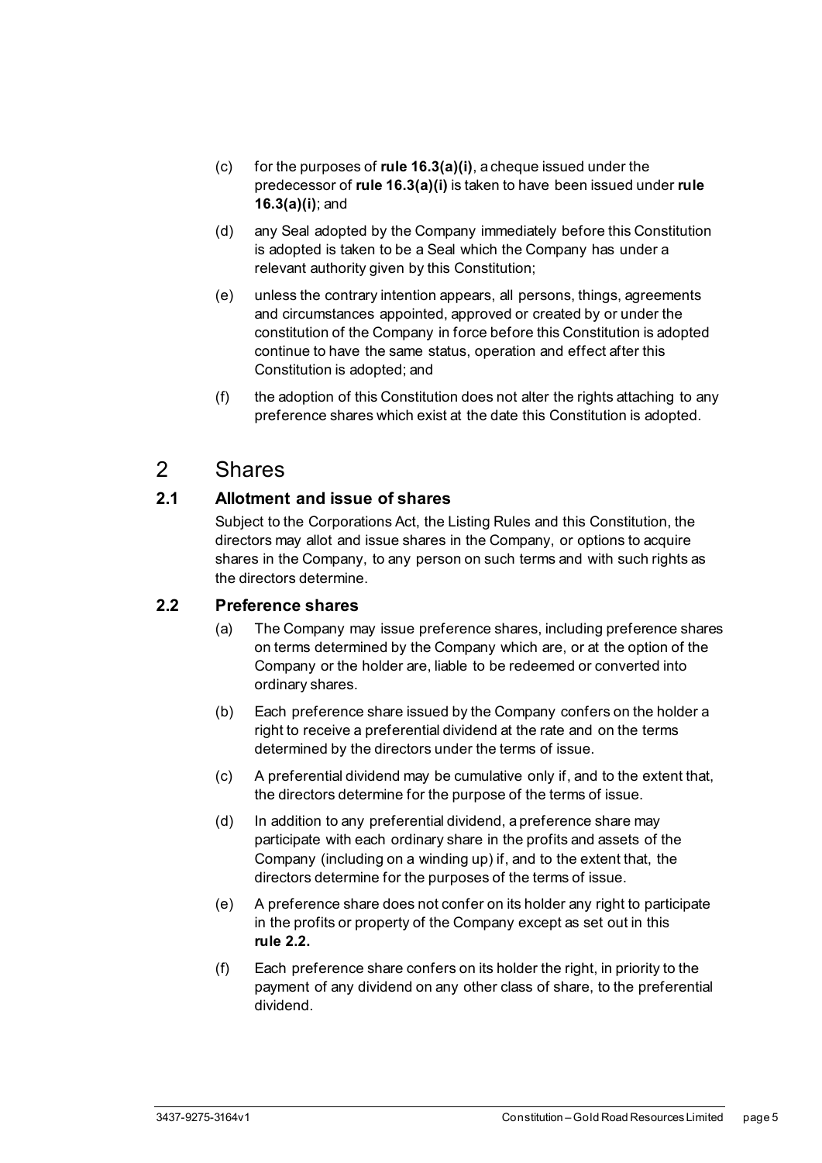- (c) for the purposes of **rul[e 16.3\(a\)\(i\)](#page-55-0)**, a cheque issued under the predecessor of **rul[e 16.3\(a\)\(i\)](#page-55-0)** is taken to have been issued under **rule [16.3\(a\)\(i\)](#page-55-0)**; and
- (d) any Seal adopted by the Company immediately before this Constitution is adopted is taken to be a Seal which the Company has under a relevant authority given by this Constitution;
- (e) unless the contrary intention appears, all persons, things, agreements and circumstances appointed, approved or created by or under the constitution of the Company in force before this Constitution is adopted continue to have the same status, operation and effect after this Constitution is adopted; and
- (f) the adoption of this Constitution does not alter the rights attaching to any preference shares which exist at the date this Constitution is adopted.

## <span id="page-10-0"></span>2 Shares

#### <span id="page-10-1"></span>**2.1 Allotment and issue of shares**

Subject to the Corporations Act, the Listing Rules and this Constitution, the directors may allot and issue shares in the Company, or options to acquire shares in the Company, to any person on such terms and with such rights as the directors determine.

#### <span id="page-10-2"></span>**2.2 Preference shares**

- (a) The Company may issue preference shares, including preference shares on terms determined by the Company which are, or at the option of the Company or the holder are, liable to be redeemed or converted into ordinary shares.
- (b) Each preference share issued by the Company confers on the holder a right to receive a preferential dividend at the rate and on the terms determined by the directors under the terms of issue.
- (c) A preferential dividend may be cumulative only if, and to the extent that, the directors determine for the purpose of the terms of issue.
- (d) In addition to any preferential dividend, a preference share may participate with each ordinary share in the profits and assets of the Company (including on a winding up) if, and to the extent that, the directors determine for the purposes of the terms of issue.
- (e) A preference share does not confer on its holder any right to participate in the profits or property of the Company except as set out in this **rule [2.2.](#page-10-2)**
- (f) Each preference share confers on its holder the right, in priority to the payment of any dividend on any other class of share, to the preferential dividend.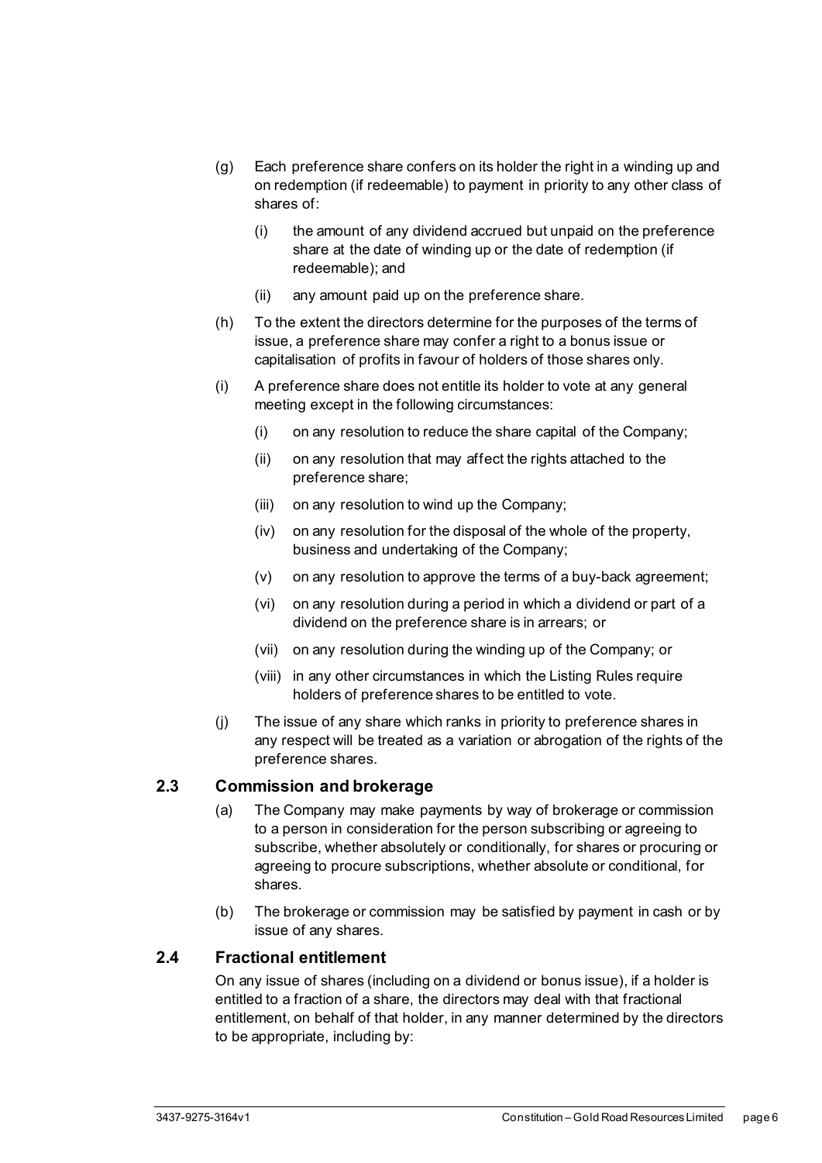- (g) Each preference share confers on its holder the right in a winding up and on redemption (if redeemable) to payment in priority to any other class of shares of:
	- (i) the amount of any dividend accrued but unpaid on the preference share at the date of winding up or the date of redemption (if redeemable); and
	- (ii) any amount paid up on the preference share.
- (h) To the extent the directors determine for the purposes of the terms of issue, a preference share may confer a right to a bonus issue or capitalisation of profits in favour of holders of those shares only.
- (i) A preference share does not entitle its holder to vote at any general meeting except in the following circumstances:
	- (i) on any resolution to reduce the share capital of the Company;
	- (ii) on any resolution that may affect the rights attached to the preference share;
	- (iii) on any resolution to wind up the Company;
	- (iv) on any resolution for the disposal of the whole of the property, business and undertaking of the Company;
	- (v) on any resolution to approve the terms of a buy-back agreement;
	- (vi) on any resolution during a period in which a dividend or part of a dividend on the preference share is in arrears; or
	- (vii) on any resolution during the winding up of the Company; or
	- (viii) in any other circumstances in which the Listing Rules require holders of preference shares to be entitled to vote.
- (j) The issue of any share which ranks in priority to preference shares in any respect will be treated as a variation or abrogation of the rights of the preference shares.

#### <span id="page-11-0"></span>**2.3 Commission and brokerage**

- (a) The Company may make payments by way of brokerage or commission to a person in consideration for the person subscribing or agreeing to subscribe, whether absolutely or conditionally, for shares or procuring or agreeing to procure subscriptions, whether absolute or conditional, for shares.
- (b) The brokerage or commission may be satisfied by payment in cash or by issue of any shares.

#### <span id="page-11-1"></span>**2.4 Fractional entitlement**

On any issue of shares (including on a dividend or bonus issue), if a holder is entitled to a fraction of a share, the directors may deal with that fractional entitlement, on behalf of that holder, in any manner determined by the directors to be appropriate, including by: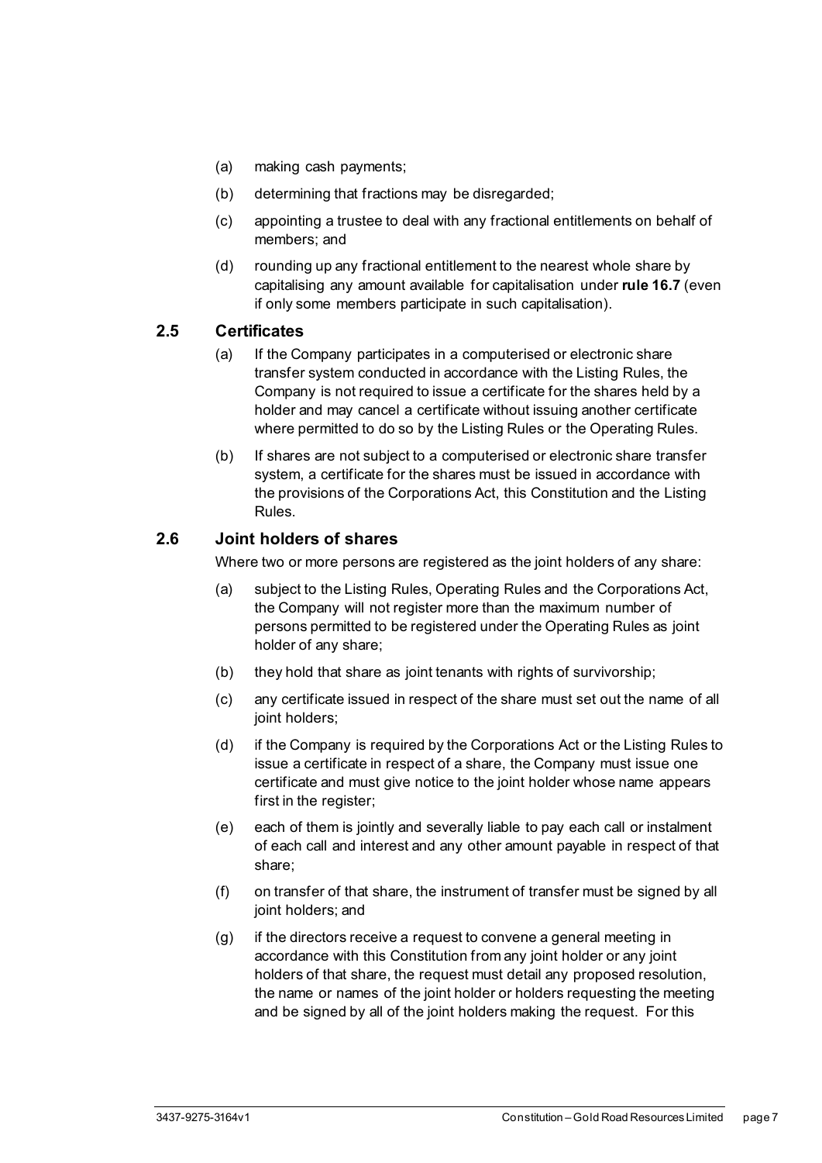- (a) making cash payments;
- (b) determining that fractions may be disregarded;
- (c) appointing a trustee to deal with any fractional entitlements on behalf of members; and
- (d) rounding up any fractional entitlement to the nearest whole share by capitalising any amount available for capitalisation under **rule [16.7](#page-57-0)** (even if only some members participate in such capitalisation).

#### <span id="page-12-0"></span>**2.5 Certificates**

- (a) If the Company participates in a computerised or electronic share transfer system conducted in accordance with the Listing Rules, the Company is not required to issue a certificate for the shares held by a holder and may cancel a certificate without issuing another certificate where permitted to do so by the Listing Rules or the Operating Rules.
- (b) If shares are not subject to a computerised or electronic share transfer system, a certificate for the shares must be issued in accordance with the provisions of the Corporations Act, this Constitution and the Listing Rules.

#### <span id="page-12-1"></span>**2.6 Joint holders of shares**

Where two or more persons are registered as the joint holders of any share:

- (a) subject to the Listing Rules, Operating Rules and the Corporations Act, the Company will not register more than the maximum number of persons permitted to be registered under the Operating Rules as joint holder of any share;
- (b) they hold that share as joint tenants with rights of survivorship;
- (c) any certificate issued in respect of the share must set out the name of all joint holders;
- (d) if the Company is required by the Corporations Act or the Listing Rules to issue a certificate in respect of a share, the Company must issue one certificate and must give notice to the joint holder whose name appears first in the register;
- (e) each of them is jointly and severally liable to pay each call or instalment of each call and interest and any other amount payable in respect of that share;
- (f) on transfer of that share, the instrument of transfer must be signed by all joint holders; and
- (g) if the directors receive a request to convene a general meeting in accordance with this Constitution from any joint holder or any joint holders of that share, the request must detail any proposed resolution, the name or names of the joint holder or holders requesting the meeting and be signed by all of the joint holders making the request. For this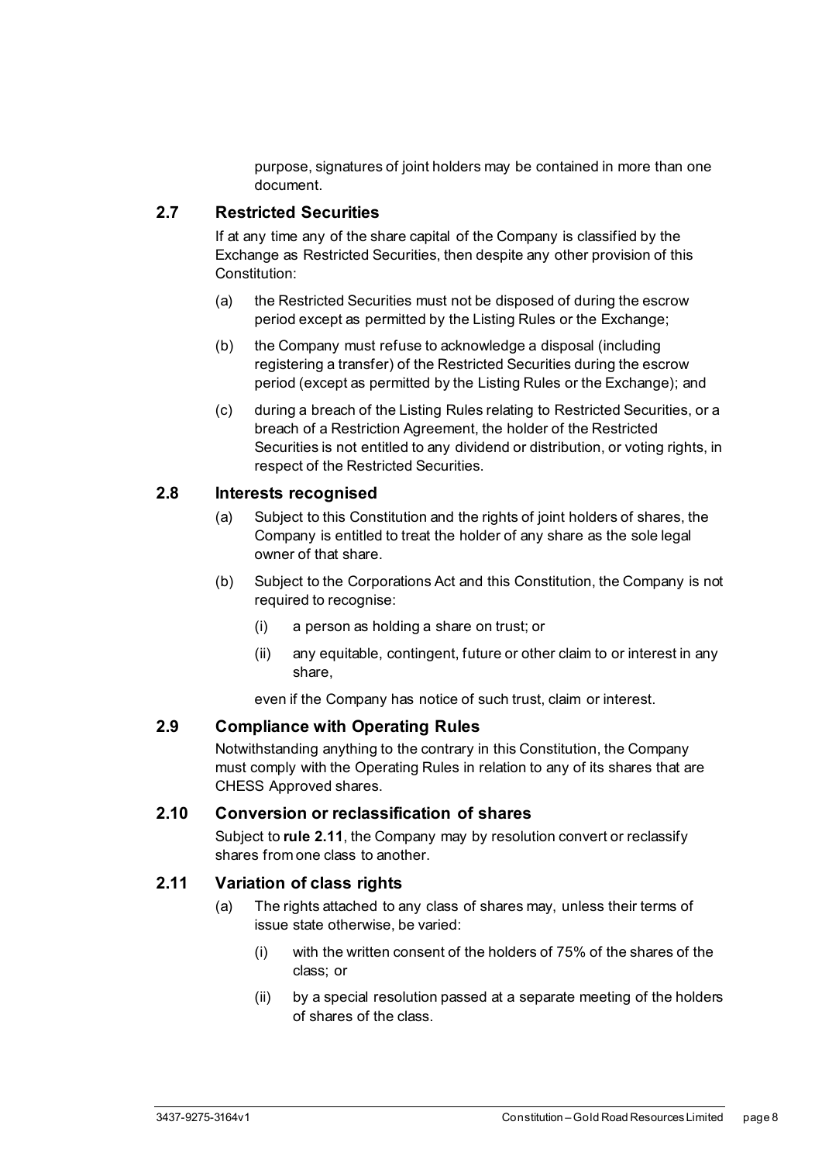purpose, signatures of joint holders may be contained in more than one document.

#### <span id="page-13-0"></span>**2.7 Restricted Securities**

If at any time any of the share capital of the Company is classified by the Exchange as Restricted Securities, then despite any other provision of this Constitution:

- (a) the Restricted Securities must not be disposed of during the escrow period except as permitted by the Listing Rules or the Exchange;
- (b) the Company must refuse to acknowledge a disposal (including registering a transfer) of the Restricted Securities during the escrow period (except as permitted by the Listing Rules or the Exchange); and
- (c) during a breach of the Listing Rules relating to Restricted Securities, or a breach of a Restriction Agreement, the holder of the Restricted Securities is not entitled to any dividend or distribution, or voting rights, in respect of the Restricted Securities.

#### <span id="page-13-1"></span>**2.8 Interests recognised**

- (a) Subject to this Constitution and the rights of joint holders of shares, the Company is entitled to treat the holder of any share as the sole legal owner of that share.
- (b) Subject to the Corporations Act and this Constitution, the Company is not required to recognise:
	- (i) a person as holding a share on trust; or
	- (ii) any equitable, contingent, future or other claim to or interest in any share,

even if the Company has notice of such trust, claim or interest.

#### <span id="page-13-2"></span>**2.9 Compliance with Operating Rules**

Notwithstanding anything to the contrary in this Constitution, the Company must comply with the Operating Rules in relation to any of its shares that are CHESS Approved shares.

#### <span id="page-13-3"></span>**2.10 Conversion or reclassification of shares**

Subject to **rule [2.11](#page-13-4)**, the Company may by resolution convert or reclassify shares from one class to another.

#### <span id="page-13-4"></span>**2.11 Variation of class rights**

- (a) The rights attached to any class of shares may, unless their terms of issue state otherwise, be varied:
	- (i) with the written consent of the holders of 75% of the shares of the class; or
	- (ii) by a special resolution passed at a separate meeting of the holders of shares of the class.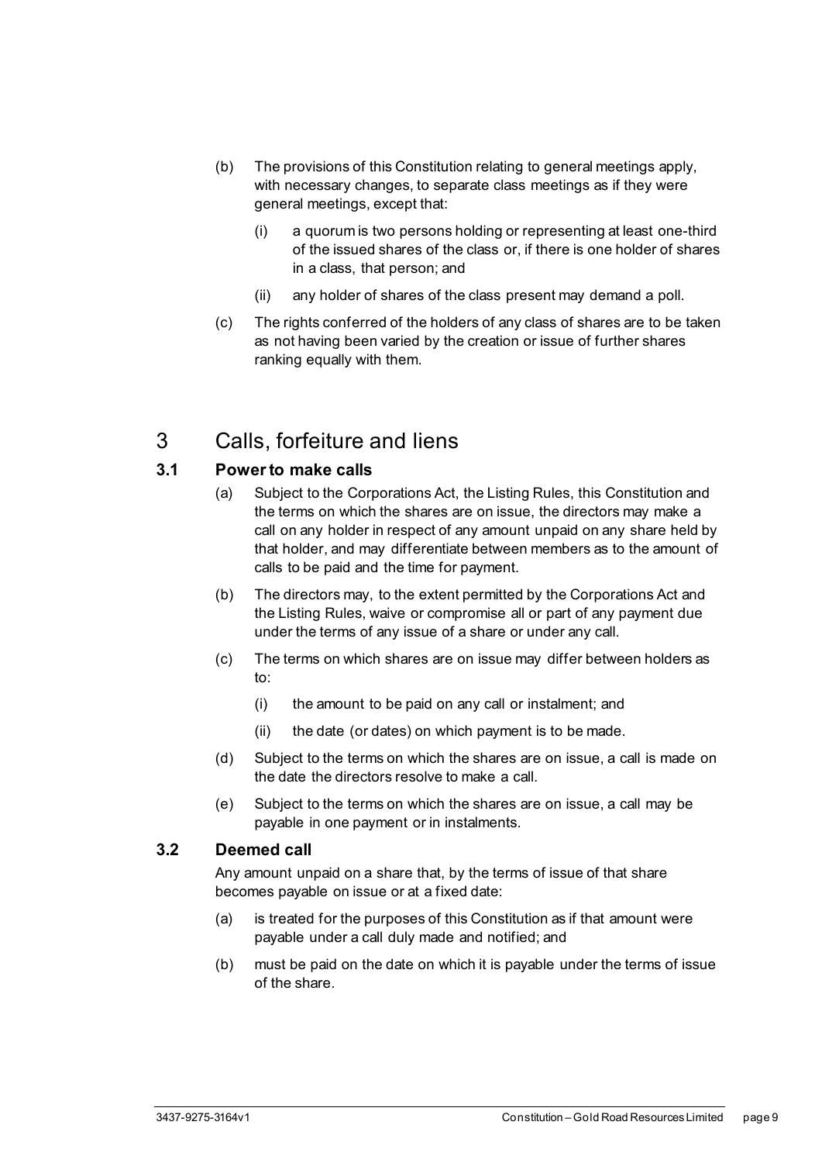- (b) The provisions of this Constitution relating to general meetings apply, with necessary changes, to separate class meetings as if they were general meetings, except that:
	- (i) a quorum is two persons holding or representing at least one-third of the issued shares of the class or, if there is one holder of shares in a class, that person; and
	- (ii) any holder of shares of the class present may demand a poll.
- (c) The rights conferred of the holders of any class of shares are to be taken as not having been varied by the creation or issue of further shares ranking equally with them.

## <span id="page-14-0"></span>3 Calls, forfeiture and liens

#### <span id="page-14-1"></span>**3.1 Power to make calls**

- (a) Subject to the Corporations Act, the Listing Rules, this Constitution and the terms on which the shares are on issue, the directors may make a call on any holder in respect of any amount unpaid on any share held by that holder, and may differentiate between members as to the amount of calls to be paid and the time for payment.
- (b) The directors may, to the extent permitted by the Corporations Act and the Listing Rules, waive or compromise all or part of any payment due under the terms of any issue of a share or under any call.
- (c) The terms on which shares are on issue may differ between holders as to:
	- (i) the amount to be paid on any call or instalment; and
	- (ii) the date (or dates) on which payment is to be made.
- (d) Subject to the terms on which the shares are on issue, a call is made on the date the directors resolve to make a call.
- (e) Subject to the terms on which the shares are on issue, a call may be payable in one payment or in instalments.

#### <span id="page-14-2"></span>**3.2 Deemed call**

Any amount unpaid on a share that, by the terms of issue of that share becomes payable on issue or at a fixed date:

- (a) is treated for the purposes of this Constitution as if that amount were payable under a call duly made and notified; and
- (b) must be paid on the date on which it is payable under the terms of issue of the share.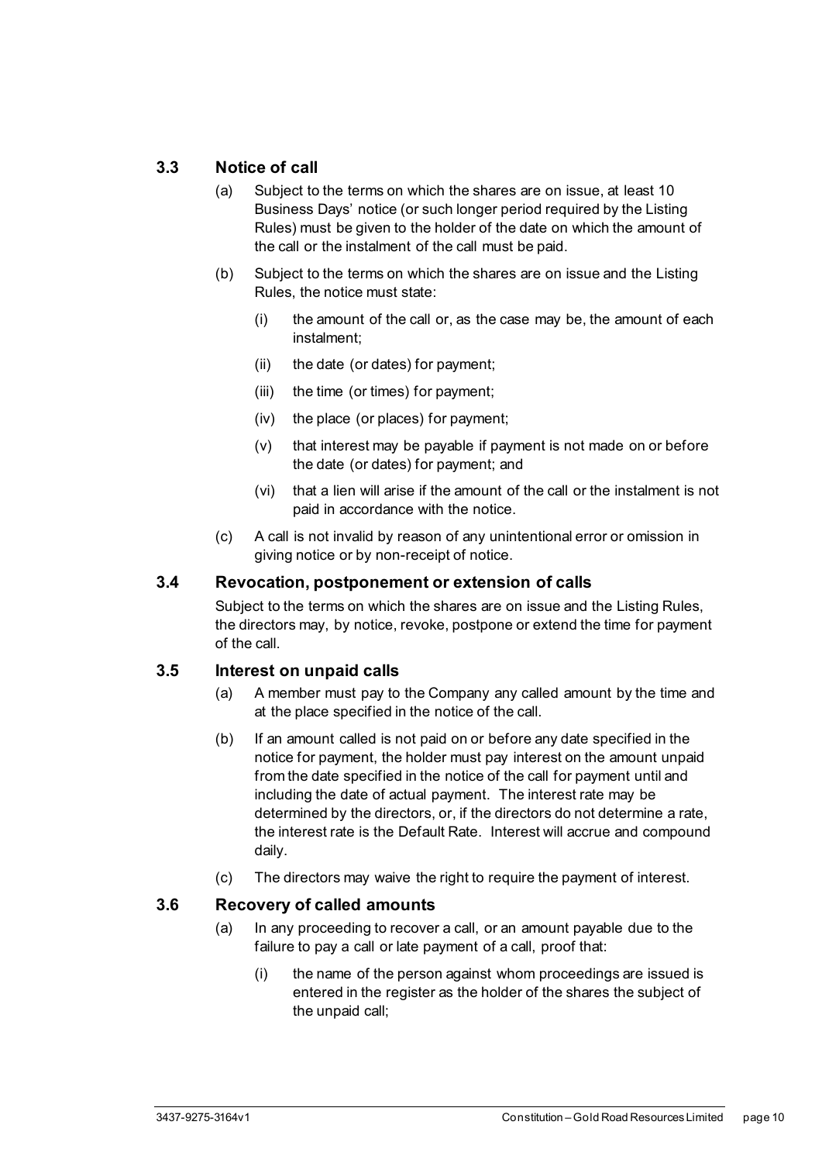#### <span id="page-15-0"></span>**3.3 Notice of call**

- (a) Subject to the terms on which the shares are on issue, at least 10 Business Days' notice (or such longer period required by the Listing Rules) must be given to the holder of the date on which the amount of the call or the instalment of the call must be paid.
- (b) Subject to the terms on which the shares are on issue and the Listing Rules, the notice must state:
	- (i) the amount of the call or, as the case may be, the amount of each instalment;
	- (ii) the date (or dates) for payment;
	- (iii) the time (or times) for payment;
	- (iv) the place (or places) for payment;
	- (v) that interest may be payable if payment is not made on or before the date (or dates) for payment; and
	- (vi) that a lien will arise if the amount of the call or the instalment is not paid in accordance with the notice.
- (c) A call is not invalid by reason of any unintentional error or omission in giving notice or by non-receipt of notice.

#### <span id="page-15-1"></span>**3.4 Revocation, postponement or extension of calls**

Subject to the terms on which the shares are on issue and the Listing Rules, the directors may, by notice, revoke, postpone or extend the time for payment of the call.

#### <span id="page-15-2"></span>**3.5 Interest on unpaid calls**

- (a) A member must pay to the Company any called amount by the time and at the place specified in the notice of the call.
- (b) If an amount called is not paid on or before any date specified in the notice for payment, the holder must pay interest on the amount unpaid from the date specified in the notice of the call for payment until and including the date of actual payment. The interest rate may be determined by the directors, or, if the directors do not determine a rate, the interest rate is the Default Rate. Interest will accrue and compound daily.
- (c) The directors may waive the right to require the payment of interest.

#### <span id="page-15-3"></span>**3.6 Recovery of called amounts**

- (a) In any proceeding to recover a call, or an amount payable due to the failure to pay a call or late payment of a call, proof that:
	- (i) the name of the person against whom proceedings are issued is entered in the register as the holder of the shares the subject of the unpaid call;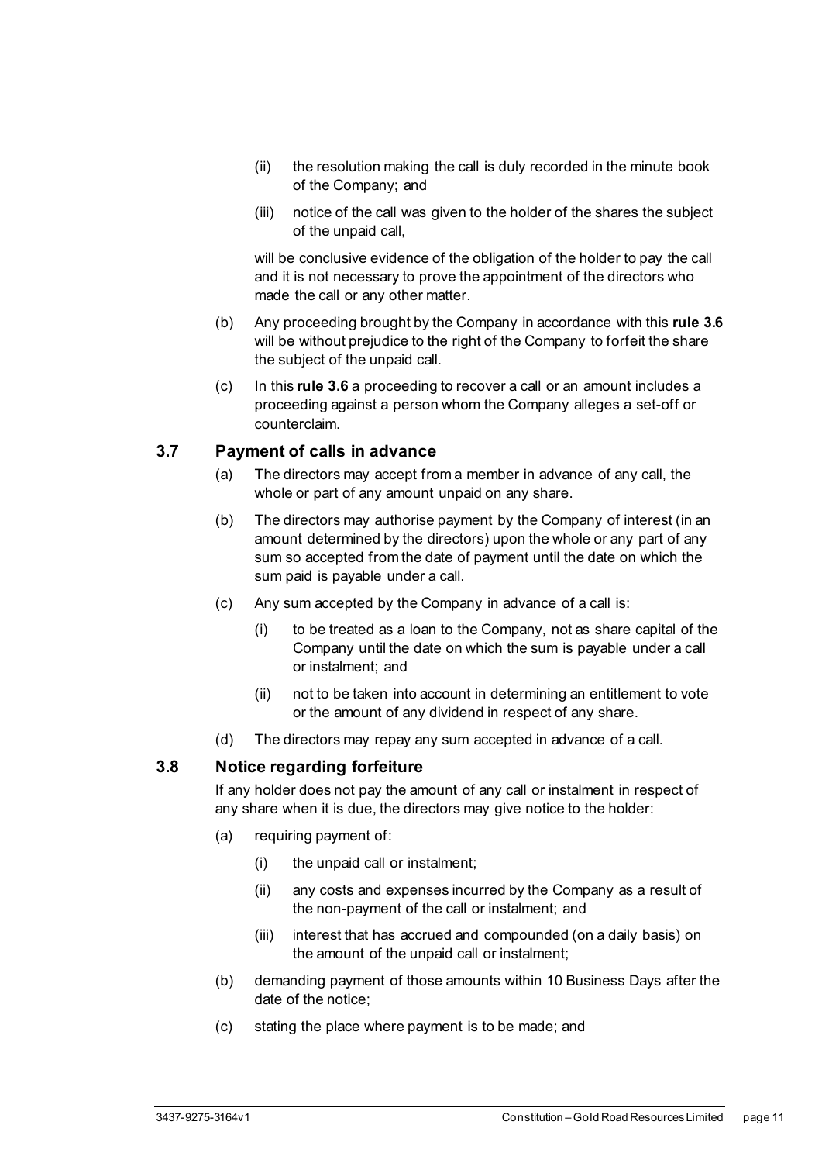- (ii) the resolution making the call is duly recorded in the minute book of the Company; and
- (iii) notice of the call was given to the holder of the shares the subject of the unpaid call,

will be conclusive evidence of the obligation of the holder to pay the call and it is not necessary to prove the appointment of the directors who made the call or any other matter.

- (b) Any proceeding brought by the Company in accordance with this **rule [3.6](#page-15-3)** will be without prejudice to the right of the Company to forfeit the share the subject of the unpaid call.
- (c) In this **rule [3.6](#page-15-3)** a proceeding to recover a call or an amount includes a proceeding against a person whom the Company alleges a set-off or counterclaim.

#### <span id="page-16-0"></span>**3.7 Payment of calls in advance**

- (a) The directors may accept from a member in advance of any call, the whole or part of any amount unpaid on any share.
- (b) The directors may authorise payment by the Company of interest (in an amount determined by the directors) upon the whole or any part of any sum so accepted from the date of payment until the date on which the sum paid is payable under a call.
- (c) Any sum accepted by the Company in advance of a call is:
	- (i) to be treated as a loan to the Company, not as share capital of the Company until the date on which the sum is payable under a call or instalment; and
	- (ii) not to be taken into account in determining an entitlement to vote or the amount of any dividend in respect of any share.
- (d) The directors may repay any sum accepted in advance of a call.

#### <span id="page-16-1"></span>**3.8 Notice regarding forfeiture**

If any holder does not pay the amount of any call or instalment in respect of any share when it is due, the directors may give notice to the holder:

- (a) requiring payment of:
	- (i) the unpaid call or instalment;
	- (ii) any costs and expenses incurred by the Company as a result of the non-payment of the call or instalment; and
	- (iii) interest that has accrued and compounded (on a daily basis) on the amount of the unpaid call or instalment;
- (b) demanding payment of those amounts within 10 Business Days after the date of the notice;
- (c) stating the place where payment is to be made; and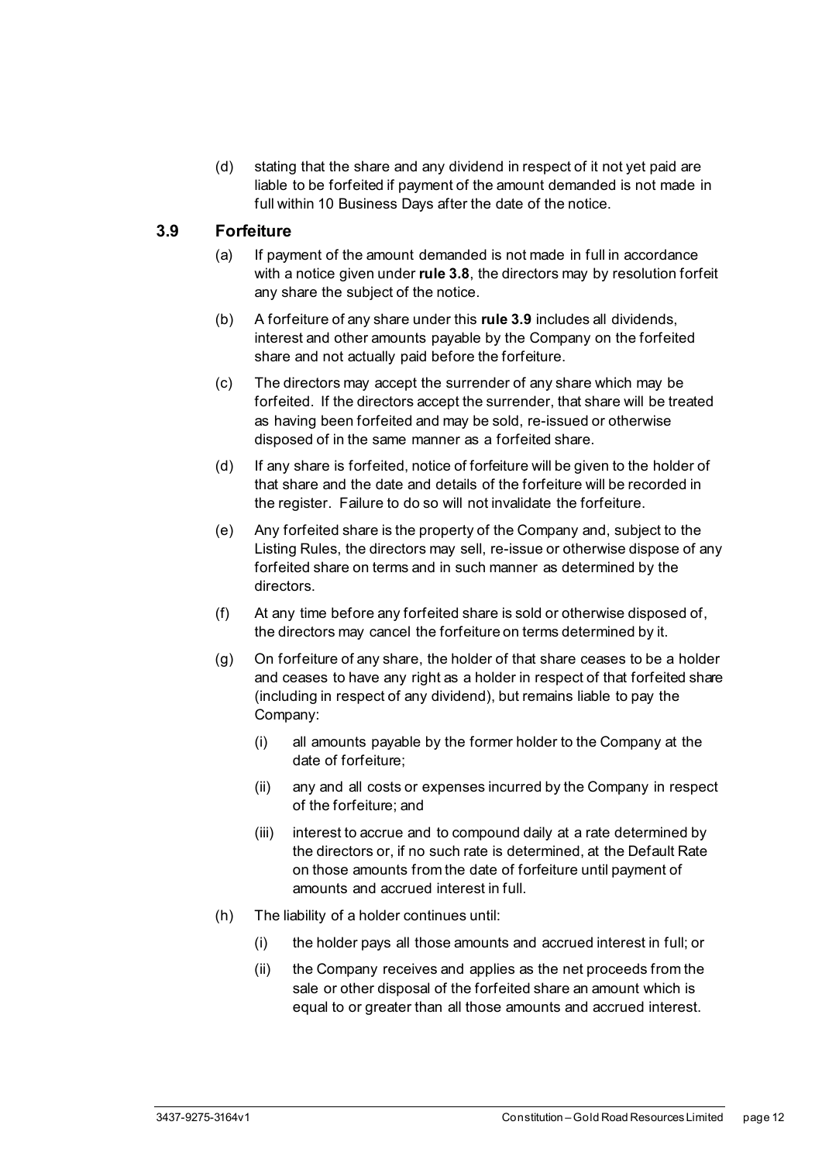(d) stating that the share and any dividend in respect of it not yet paid are liable to be forfeited if payment of the amount demanded is not made in full within 10 Business Days after the date of the notice.

#### <span id="page-17-0"></span>**3.9 Forfeiture**

- (a) If payment of the amount demanded is not made in full in accordance with a notice given under **rul[e 3.8](#page-16-1)**, the directors may by resolution forfeit any share the subject of the notice.
- (b) A forfeiture of any share under this **rul[e 3.9](#page-17-0)** includes all dividends, interest and other amounts payable by the Company on the forfeited share and not actually paid before the forfeiture.
- (c) The directors may accept the surrender of any share which may be forfeited. If the directors accept the surrender, that share will be treated as having been forfeited and may be sold, re-issued or otherwise disposed of in the same manner as a forfeited share.
- (d) If any share is forfeited, notice of forfeiture will be given to the holder of that share and the date and details of the forfeiture will be recorded in the register. Failure to do so will not invalidate the forfeiture.
- (e) Any forfeited share is the property of the Company and, subject to the Listing Rules, the directors may sell, re-issue or otherwise dispose of any forfeited share on terms and in such manner as determined by the directors.
- (f) At any time before any forfeited share is sold or otherwise disposed of, the directors may cancel the forfeiture on terms determined by it.
- (g) On forfeiture of any share, the holder of that share ceases to be a holder and ceases to have any right as a holder in respect of that forfeited share (including in respect of any dividend), but remains liable to pay the Company:
	- (i) all amounts payable by the former holder to the Company at the date of forfeiture;
	- (ii) any and all costs or expenses incurred by the Company in respect of the forfeiture; and
	- (iii) interest to accrue and to compound daily at a rate determined by the directors or, if no such rate is determined, at the Default Rate on those amounts from the date of forfeiture until payment of amounts and accrued interest in full.
- (h) The liability of a holder continues until:
	- (i) the holder pays all those amounts and accrued interest in full; or
	- (ii) the Company receives and applies as the net proceeds from the sale or other disposal of the forfeited share an amount which is equal to or greater than all those amounts and accrued interest.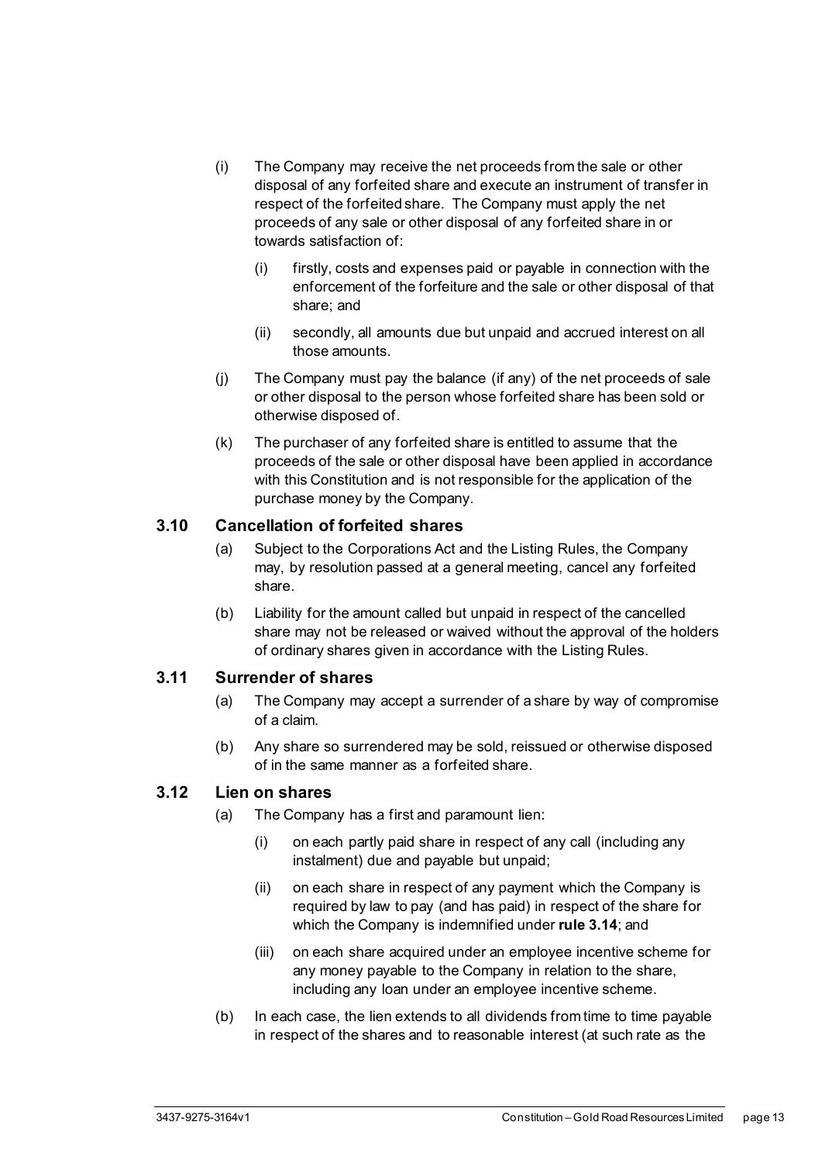- (i) The Company may receive the net proceeds from the sale or other disposal of any forfeited share and execute an instrument of transfer in respect of the forfeited share. The Company must apply the net proceeds of any sale or other disposal of any forfeited share in or towards satisfaction of:
	- (i) firstly, costs and expenses paid or payable in connection with the enforcement of the forfeiture and the sale or other disposal of that share; and
	- (ii) secondly, all amounts due but unpaid and accrued interest on all those amounts.
- (j) The Company must pay the balance (if any) of the net proceeds of sale or other disposal to the person whose forfeited share has been sold or otherwise disposed of.
- (k) The purchaser of any forfeited share is entitled to assume that the proceeds of the sale or other disposal have been applied in accordance with this Constitution and is not responsible for the application of the purchase money by the Company.

#### <span id="page-18-0"></span>**3.10 Cancellation of forfeited shares**

- (a) Subject to the Corporations Act and the Listing Rules, the Company may, by resolution passed at a general meeting, cancel any forfeited share.
- (b) Liability for the amount called but unpaid in respect of the cancelled share may not be released or waived without the approval of the holders of ordinary shares given in accordance with the Listing Rules.

#### <span id="page-18-1"></span>**3.11 Surrender of shares**

- (a) The Company may accept a surrender of a share by way of compromise of a claim.
- (b) Any share so surrendered may be sold, reissued or otherwise disposed of in the same manner as a forfeited share.

#### <span id="page-18-2"></span>**3.12 Lien on shares**

- (a) The Company has a first and paramount lien:
	- (i) on each partly paid share in respect of any call (including any instalment) due and payable but unpaid;
	- (ii) on each share in respect of any payment which the Company is required by law to pay (and has paid) in respect of the share for which the Company is indemnified under **rule [3.14](#page-20-0)**; and
	- (iii) on each share acquired under an employee incentive scheme for any money payable to the Company in relation to the share, including any loan under an employee incentive scheme.
- (b) In each case, the lien extends to all dividends from time to time payable in respect of the shares and to reasonable interest (at such rate as the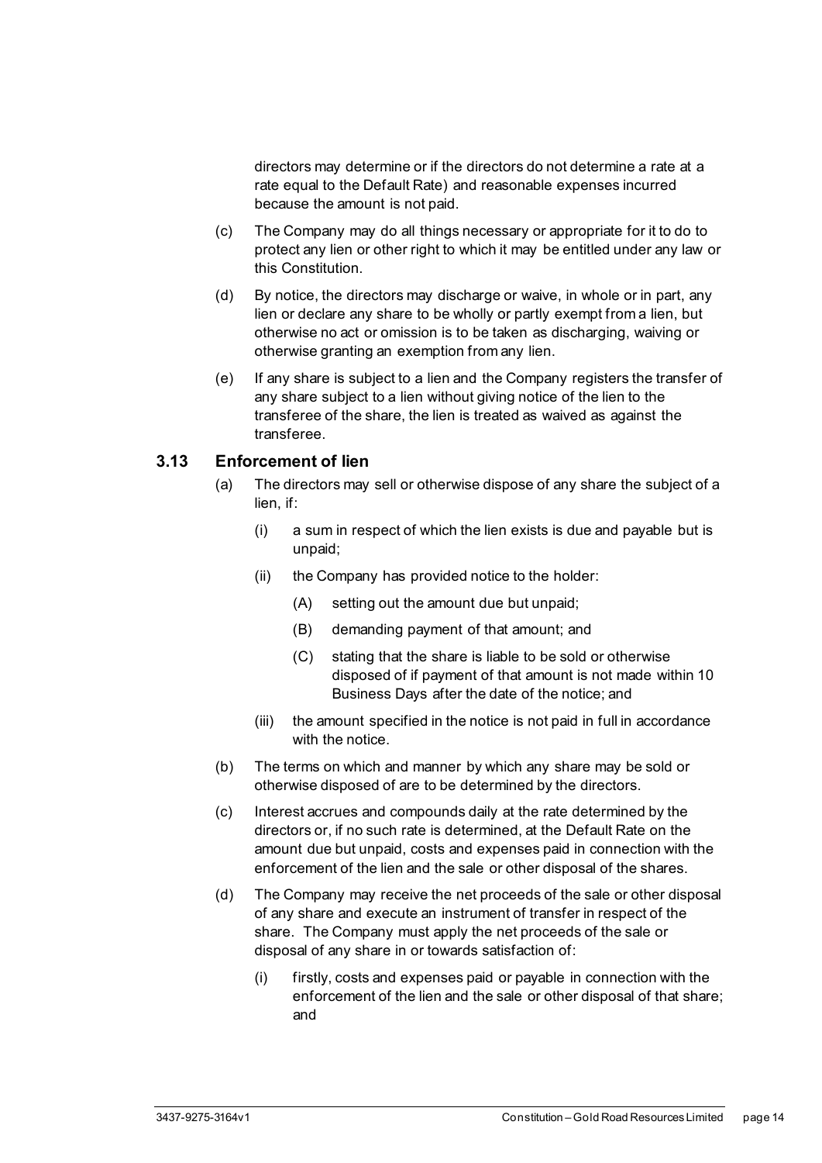directors may determine or if the directors do not determine a rate at a rate equal to the Default Rate) and reasonable expenses incurred because the amount is not paid.

- (c) The Company may do all things necessary or appropriate for it to do to protect any lien or other right to which it may be entitled under any law or this Constitution.
- (d) By notice, the directors may discharge or waive, in whole or in part, any lien or declare any share to be wholly or partly exempt from a lien, but otherwise no act or omission is to be taken as discharging, waiving or otherwise granting an exemption from any lien.
- (e) If any share is subject to a lien and the Company registers the transfer of any share subject to a lien without giving notice of the lien to the transferee of the share, the lien is treated as waived as against the transferee.

#### <span id="page-19-0"></span>**3.13 Enforcement of lien**

- (a) The directors may sell or otherwise dispose of any share the subject of a lien, if:
	- (i) a sum in respect of which the lien exists is due and payable but is unpaid;
	- (ii) the Company has provided notice to the holder:
		- (A) setting out the amount due but unpaid;
		- (B) demanding payment of that amount; and
		- (C) stating that the share is liable to be sold or otherwise disposed of if payment of that amount is not made within 10 Business Days after the date of the notice; and
	- (iii) the amount specified in the notice is not paid in full in accordance with the notice.
- (b) The terms on which and manner by which any share may be sold or otherwise disposed of are to be determined by the directors.
- (c) Interest accrues and compounds daily at the rate determined by the directors or, if no such rate is determined, at the Default Rate on the amount due but unpaid, costs and expenses paid in connection with the enforcement of the lien and the sale or other disposal of the shares.
- (d) The Company may receive the net proceeds of the sale or other disposal of any share and execute an instrument of transfer in respect of the share. The Company must apply the net proceeds of the sale or disposal of any share in or towards satisfaction of:
	- (i) firstly, costs and expenses paid or payable in connection with the enforcement of the lien and the sale or other disposal of that share; and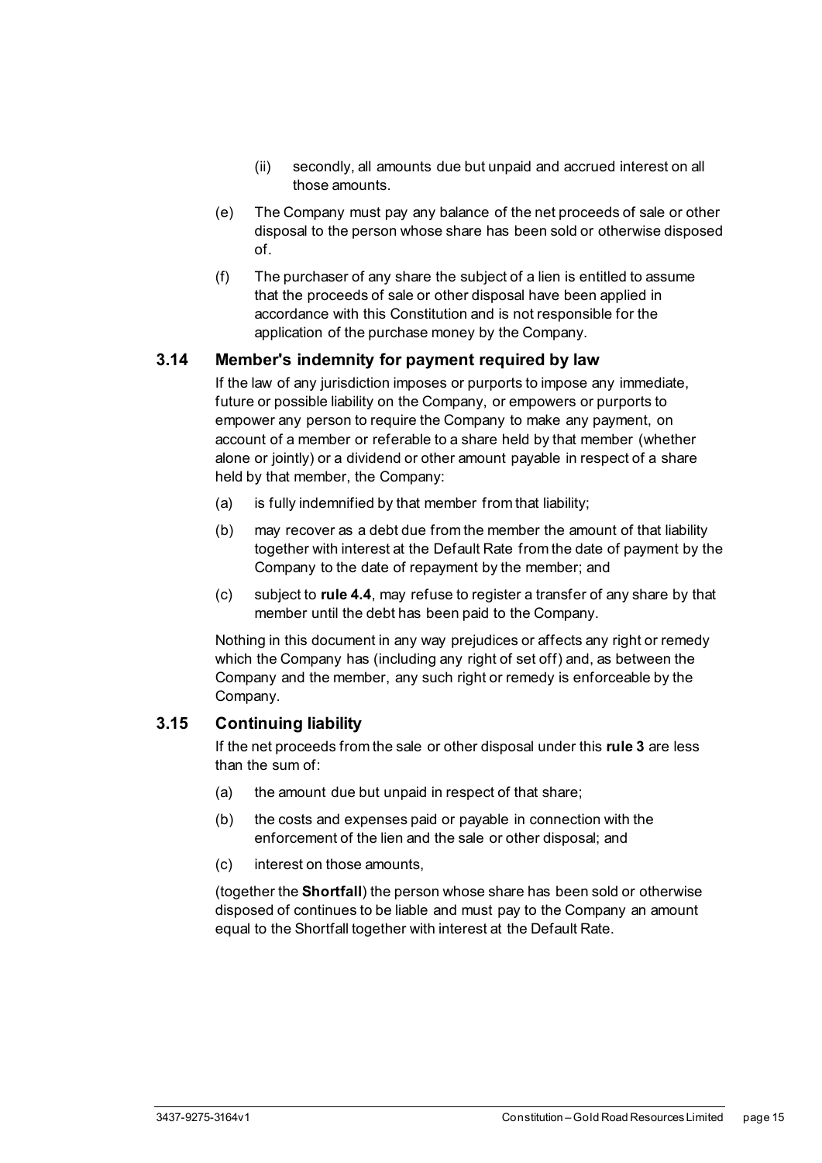- (ii) secondly, all amounts due but unpaid and accrued interest on all those amounts.
- (e) The Company must pay any balance of the net proceeds of sale or other disposal to the person whose share has been sold or otherwise disposed of.
- (f) The purchaser of any share the subject of a lien is entitled to assume that the proceeds of sale or other disposal have been applied in accordance with this Constitution and is not responsible for the application of the purchase money by the Company.

#### <span id="page-20-0"></span>**3.14 Member's indemnity for payment required by law**

If the law of any jurisdiction imposes or purports to impose any immediate, future or possible liability on the Company, or empowers or purports to empower any person to require the Company to make any payment, on account of a member or referable to a share held by that member (whether alone or jointly) or a dividend or other amount payable in respect of a share held by that member, the Company:

- (a) is fully indemnified by that member from that liability;
- (b) may recover as a debt due from the member the amount of that liability together with interest at the Default Rate from the date of payment by the Company to the date of repayment by the member; and
- (c) subject to **rule [4.4](#page-22-0)**, may refuse to register a transfer of any share by that member until the debt has been paid to the Company.

Nothing in this document in any way prejudices or affects any right or remedy which the Company has (including any right of set off) and, as between the Company and the member, any such right or remedy is enforceable by the Company.

#### <span id="page-20-1"></span>**3.15 Continuing liability**

If the net proceeds from the sale or other disposal under this **rule [3](#page-14-0)** are less than the sum of:

- (a) the amount due but unpaid in respect of that share;
- (b) the costs and expenses paid or payable in connection with the enforcement of the lien and the sale or other disposal; and
- (c) interest on those amounts,

(together the **Shortfall**) the person whose share has been sold or otherwise disposed of continues to be liable and must pay to the Company an amount equal to the Shortfall together with interest at the Default Rate.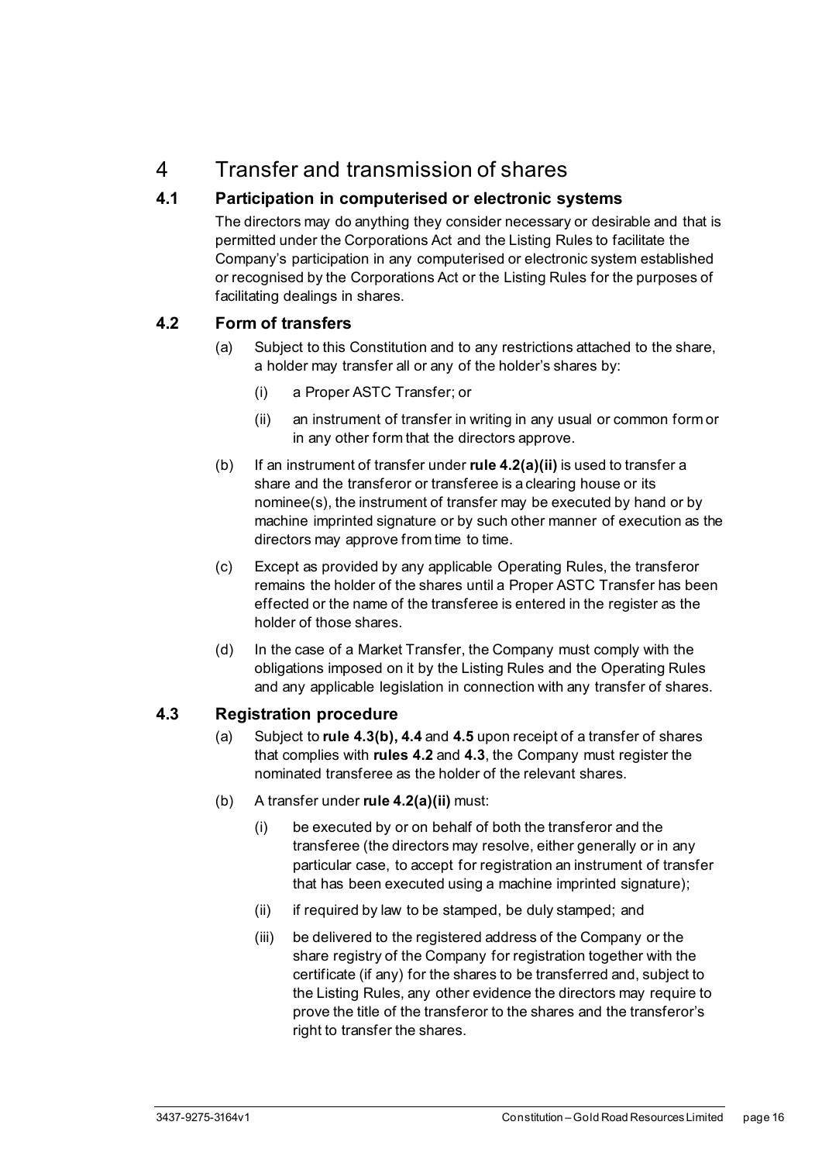## <span id="page-21-0"></span>4 Transfer and transmission of shares

#### <span id="page-21-1"></span>**4.1 Participation in computerised or electronic systems**

The directors may do anything they consider necessary or desirable and that is permitted under the Corporations Act and the Listing Rules to facilitate the Company's participation in any computerised or electronic system established or recognised by the Corporations Act or the Listing Rules for the purposes of facilitating dealings in shares.

#### <span id="page-21-2"></span>**4.2 Form of transfers**

- (a) Subject to this Constitution and to any restrictions attached to the share, a holder may transfer all or any of the holder's shares by:
	- (i) a Proper ASTC Transfer; or
	- (ii) an instrument of transfer in writing in any usual or common form or in any other form that the directors approve.
- <span id="page-21-4"></span>(b) If an instrument of transfer under **rul[e 4.2\(a\)\(ii\)](#page-21-4)** is used to transfer a share and the transferor or transferee is a clearing house or its nominee(s), the instrument of transfer may be executed by hand or by machine imprinted signature or by such other manner of execution as the directors may approve from time to time.
- (c) Except as provided by any applicable Operating Rules, the transferor remains the holder of the shares until a Proper ASTC Transfer has been effected or the name of the transferee is entered in the register as the holder of those shares.
- (d) In the case of a Market Transfer, the Company must comply with the obligations imposed on it by the Listing Rules and the Operating Rules and any applicable legislation in connection with any transfer of shares.

#### <span id="page-21-3"></span>**4.3 Registration procedure**

- (a) Subject to **rule [4.3\(b\),](#page-21-5) [4.4](#page-22-0)** and **[4.5](#page-22-1)** upon receipt of a transfer of shares that complies with **rule[s 4.2](#page-21-2)** and **[4.3](#page-21-3)**, the Company must register the nominated transferee as the holder of the relevant shares.
- <span id="page-21-5"></span>(b) A transfer under **rul[e 4.2\(a\)\(ii\)](#page-21-4)** must:
	- (i) be executed by or on behalf of both the transferor and the transferee (the directors may resolve, either generally or in any particular case, to accept for registration an instrument of transfer that has been executed using a machine imprinted signature);
	- (ii) if required by law to be stamped, be duly stamped; and
	- (iii) be delivered to the registered address of the Company or the share registry of the Company for registration together with the certificate (if any) for the shares to be transferred and, subject to the Listing Rules, any other evidence the directors may require to prove the title of the transferor to the shares and the transferor's right to transfer the shares.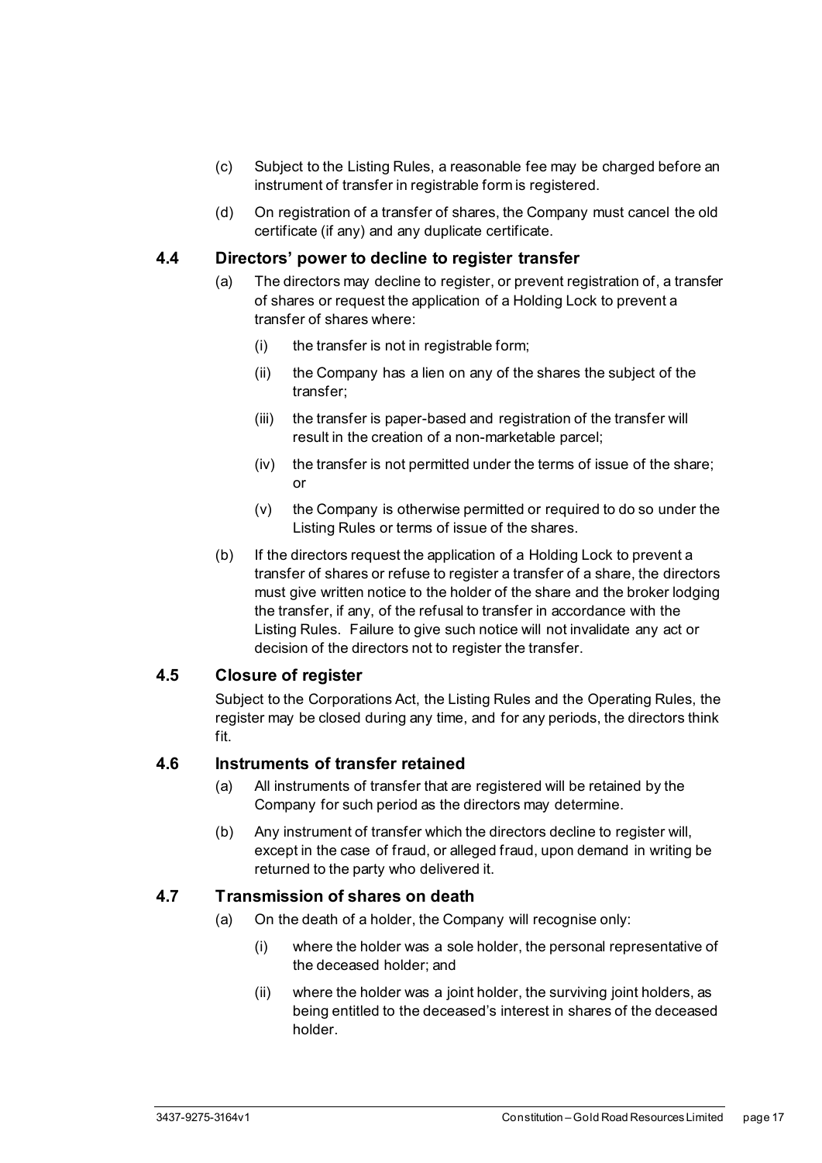- (c) Subject to the Listing Rules, a reasonable fee may be charged before an instrument of transfer in registrable form is registered.
- (d) On registration of a transfer of shares, the Company must cancel the old certificate (if any) and any duplicate certificate.

#### <span id="page-22-0"></span>**4.4 Directors' power to decline to register transfer**

- (a) The directors may decline to register, or prevent registration of, a transfer of shares or request the application of a Holding Lock to prevent a transfer of shares where:
	- (i) the transfer is not in registrable form;
	- (ii) the Company has a lien on any of the shares the subject of the transfer;
	- (iii) the transfer is paper-based and registration of the transfer will result in the creation of a non-marketable parcel;
	- (iv) the transfer is not permitted under the terms of issue of the share; or
	- (v) the Company is otherwise permitted or required to do so under the Listing Rules or terms of issue of the shares.
- (b) If the directors request the application of a Holding Lock to prevent a transfer of shares or refuse to register a transfer of a share, the directors must give written notice to the holder of the share and the broker lodging the transfer, if any, of the refusal to transfer in accordance with the Listing Rules. Failure to give such notice will not invalidate any act or decision of the directors not to register the transfer.

#### <span id="page-22-1"></span>**4.5 Closure of register**

Subject to the Corporations Act, the Listing Rules and the Operating Rules, the register may be closed during any time, and for any periods, the directors think fit.

#### <span id="page-22-2"></span>**4.6 Instruments of transfer retained**

- (a) All instruments of transfer that are registered will be retained by the Company for such period as the directors may determine.
- (b) Any instrument of transfer which the directors decline to register will, except in the case of fraud, or alleged fraud, upon demand in writing be returned to the party who delivered it.

#### <span id="page-22-3"></span>**4.7 Transmission of shares on death**

- (a) On the death of a holder, the Company will recognise only:
	- (i) where the holder was a sole holder, the personal representative of the deceased holder; and
	- (ii) where the holder was a joint holder, the surviving joint holders, as being entitled to the deceased's interest in shares of the deceased holder.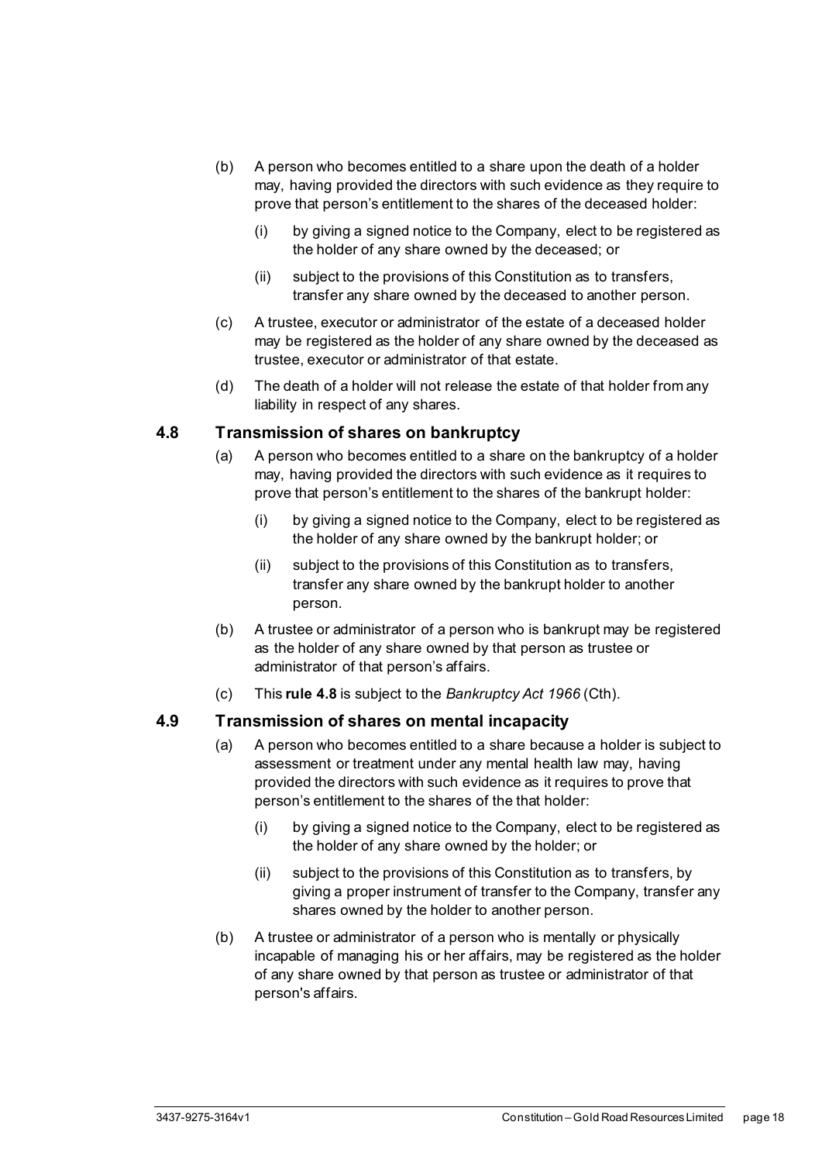- (b) A person who becomes entitled to a share upon the death of a holder may, having provided the directors with such evidence as they require to prove that person's entitlement to the shares of the deceased holder:
	- (i) by giving a signed notice to the Company, elect to be registered as the holder of any share owned by the deceased; or
	- (ii) subject to the provisions of this Constitution as to transfers, transfer any share owned by the deceased to another person.
- (c) A trustee, executor or administrator of the estate of a deceased holder may be registered as the holder of any share owned by the deceased as trustee, executor or administrator of that estate.
- (d) The death of a holder will not release the estate of that holder from any liability in respect of any shares.

#### <span id="page-23-0"></span>**4.8 Transmission of shares on bankruptcy**

- (a) A person who becomes entitled to a share on the bankruptcy of a holder may, having provided the directors with such evidence as it requires to prove that person's entitlement to the shares of the bankrupt holder:
	- (i) by giving a signed notice to the Company, elect to be registered as the holder of any share owned by the bankrupt holder; or
	- (ii) subject to the provisions of this Constitution as to transfers, transfer any share owned by the bankrupt holder to another person.
- (b) A trustee or administrator of a person who is bankrupt may be registered as the holder of any share owned by that person as trustee or administrator of that person's affairs.
- (c) This **rule [4.8](#page-23-0)** is subject to the *Bankruptcy Act 1966* (Cth).

#### <span id="page-23-1"></span>**4.9 Transmission of shares on mental incapacity**

- (a) A person who becomes entitled to a share because a holder is subject to assessment or treatment under any mental health law may, having provided the directors with such evidence as it requires to prove that person's entitlement to the shares of the that holder:
	- (i) by giving a signed notice to the Company, elect to be registered as the holder of any share owned by the holder; or
	- (ii) subject to the provisions of this Constitution as to transfers, by giving a proper instrument of transfer to the Company, transfer any shares owned by the holder to another person.
- (b) A trustee or administrator of a person who is mentally or physically incapable of managing his or her affairs, may be registered as the holder of any share owned by that person as trustee or administrator of that person's affairs.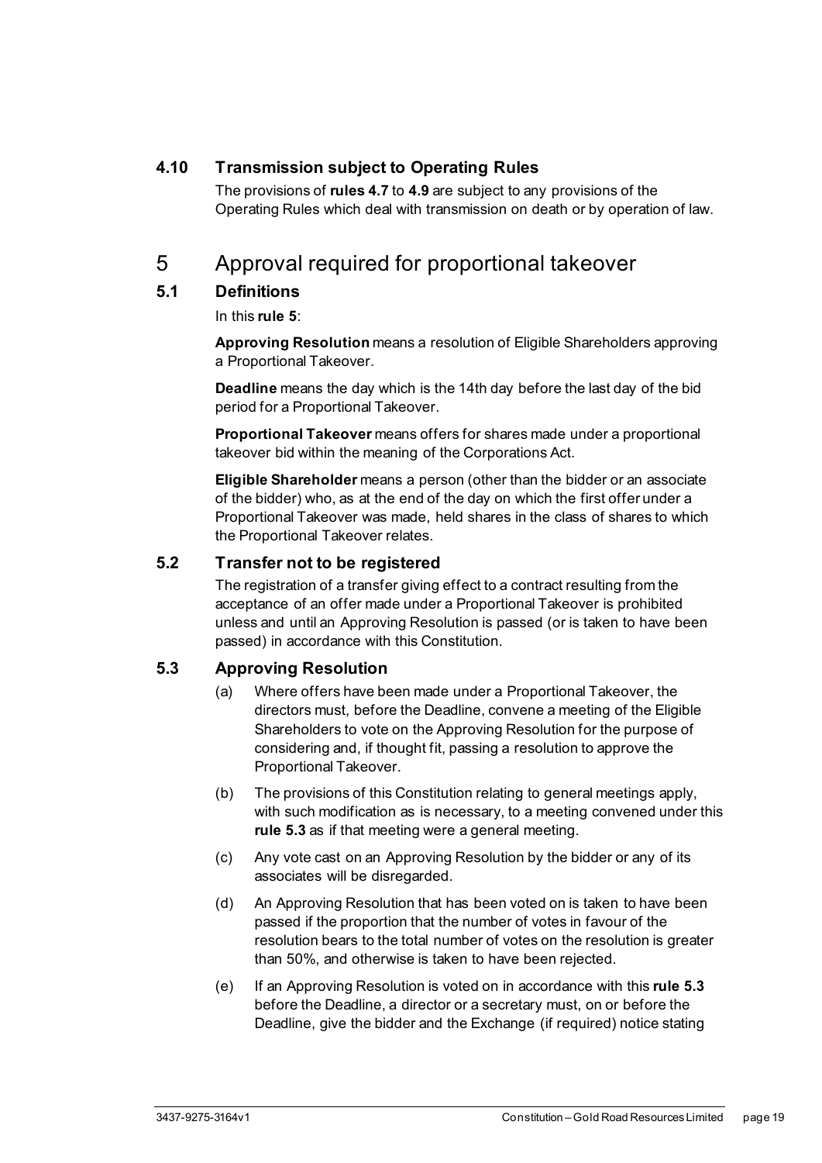#### <span id="page-24-0"></span>**4.10 Transmission subject to Operating Rules**

The provisions of **rules [4.7](#page-22-3)** to **[4.9](#page-23-1)** are subject to any provisions of the Operating Rules which deal with transmission on death or by operation of law.

## <span id="page-24-1"></span>5 Approval required for proportional takeover

#### <span id="page-24-2"></span>**5.1 Definitions**

In this **rule [5](#page-24-1)**:

**Approving Resolution** means a resolution of Eligible Shareholders approving a Proportional Takeover.

**Deadline** means the day which is the 14th day before the last day of the bid period for a Proportional Takeover.

**Proportional Takeover** means offers for shares made under a proportional takeover bid within the meaning of the Corporations Act.

**Eligible Shareholder** means a person (other than the bidder or an associate of the bidder) who, as at the end of the day on which the first offer under a Proportional Takeover was made, held shares in the class of shares to which the Proportional Takeover relates.

#### <span id="page-24-3"></span>**5.2 Transfer not to be registered**

The registration of a transfer giving effect to a contract resulting from the acceptance of an offer made under a Proportional Takeover is prohibited unless and until an Approving Resolution is passed (or is taken to have been passed) in accordance with this Constitution.

#### <span id="page-24-4"></span>**5.3 Approving Resolution**

- (a) Where offers have been made under a Proportional Takeover, the directors must, before the Deadline, convene a meeting of the Eligible Shareholders to vote on the Approving Resolution for the purpose of considering and, if thought fit, passing a resolution to approve the Proportional Takeover.
- (b) The provisions of this Constitution relating to general meetings apply, with such modification as is necessary, to a meeting convened under this **rule [5.3](#page-24-4)** as if that meeting were a general meeting.
- (c) Any vote cast on an Approving Resolution by the bidder or any of its associates will be disregarded.
- (d) An Approving Resolution that has been voted on is taken to have been passed if the proportion that the number of votes in favour of the resolution bears to the total number of votes on the resolution is greater than 50%, and otherwise is taken to have been rejected.
- (e) If an Approving Resolution is voted on in accordance with this **rule [5.3](#page-24-4)** before the Deadline, a director or a secretary must, on or before the Deadline, give the bidder and the Exchange (if required) notice stating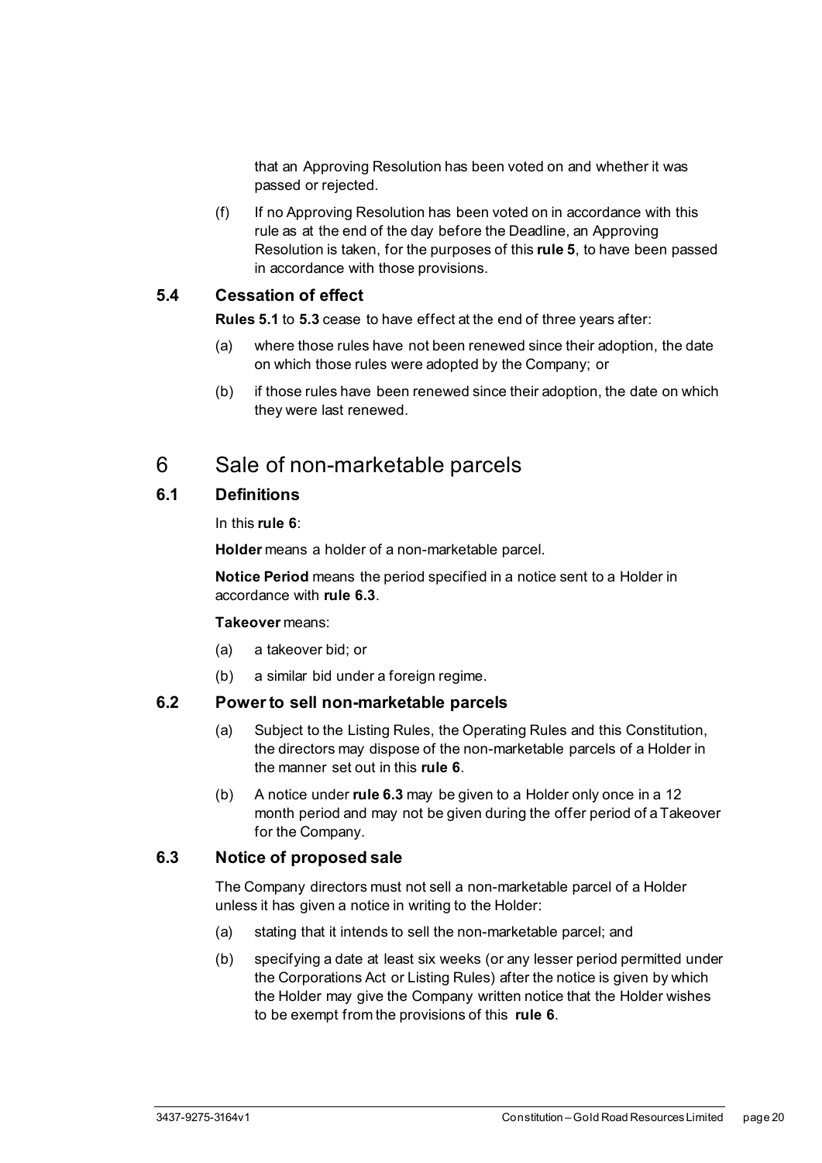that an Approving Resolution has been voted on and whether it was passed or rejected.

(f) If no Approving Resolution has been voted on in accordance with this rule as at the end of the day before the Deadline, an Approving Resolution is taken, for the purposes of this **rule [5](#page-24-1)**, to have been passed in accordance with those provisions.

#### <span id="page-25-0"></span>**5.4 Cessation of effect**

**Rule[s 5.1](#page-24-2)** to **[5.3](#page-24-4)** cease to have effect at the end of three years after:

- (a) where those rules have not been renewed since their adoption, the date on which those rules were adopted by the Company; or
- (b) if those rules have been renewed since their adoption, the date on which they were last renewed.

## <span id="page-25-1"></span>6 Sale of non-marketable parcels

#### <span id="page-25-2"></span>**6.1 Definitions**

In this **rule [6](#page-25-1)**:

**Holder** means a holder of a non-marketable parcel.

**Notice Period** means the period specified in a notice sent to a Holder in accordance with **rule [6.3](#page-25-4)**.

#### **Takeover** means:

- (a) a takeover bid; or
- (b) a similar bid under a foreign regime.

#### <span id="page-25-3"></span>**6.2 Power to sell non-marketable parcels**

- (a) Subject to the Listing Rules, the Operating Rules and this Constitution, the directors may dispose of the non-marketable parcels of a Holder in the manner set out in this **rule [6](#page-25-1)**.
- (b) A notice under **rul[e 6.3](#page-25-4)** may be given to a Holder only once in a 12 month period and may not be given during the offer period of a Takeover for the Company.

#### <span id="page-25-4"></span>**6.3 Notice of proposed sale**

The Company directors must not sell a non-marketable parcel of a Holder unless it has given a notice in writing to the Holder:

- (a) stating that it intends to sell the non-marketable parcel; and
- (b) specifying a date at least six weeks (or any lesser period permitted under the Corporations Act or Listing Rules) after the notice is given by which the Holder may give the Company written notice that the Holder wishes to be exempt from the provisions of this **rule [6](#page-25-1)**.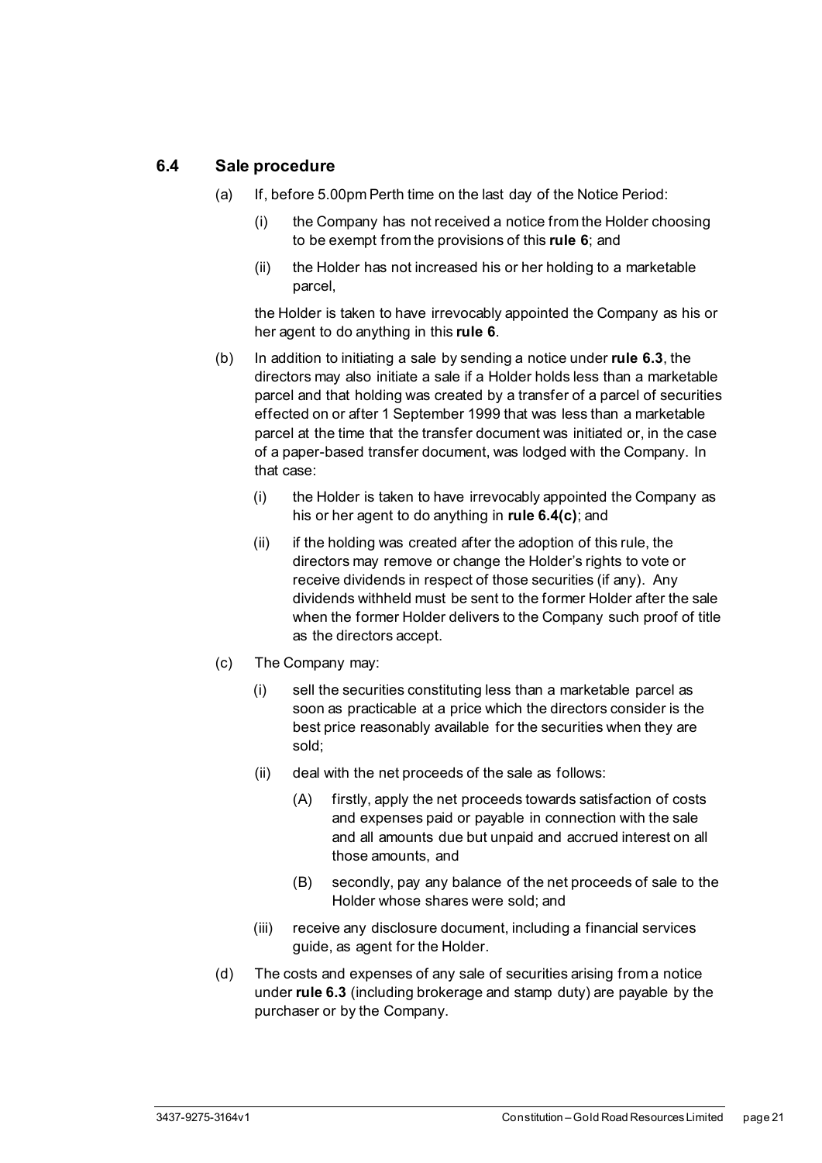#### <span id="page-26-0"></span>**6.4 Sale procedure**

- (a) If, before 5.00pm Perth time on the last day of the Notice Period:
	- (i) the Company has not received a notice from the Holder choosing to be exempt from the provisions of this **rule [6](#page-25-1)**; and
	- (ii) the Holder has not increased his or her holding to a marketable parcel,

the Holder is taken to have irrevocably appointed the Company as his or her agent to do anything in this **rule [6](#page-25-1)**.

- (b) In addition to initiating a sale by sending a notice under **rule [6.3](#page-25-4)**, the directors may also initiate a sale if a Holder holds less than a marketable parcel and that holding was created by a transfer of a parcel of securities effected on or after 1 September 1999 that was less than a marketable parcel at the time that the transfer document was initiated or, in the case of a paper-based transfer document, was lodged with the Company. In that case:
	- (i) the Holder is taken to have irrevocably appointed the Company as his or her agent to do anything in **rule [6.4\(c\)](#page-26-1)**; and
	- (ii) if the holding was created after the adoption of this rule, the directors may remove or change the Holder's rights to vote or receive dividends in respect of those securities (if any). Any dividends withheld must be sent to the former Holder after the sale when the former Holder delivers to the Company such proof of title as the directors accept.
- <span id="page-26-1"></span>(c) The Company may:
	- (i) sell the securities constituting less than a marketable parcel as soon as practicable at a price which the directors consider is the best price reasonably available for the securities when they are sold;
	- (ii) deal with the net proceeds of the sale as follows:
		- (A) firstly, apply the net proceeds towards satisfaction of costs and expenses paid or payable in connection with the sale and all amounts due but unpaid and accrued interest on all those amounts, and
		- (B) secondly, pay any balance of the net proceeds of sale to the Holder whose shares were sold; and
	- (iii) receive any disclosure document, including a financial services guide, as agent for the Holder.
- (d) The costs and expenses of any sale of securities arising from a notice under **rule [6.3](#page-25-4)** (including brokerage and stamp duty) are payable by the purchaser or by the Company.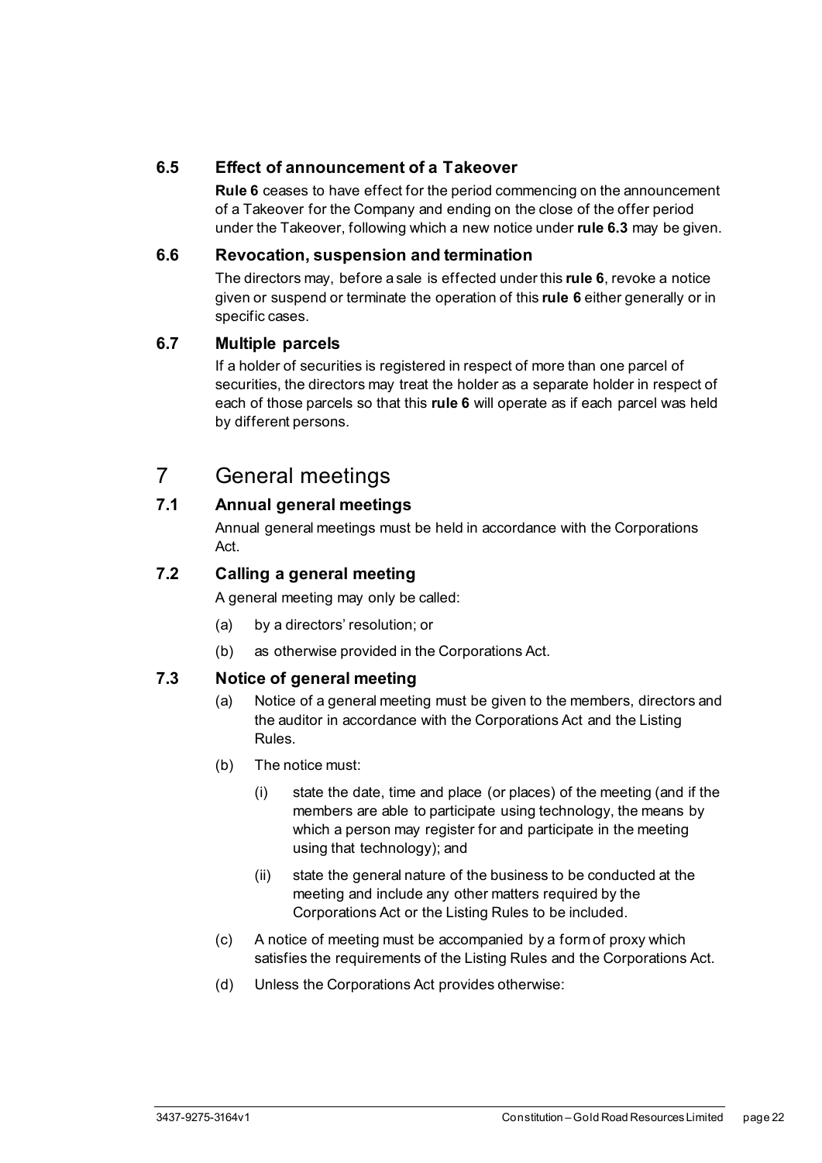#### <span id="page-27-0"></span>**6.5 Effect of announcement of a Takeover**

**Rul[e 6](#page-25-1)** ceases to have effect for the period commencing on the announcement of a Takeover for the Company and ending on the close of the offer period under the Takeover, following which a new notice under **rule [6.3](#page-25-4)** may be given.

#### <span id="page-27-1"></span>**6.6 Revocation, suspension and termination**

The directors may, before a sale is effected under this **rule [6](#page-25-1)**, revoke a notice given or suspend or terminate the operation of this **rule [6](#page-25-1)** either generally or in specific cases.

#### <span id="page-27-2"></span>**6.7 Multiple parcels**

If a holder of securities is registered in respect of more than one parcel of securities, the directors may treat the holder as a separate holder in respect of each of those parcels so that this **rule [6](#page-25-1)** will operate as if each parcel was held by different persons.

## <span id="page-27-3"></span>7 General meetings

#### <span id="page-27-4"></span>**7.1 Annual general meetings**

Annual general meetings must be held in accordance with the Corporations Act.

#### <span id="page-27-5"></span>**7.2 Calling a general meeting**

A general meeting may only be called:

- (a) by a directors' resolution; or
- (b) as otherwise provided in the Corporations Act.

#### <span id="page-27-6"></span>**7.3 Notice of general meeting**

- (a) Notice of a general meeting must be given to the members, directors and the auditor in accordance with the Corporations Act and the Listing Rules.
- (b) The notice must:
	- (i) state the date, time and place (or places) of the meeting (and if the members are able to participate using technology, the means by which a person may register for and participate in the meeting using that technology); and
	- (ii) state the general nature of the business to be conducted at the meeting and include any other matters required by the Corporations Act or the Listing Rules to be included.
- (c) A notice of meeting must be accompanied by a form of proxy which satisfies the requirements of the Listing Rules and the Corporations Act.
- (d) Unless the Corporations Act provides otherwise: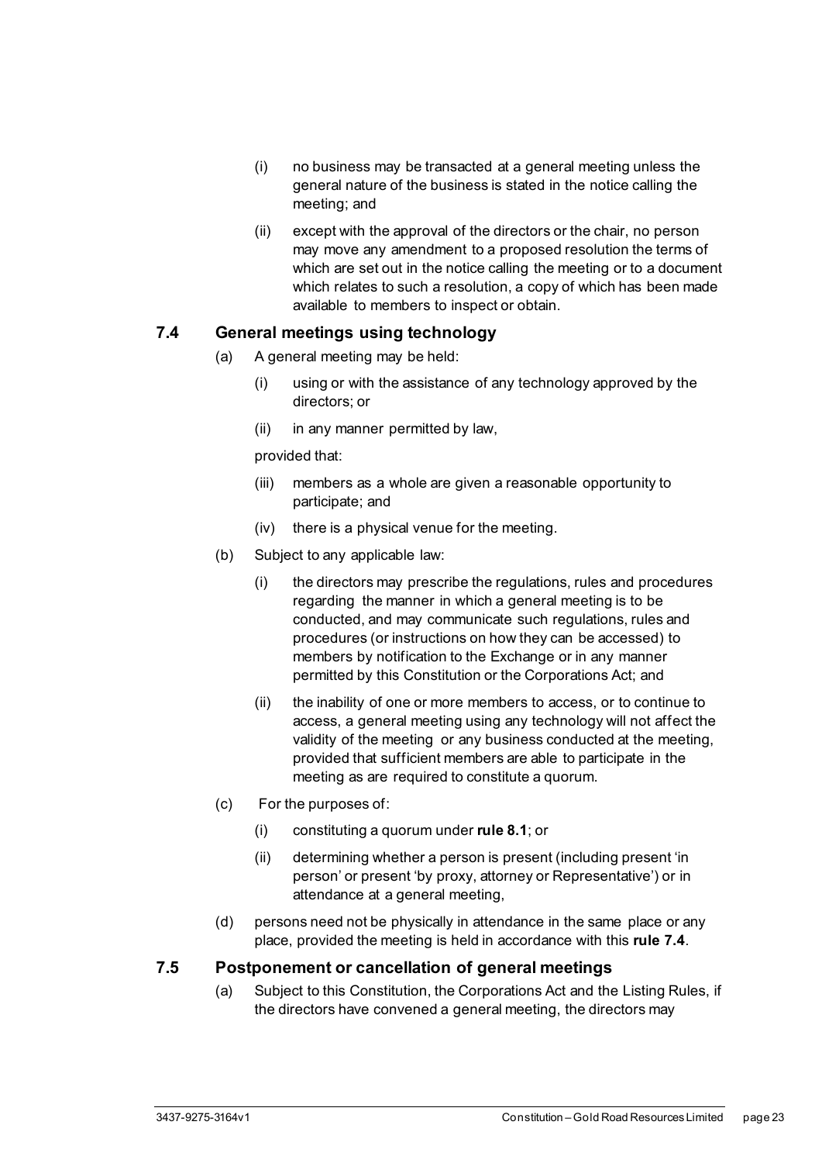- (i) no business may be transacted at a general meeting unless the general nature of the business is stated in the notice calling the meeting; and
- (ii) except with the approval of the directors or the chair, no person may move any amendment to a proposed resolution the terms of which are set out in the notice calling the meeting or to a document which relates to such a resolution, a copy of which has been made available to members to inspect or obtain.

#### <span id="page-28-0"></span>**7.4 General meetings using technology**

- (a) A general meeting may be held:
	- (i) using or with the assistance of any technology approved by the directors; or
	- (ii) in any manner permitted by law,

provided that:

- (iii) members as a whole are given a reasonable opportunity to participate; and
- (iv) there is a physical venue for the meeting.
- (b) Subject to any applicable law:
	- (i) the directors may prescribe the regulations, rules and procedures regarding the manner in which a general meeting is to be conducted, and may communicate such regulations, rules and procedures (or instructions on how they can be accessed) to members by notification to the Exchange or in any manner permitted by this Constitution or the Corporations Act; and
	- (ii) the inability of one or more members to access, or to continue to access, a general meeting using any technology will not affect the validity of the meeting or any business conducted at the meeting, provided that sufficient members are able to participate in the meeting as are required to constitute a quorum.
- (c) For the purposes of:
	- (i) constituting a quorum under **rule [8.1](#page-29-3)**; or
	- (ii) determining whether a person is present (including present 'in person' or present 'by proxy, attorney or Representative') or in attendance at a general meeting,
- (d) persons need not be physically in attendance in the same place or any place, provided the meeting is held in accordance with this **rule [7.4](#page-28-0)**.

#### <span id="page-28-1"></span>**7.5 Postponement or cancellation of general meetings**

(a) Subject to this Constitution, the Corporations Act and the Listing Rules, if the directors have convened a general meeting, the directors may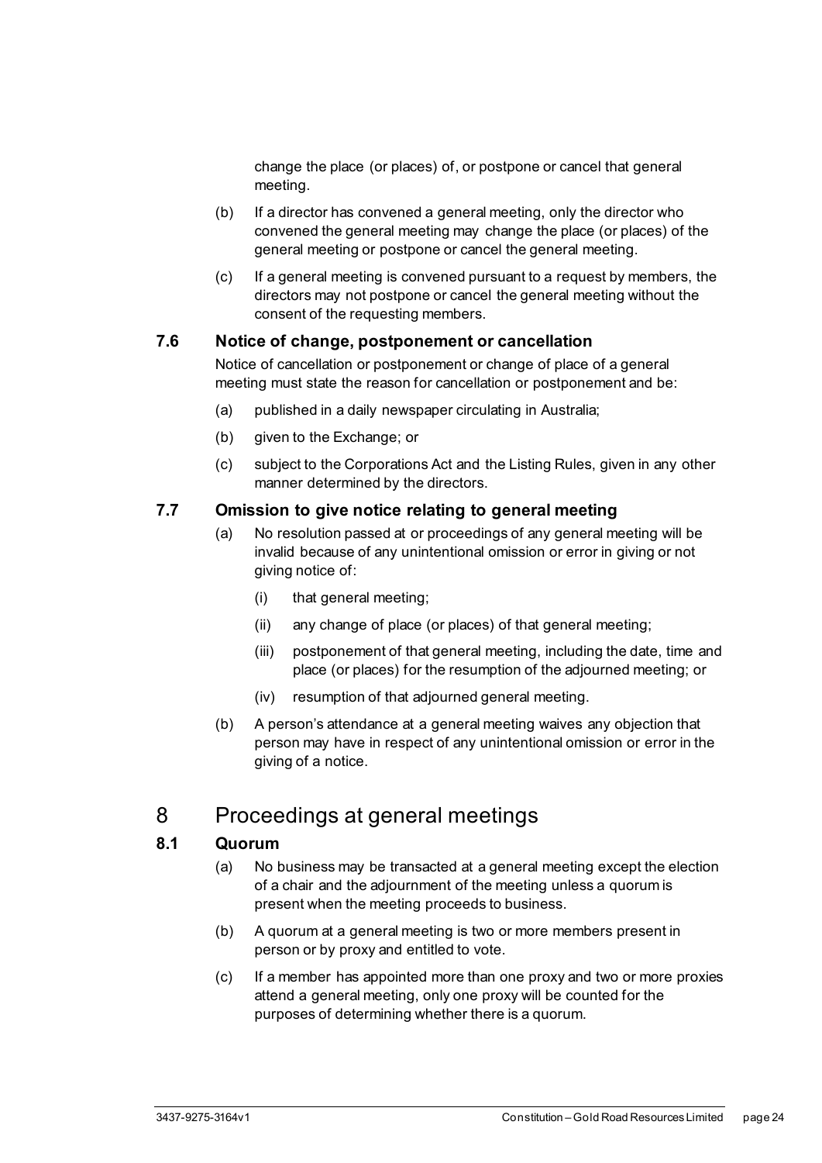change the place (or places) of, or postpone or cancel that general meeting.

- (b) If a director has convened a general meeting, only the director who convened the general meeting may change the place (or places) of the general meeting or postpone or cancel the general meeting.
- (c) If a general meeting is convened pursuant to a request by members, the directors may not postpone or cancel the general meeting without the consent of the requesting members.

#### <span id="page-29-0"></span>**7.6 Notice of change, postponement or cancellation**

Notice of cancellation or postponement or change of place of a general meeting must state the reason for cancellation or postponement and be:

- (a) published in a daily newspaper circulating in Australia;
- (b) given to the Exchange; or
- (c) subject to the Corporations Act and the Listing Rules, given in any other manner determined by the directors.

#### <span id="page-29-1"></span>**7.7 Omission to give notice relating to general meeting**

- (a) No resolution passed at or proceedings of any general meeting will be invalid because of any unintentional omission or error in giving or not giving notice of:
	- (i) that general meeting;
	- (ii) any change of place (or places) of that general meeting;
	- (iii) postponement of that general meeting, including the date, time and place (or places) for the resumption of the adjourned meeting; or
	- (iv) resumption of that adjourned general meeting.
- (b) A person's attendance at a general meeting waives any objection that person may have in respect of any unintentional omission or error in the giving of a notice.

## <span id="page-29-2"></span>8 Proceedings at general meetings

#### <span id="page-29-3"></span>**8.1 Quorum**

- (a) No business may be transacted at a general meeting except the election of a chair and the adjournment of the meeting unless a quorum is present when the meeting proceeds to business.
- (b) A quorum at a general meeting is two or more members present in person or by proxy and entitled to vote.
- (c) If a member has appointed more than one proxy and two or more proxies attend a general meeting, only one proxy will be counted for the purposes of determining whether there is a quorum.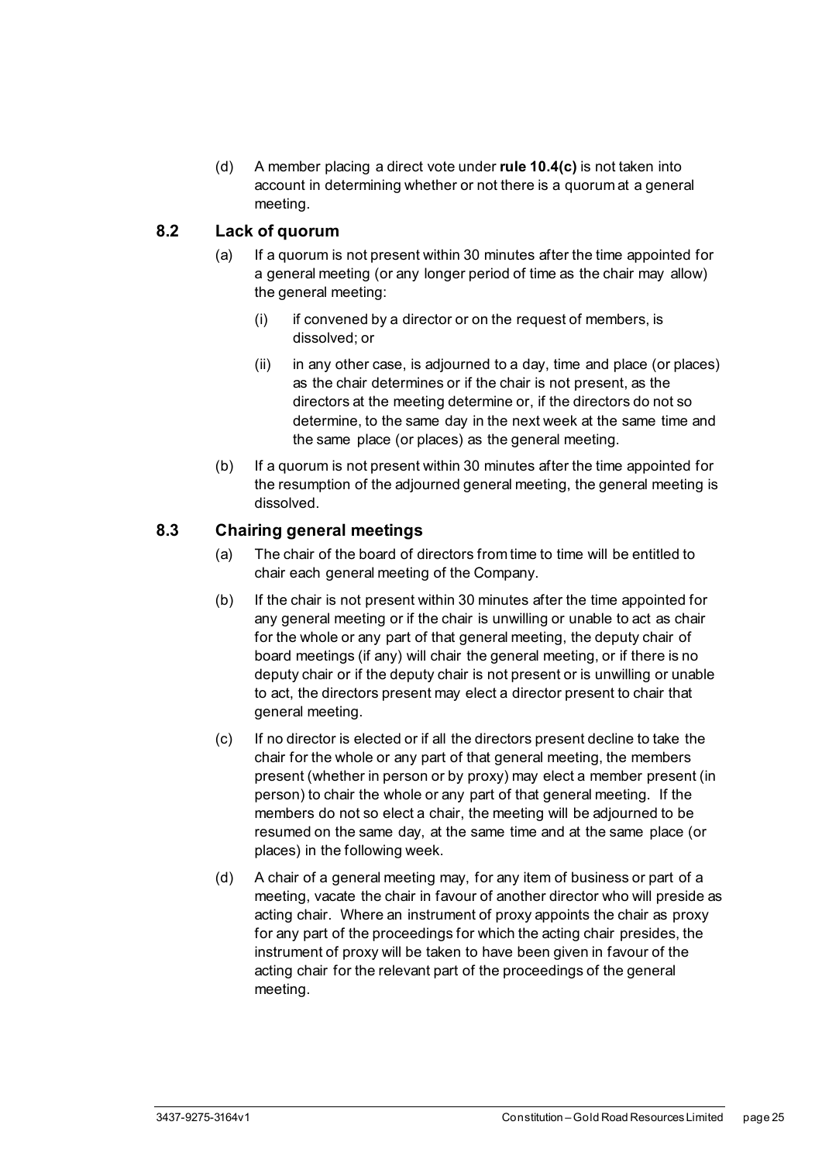(d) A member placing a direct vote under **rule [10.4\(c\)](#page-39-2)** is not taken into account in determining whether or not there is a quorum at a general meeting.

#### <span id="page-30-0"></span>**8.2 Lack of quorum**

- (a) If a quorum is not present within 30 minutes after the time appointed for a general meeting (or any longer period of time as the chair may allow) the general meeting:
	- (i) if convened by a director or on the request of members, is dissolved; or
	- (ii) in any other case, is adjourned to a day, time and place (or places) as the chair determines or if the chair is not present, as the directors at the meeting determine or, if the directors do not so determine, to the same day in the next week at the same time and the same place (or places) as the general meeting.
- (b) If a quorum is not present within 30 minutes after the time appointed for the resumption of the adjourned general meeting, the general meeting is dissolved.

#### <span id="page-30-1"></span>**8.3 Chairing general meetings**

- (a) The chair of the board of directors from time to time will be entitled to chair each general meeting of the Company.
- (b) If the chair is not present within 30 minutes after the time appointed for any general meeting or if the chair is unwilling or unable to act as chair for the whole or any part of that general meeting, the deputy chair of board meetings (if any) will chair the general meeting, or if there is no deputy chair or if the deputy chair is not present or is unwilling or unable to act, the directors present may elect a director present to chair that general meeting.
- (c) If no director is elected or if all the directors present decline to take the chair for the whole or any part of that general meeting, the members present (whether in person or by proxy) may elect a member present (in person) to chair the whole or any part of that general meeting. If the members do not so elect a chair, the meeting will be adjourned to be resumed on the same day, at the same time and at the same place (or places) in the following week.
- (d) A chair of a general meeting may, for any item of business or part of a meeting, vacate the chair in favour of another director who will preside as acting chair. Where an instrument of proxy appoints the chair as proxy for any part of the proceedings for which the acting chair presides, the instrument of proxy will be taken to have been given in favour of the acting chair for the relevant part of the proceedings of the general meeting.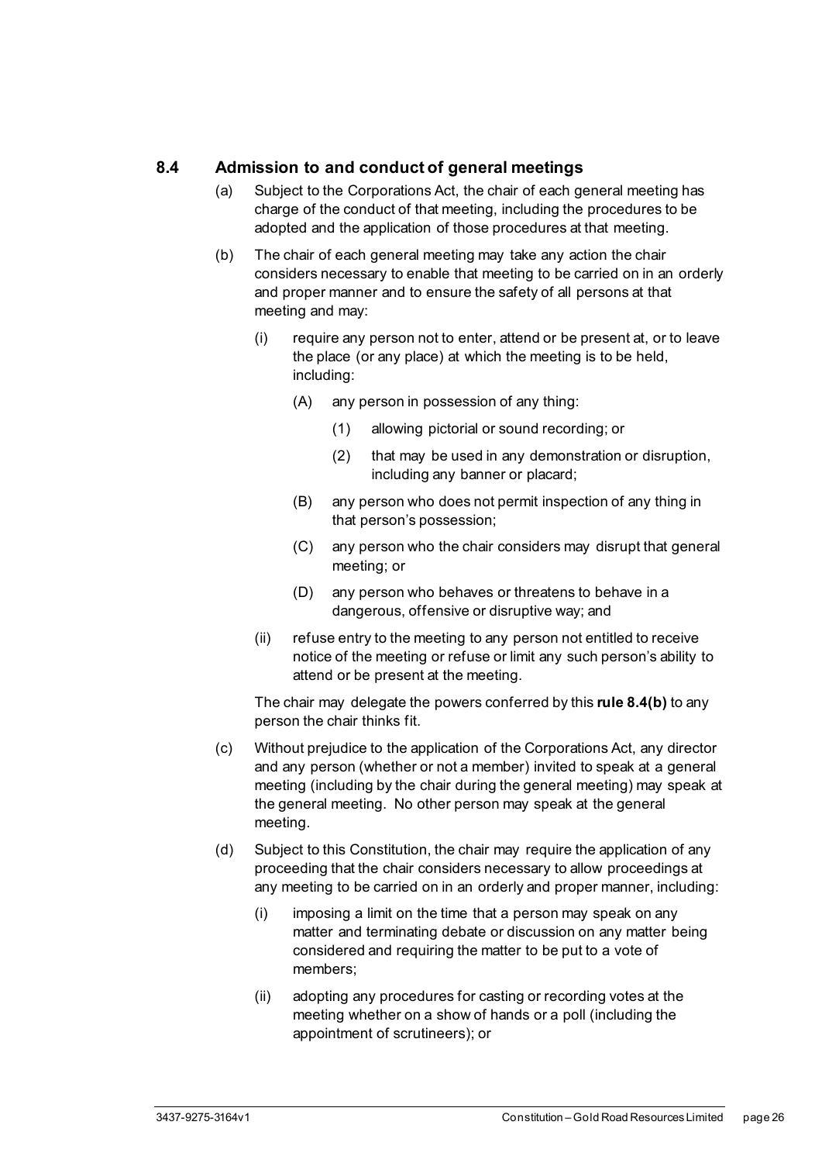#### <span id="page-31-0"></span>**8.4 Admission to and conduct of general meetings**

- (a) Subject to the Corporations Act, the chair of each general meeting has charge of the conduct of that meeting, including the procedures to be adopted and the application of those procedures at that meeting.
- <span id="page-31-1"></span>(b) The chair of each general meeting may take any action the chair considers necessary to enable that meeting to be carried on in an orderly and proper manner and to ensure the safety of all persons at that meeting and may:
	- (i) require any person not to enter, attend or be present at, or to leave the place (or any place) at which the meeting is to be held, including:
		- (A) any person in possession of any thing:
			- (1) allowing pictorial or sound recording; or
			- (2) that may be used in any demonstration or disruption, including any banner or placard;
		- (B) any person who does not permit inspection of any thing in that person's possession;
		- (C) any person who the chair considers may disrupt that general meeting; or
		- (D) any person who behaves or threatens to behave in a dangerous, offensive or disruptive way; and
	- (ii) refuse entry to the meeting to any person not entitled to receive notice of the meeting or refuse or limit any such person's ability to attend or be present at the meeting.

The chair may delegate the powers conferred by this **rule [8.4\(b\)](#page-31-1)** to any person the chair thinks fit.

- (c) Without prejudice to the application of the Corporations Act, any director and any person (whether or not a member) invited to speak at a general meeting (including by the chair during the general meeting) may speak at the general meeting. No other person may speak at the general meeting.
- (d) Subject to this Constitution, the chair may require the application of any proceeding that the chair considers necessary to allow proceedings at any meeting to be carried on in an orderly and proper manner, including:
	- (i) imposing a limit on the time that a person may speak on any matter and terminating debate or discussion on any matter being considered and requiring the matter to be put to a vote of members;
	- (ii) adopting any procedures for casting or recording votes at the meeting whether on a show of hands or a poll (including the appointment of scrutineers); or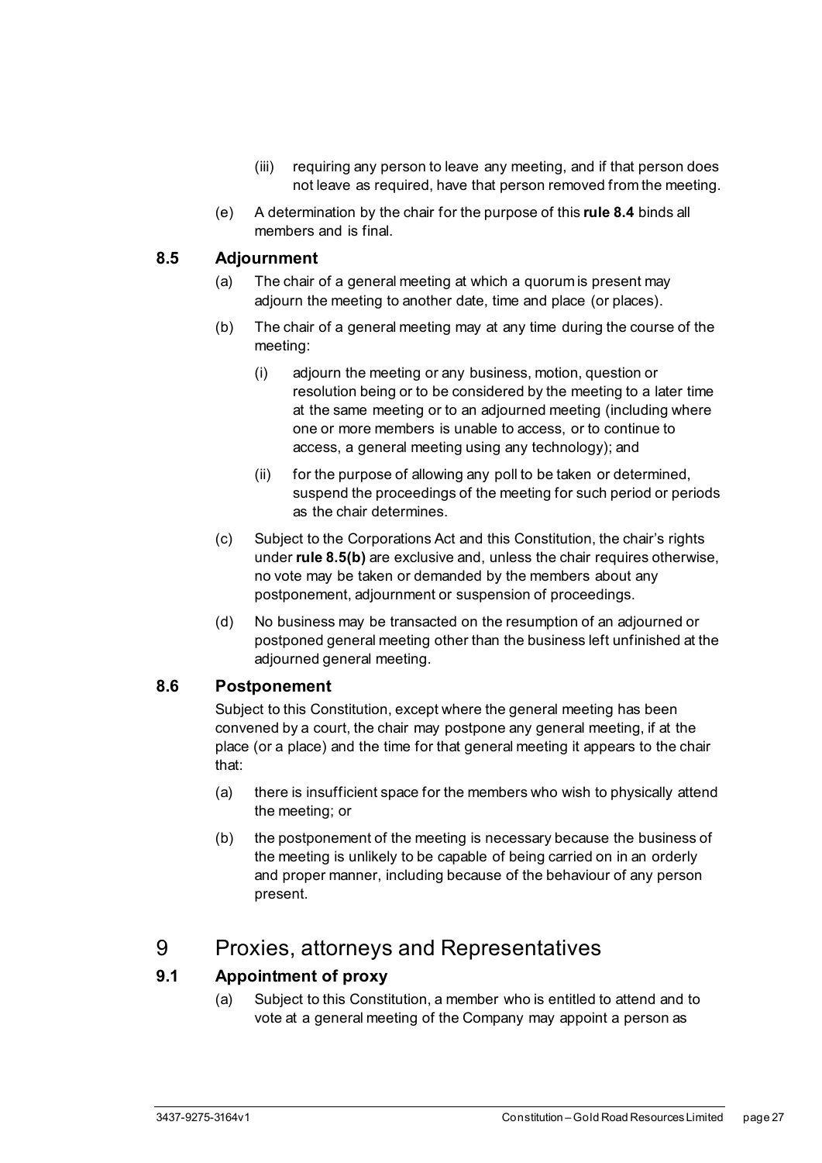- (iii) requiring any person to leave any meeting, and if that person does not leave as required, have that person removed from the meeting.
- (e) A determination by the chair for the purpose of this **rul[e 8.4](#page-31-0)** binds all members and is final.

#### <span id="page-32-0"></span>**8.5 Adjournment**

- (a) The chair of a general meeting at which a quorum is present may adjourn the meeting to another date, time and place (or places).
- <span id="page-32-4"></span>(b) The chair of a general meeting may at any time during the course of the meeting:
	- (i) adjourn the meeting or any business, motion, question or resolution being or to be considered by the meeting to a later time at the same meeting or to an adjourned meeting (including where one or more members is unable to access, or to continue to access, a general meeting using any technology); and
	- (ii) for the purpose of allowing any poll to be taken or determined, suspend the proceedings of the meeting for such period or periods as the chair determines.
- (c) Subject to the Corporations Act and this Constitution, the chair's rights under **rule [8.5\(b\)](#page-32-4)** are exclusive and, unless the chair requires otherwise, no vote may be taken or demanded by the members about any postponement, adjournment or suspension of proceedings.
- (d) No business may be transacted on the resumption of an adjourned or postponed general meeting other than the business left unfinished at the adjourned general meeting.

#### <span id="page-32-1"></span>**8.6 Postponement**

Subject to this Constitution, except where the general meeting has been convened by a court, the chair may postpone any general meeting, if at the place (or a place) and the time for that general meeting it appears to the chair that:

- (a) there is insufficient space for the members who wish to physically attend the meeting; or
- (b) the postponement of the meeting is necessary because the business of the meeting is unlikely to be capable of being carried on in an orderly and proper manner, including because of the behaviour of any person present.

### <span id="page-32-2"></span>9 Proxies, attorneys and Representatives

#### <span id="page-32-3"></span>**9.1 Appointment of proxy**

(a) Subject to this Constitution, a member who is entitled to attend and to vote at a general meeting of the Company may appoint a person as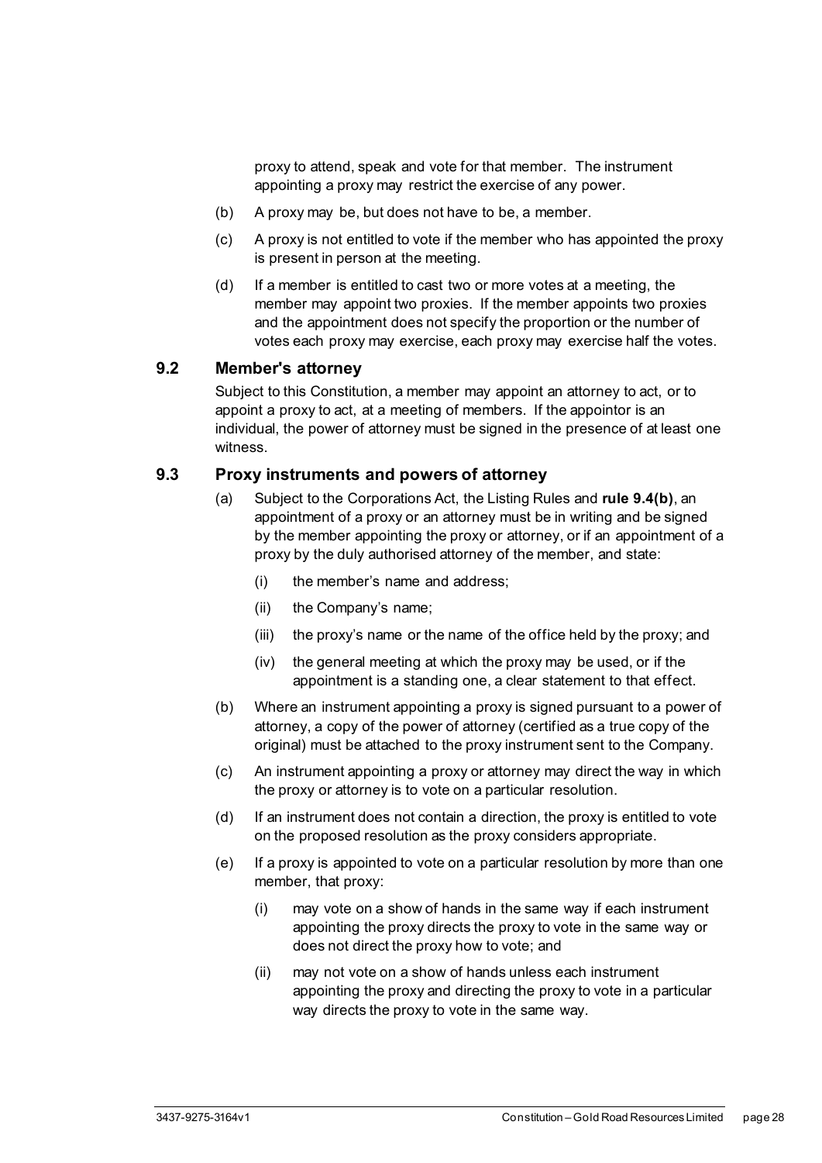proxy to attend, speak and vote for that member. The instrument appointing a proxy may restrict the exercise of any power.

- (b) A proxy may be, but does not have to be, a member.
- (c) A proxy is not entitled to vote if the member who has appointed the proxy is present in person at the meeting.
- (d) If a member is entitled to cast two or more votes at a meeting, the member may appoint two proxies. If the member appoints two proxies and the appointment does not specify the proportion or the number of votes each proxy may exercise, each proxy may exercise half the votes.

#### <span id="page-33-0"></span>**9.2 Member's attorney**

Subject to this Constitution, a member may appoint an attorney to act, or to appoint a proxy to act, at a meeting of members. If the appointor is an individual, the power of attorney must be signed in the presence of at least one witness.

#### <span id="page-33-1"></span>**9.3 Proxy instruments and powers of attorney**

- (a) Subject to the Corporations Act, the Listing Rules and **rule [9.4\(b\)](#page-34-1)**, an appointment of a proxy or an attorney must be in writing and be signed by the member appointing the proxy or attorney, or if an appointment of a proxy by the duly authorised attorney of the member, and state:
	- (i) the member's name and address;
	- (ii) the Company's name;
	- (iii) the proxy's name or the name of the office held by the proxy; and
	- (iv) the general meeting at which the proxy may be used, or if the appointment is a standing one, a clear statement to that effect.
- (b) Where an instrument appointing a proxy is signed pursuant to a power of attorney, a copy of the power of attorney (certified as a true copy of the original) must be attached to the proxy instrument sent to the Company.
- (c) An instrument appointing a proxy or attorney may direct the way in which the proxy or attorney is to vote on a particular resolution.
- (d) If an instrument does not contain a direction, the proxy is entitled to vote on the proposed resolution as the proxy considers appropriate.
- (e) If a proxy is appointed to vote on a particular resolution by more than one member, that proxy:
	- (i) may vote on a show of hands in the same way if each instrument appointing the proxy directs the proxy to vote in the same way or does not direct the proxy how to vote; and
	- (ii) may not vote on a show of hands unless each instrument appointing the proxy and directing the proxy to vote in a particular way directs the proxy to vote in the same way.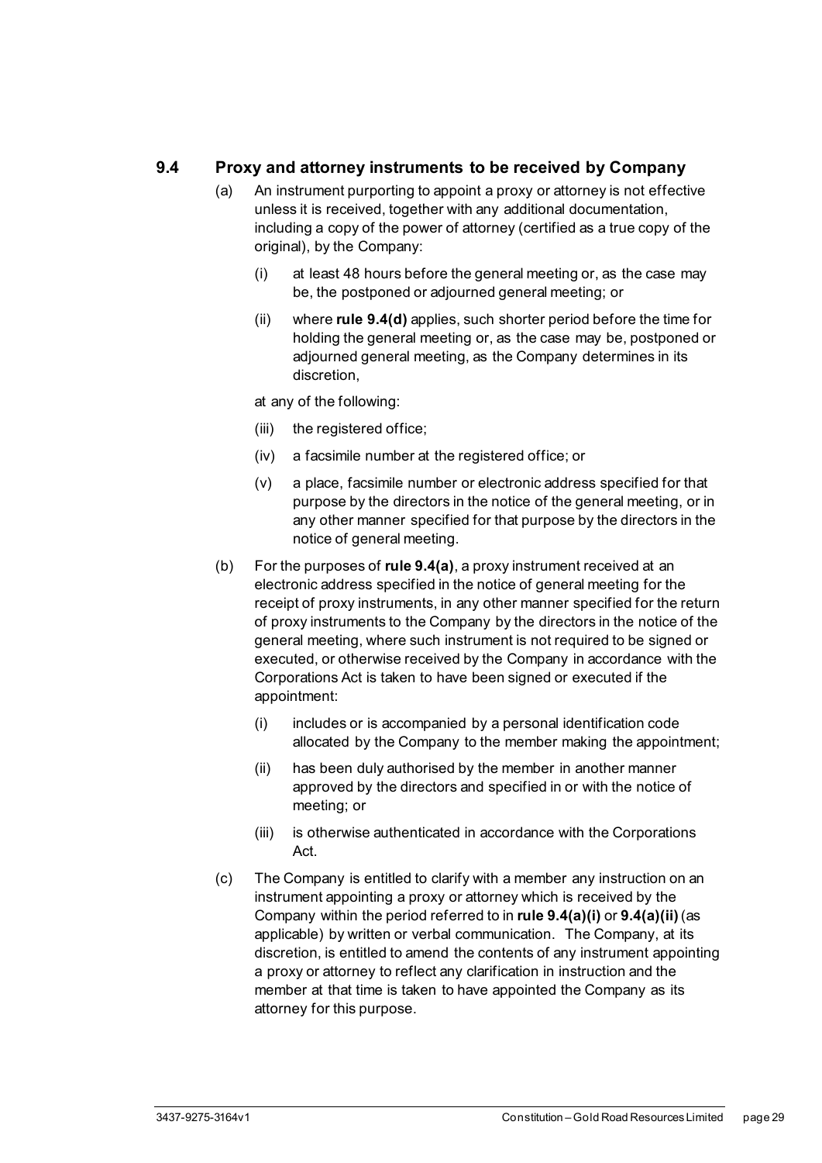#### <span id="page-34-2"></span><span id="page-34-0"></span>**9.4 Proxy and attorney instruments to be received by Company**

- <span id="page-34-3"></span>(a) An instrument purporting to appoint a proxy or attorney is not effective unless it is received, together with any additional documentation, including a copy of the power of attorney (certified as a true copy of the original), by the Company:
	- (i) at least 48 hours before the general meeting or, as the case may be, the postponed or adjourned general meeting; or
	- (ii) where **rule [9.4\(d\)](#page-35-4)** applies, such shorter period before the time for holding the general meeting or, as the case may be, postponed or adjourned general meeting, as the Company determines in its discretion,

<span id="page-34-4"></span>at any of the following:

- (iii) the registered office;
- (iv) a facsimile number at the registered office; or
- (v) a place, facsimile number or electronic address specified for that purpose by the directors in the notice of the general meeting, or in any other manner specified for that purpose by the directors in the notice of general meeting.
- <span id="page-34-1"></span>(b) For the purposes of **rul[e 9.4\(a\)](#page-34-2)**, a proxy instrument received at an electronic address specified in the notice of general meeting for the receipt of proxy instruments, in any other manner specified for the return of proxy instruments to the Company by the directors in the notice of the general meeting, where such instrument is not required to be signed or executed, or otherwise received by the Company in accordance with the Corporations Act is taken to have been signed or executed if the appointment:
	- (i) includes or is accompanied by a personal identification code allocated by the Company to the member making the appointment;
	- (ii) has been duly authorised by the member in another manner approved by the directors and specified in or with the notice of meeting; or
	- (iii) is otherwise authenticated in accordance with the Corporations Act.
- (c) The Company is entitled to clarify with a member any instruction on an instrument appointing a proxy or attorney which is received by the Company within the period referred to in **rul[e 9.4\(a\)\(i\)](#page-34-3)** or **[9.4\(a\)\(ii\)](#page-34-4)**(as applicable) by written or verbal communication. The Company, at its discretion, is entitled to amend the contents of any instrument appointing a proxy or attorney to reflect any clarification in instruction and the member at that time is taken to have appointed the Company as its attorney for this purpose.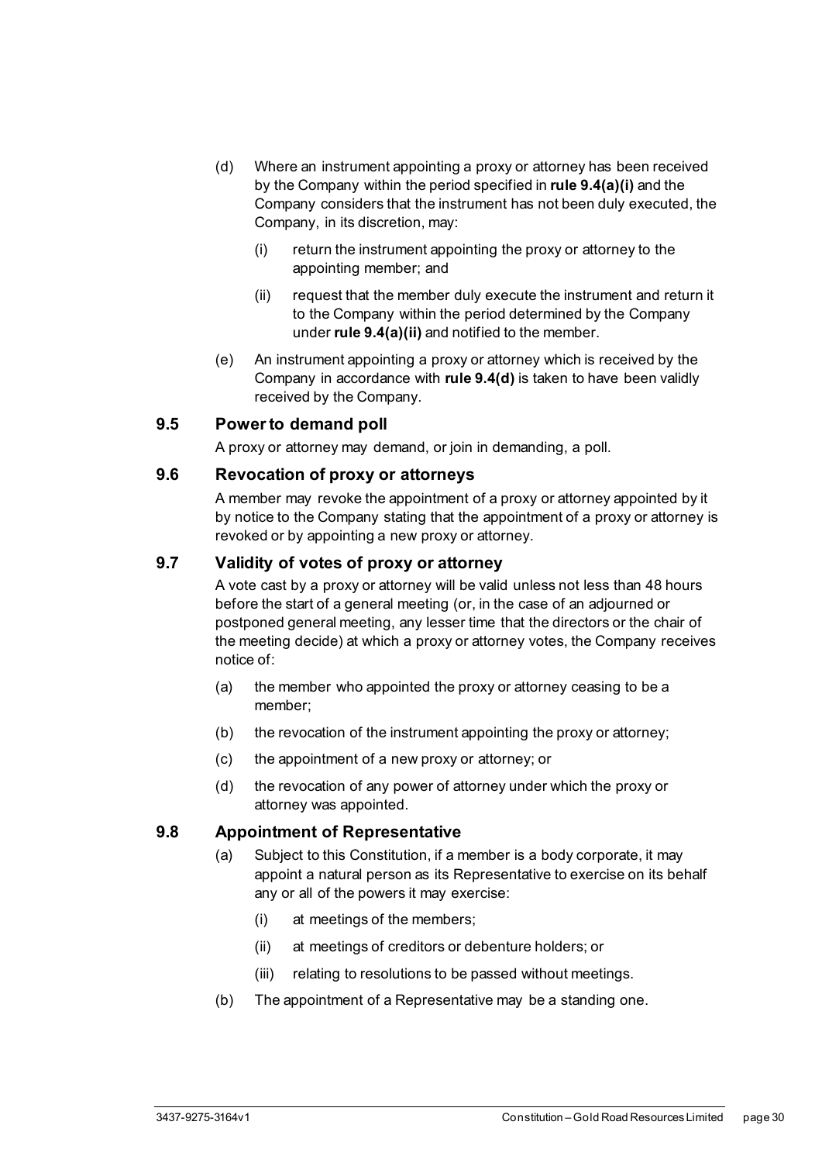- <span id="page-35-4"></span>(d) Where an instrument appointing a proxy or attorney has been received by the Company within the period specified in **rul[e 9.4\(a\)\(i\)](#page-34-3)** and the Company considers that the instrument has not been duly executed, the Company, in its discretion, may:
	- (i) return the instrument appointing the proxy or attorney to the appointing member; and
	- (ii) request that the member duly execute the instrument and return it to the Company within the period determined by the Company under **rule [9.4\(a\)\(ii\)](#page-34-4)** and notified to the member.
- (e) An instrument appointing a proxy or attorney which is received by the Company in accordance with **rule [9.4\(d\)](#page-35-4)** is taken to have been validly received by the Company.

#### <span id="page-35-0"></span>**9.5 Power to demand poll**

A proxy or attorney may demand, or join in demanding, a poll.

#### <span id="page-35-1"></span>**9.6 Revocation of proxy or attorneys**

A member may revoke the appointment of a proxy or attorney appointed by it by notice to the Company stating that the appointment of a proxy or attorney is revoked or by appointing a new proxy or attorney.

#### <span id="page-35-2"></span>**9.7 Validity of votes of proxy or attorney**

A vote cast by a proxy or attorney will be valid unless not less than 48 hours before the start of a general meeting (or, in the case of an adjourned or postponed general meeting, any lesser time that the directors or the chair of the meeting decide) at which a proxy or attorney votes, the Company receives notice of:

- (a) the member who appointed the proxy or attorney ceasing to be a member;
- (b) the revocation of the instrument appointing the proxy or attorney;
- (c) the appointment of a new proxy or attorney; or
- (d) the revocation of any power of attorney under which the proxy or attorney was appointed.

#### <span id="page-35-3"></span>**9.8 Appointment of Representative**

- (a) Subject to this Constitution, if a member is a body corporate, it may appoint a natural person as its Representative to exercise on its behalf any or all of the powers it may exercise:
	- (i) at meetings of the members;
	- (ii) at meetings of creditors or debenture holders; or
	- (iii) relating to resolutions to be passed without meetings.
- (b) The appointment of a Representative may be a standing one.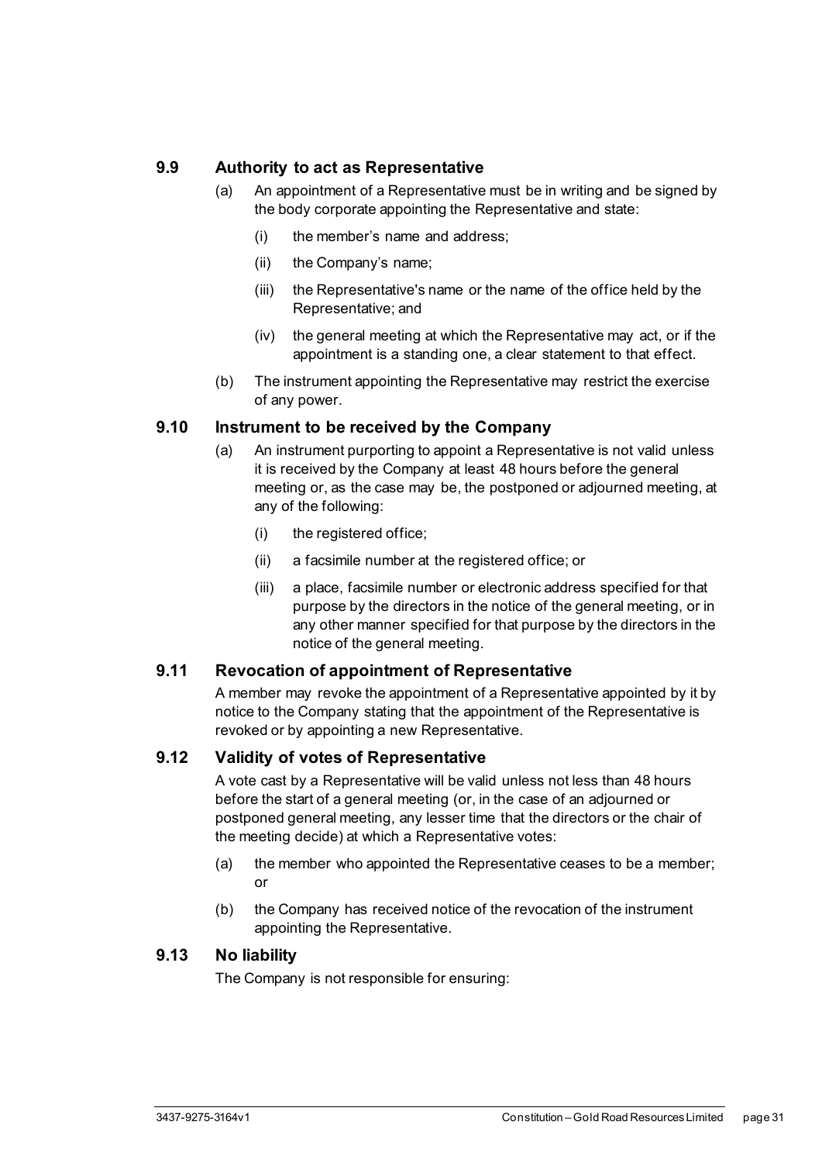#### <span id="page-36-0"></span>**9.9 Authority to act as Representative**

- (a) An appointment of a Representative must be in writing and be signed by the body corporate appointing the Representative and state:
	- (i) the member's name and address;
	- (ii) the Company's name;
	- (iii) the Representative's name or the name of the office held by the Representative; and
	- (iv) the general meeting at which the Representative may act, or if the appointment is a standing one, a clear statement to that effect.
- (b) The instrument appointing the Representative may restrict the exercise of any power.

#### <span id="page-36-1"></span>**9.10 Instrument to be received by the Company**

- (a) An instrument purporting to appoint a Representative is not valid unless it is received by the Company at least 48 hours before the general meeting or, as the case may be, the postponed or adjourned meeting, at any of the following:
	- (i) the registered office;
	- (ii) a facsimile number at the registered office; or
	- (iii) a place, facsimile number or electronic address specified for that purpose by the directors in the notice of the general meeting, or in any other manner specified for that purpose by the directors in the notice of the general meeting.

#### <span id="page-36-2"></span>**9.11 Revocation of appointment of Representative**

A member may revoke the appointment of a Representative appointed by it by notice to the Company stating that the appointment of the Representative is revoked or by appointing a new Representative.

#### <span id="page-36-3"></span>**9.12 Validity of votes of Representative**

A vote cast by a Representative will be valid unless not less than 48 hours before the start of a general meeting (or, in the case of an adjourned or postponed general meeting, any lesser time that the directors or the chair of the meeting decide) at which a Representative votes:

- (a) the member who appointed the Representative ceases to be a member; or
- (b) the Company has received notice of the revocation of the instrument appointing the Representative.

#### <span id="page-36-4"></span>**9.13 No liability**

The Company is not responsible for ensuring: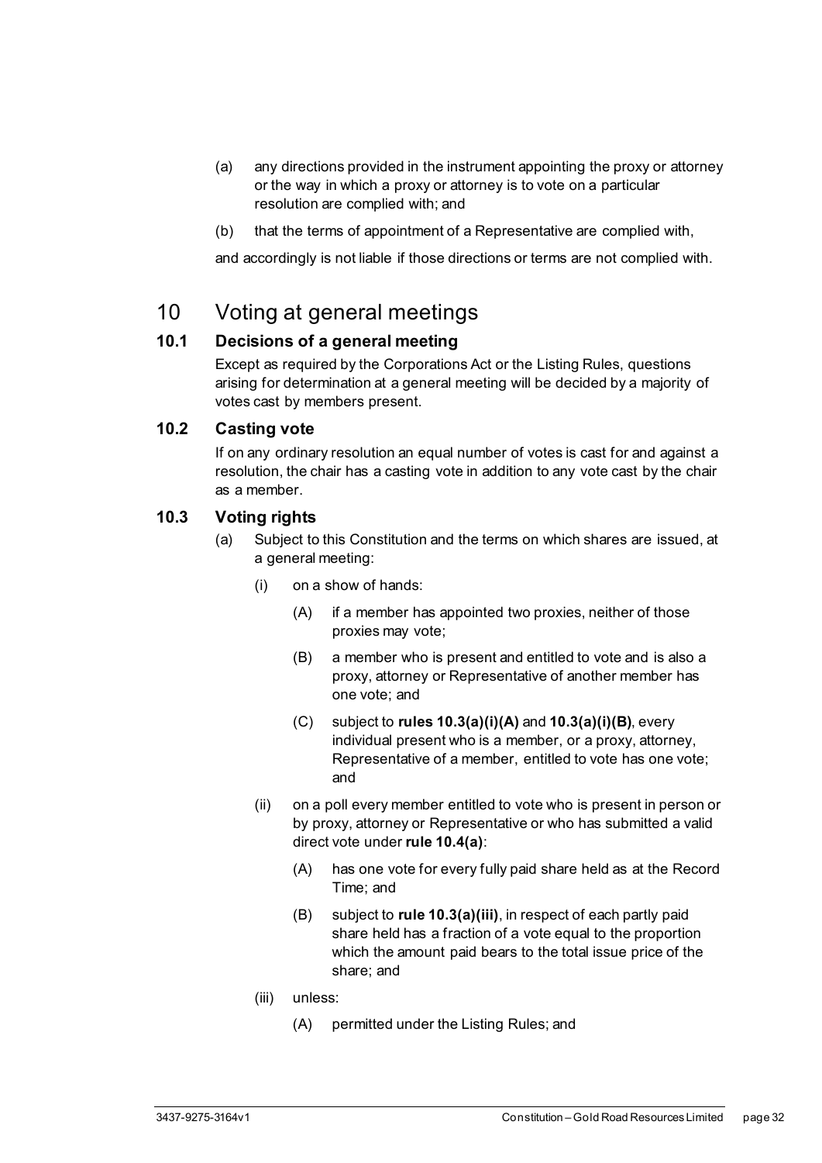- (a) any directions provided in the instrument appointing the proxy or attorney or the way in which a proxy or attorney is to vote on a particular resolution are complied with; and
- (b) that the terms of appointment of a Representative are complied with,

and accordingly is not liable if those directions or terms are not complied with.

## <span id="page-37-0"></span>10 Voting at general meetings

#### <span id="page-37-1"></span>**10.1 Decisions of a general meeting**

Except as required by the Corporations Act or the Listing Rules, questions arising for determination at a general meeting will be decided by a majority of votes cast by members present.

#### <span id="page-37-2"></span>**10.2 Casting vote**

If on any ordinary resolution an equal number of votes is cast for and against a resolution, the chair has a casting vote in addition to any vote cast by the chair as a member.

#### <span id="page-37-4"></span><span id="page-37-3"></span>**10.3 Voting rights**

- <span id="page-37-6"></span><span id="page-37-5"></span>(a) Subject to this Constitution and the terms on which shares are issued, at a general meeting:
	- (i) on a show of hands:
		- (A) if a member has appointed two proxies, neither of those proxies may vote;
		- (B) a member who is present and entitled to vote and is also a proxy, attorney or Representative of another member has one vote; and
		- (C) subject to **rules [10.3\(a\)\(i\)\(A\)](#page-37-4)** and **[10.3\(a\)\(i\)\(B\)](#page-37-5)**, every individual present who is a member, or a proxy, attorney, Representative of a member, entitled to vote has one vote; and
	- (ii) on a poll every member entitled to vote who is present in person or by proxy, attorney or Representative or who has submitted a valid direct vote under **rule [10.4\(a\)](#page-38-1)**:
		- (A) has one vote for every fully paid share held as at the Record Time; and
		- (B) subject to **rule [10.3\(a\)\(iii\)](#page-37-6)**, in respect of each partly paid share held has a fraction of a vote equal to the proportion which the amount paid bears to the total issue price of the share; and
	- (iii) unless:
		- (A) permitted under the Listing Rules; and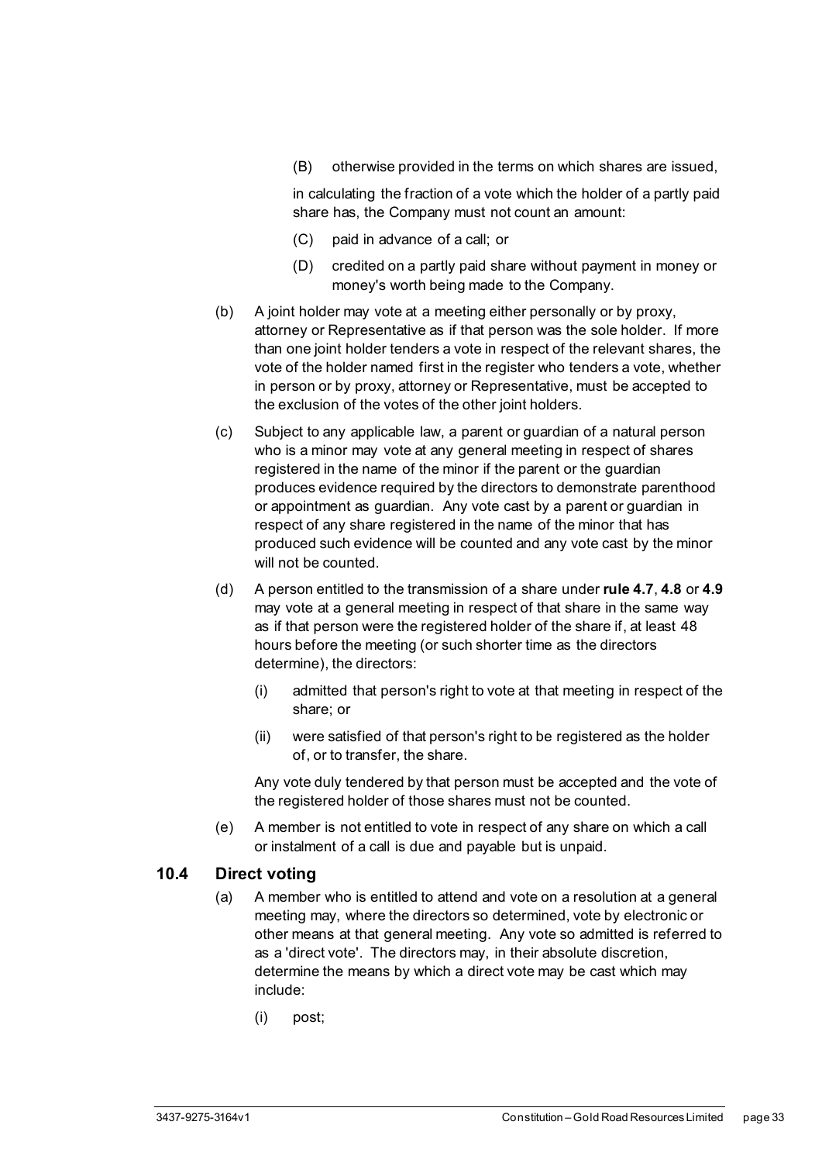(B) otherwise provided in the terms on which shares are issued,

in calculating the fraction of a vote which the holder of a partly paid share has, the Company must not count an amount:

- (C) paid in advance of a call; or
- (D) credited on a partly paid share without payment in money or money's worth being made to the Company.
- (b) A joint holder may vote at a meeting either personally or by proxy, attorney or Representative as if that person was the sole holder. If more than one joint holder tenders a vote in respect of the relevant shares, the vote of the holder named first in the register who tenders a vote, whether in person or by proxy, attorney or Representative, must be accepted to the exclusion of the votes of the other joint holders.
- (c) Subject to any applicable law, a parent or guardian of a natural person who is a minor may vote at any general meeting in respect of shares registered in the name of the minor if the parent or the guardian produces evidence required by the directors to demonstrate parenthood or appointment as guardian. Any vote cast by a parent or guardian in respect of any share registered in the name of the minor that has produced such evidence will be counted and any vote cast by the minor will not be counted.
- (d) A person entitled to the transmission of a share under **rul[e 4.7](#page-22-3)**, **[4.8](#page-23-0)** or **[4.9](#page-23-1)** may vote at a general meeting in respect of that share in the same way as if that person were the registered holder of the share if, at least 48 hours before the meeting (or such shorter time as the directors determine), the directors:
	- (i) admitted that person's right to vote at that meeting in respect of the share; or
	- (ii) were satisfied of that person's right to be registered as the holder of, or to transfer, the share.

Any vote duly tendered by that person must be accepted and the vote of the registered holder of those shares must not be counted.

(e) A member is not entitled to vote in respect of any share on which a call or instalment of a call is due and payable but is unpaid.

#### <span id="page-38-1"></span><span id="page-38-0"></span>**10.4 Direct voting**

- (a) A member who is entitled to attend and vote on a resolution at a general meeting may, where the directors so determined, vote by electronic or other means at that general meeting. Any vote so admitted is referred to as a 'direct vote'. The directors may, in their absolute discretion, determine the means by which a direct vote may be cast which may include:
	- (i) post;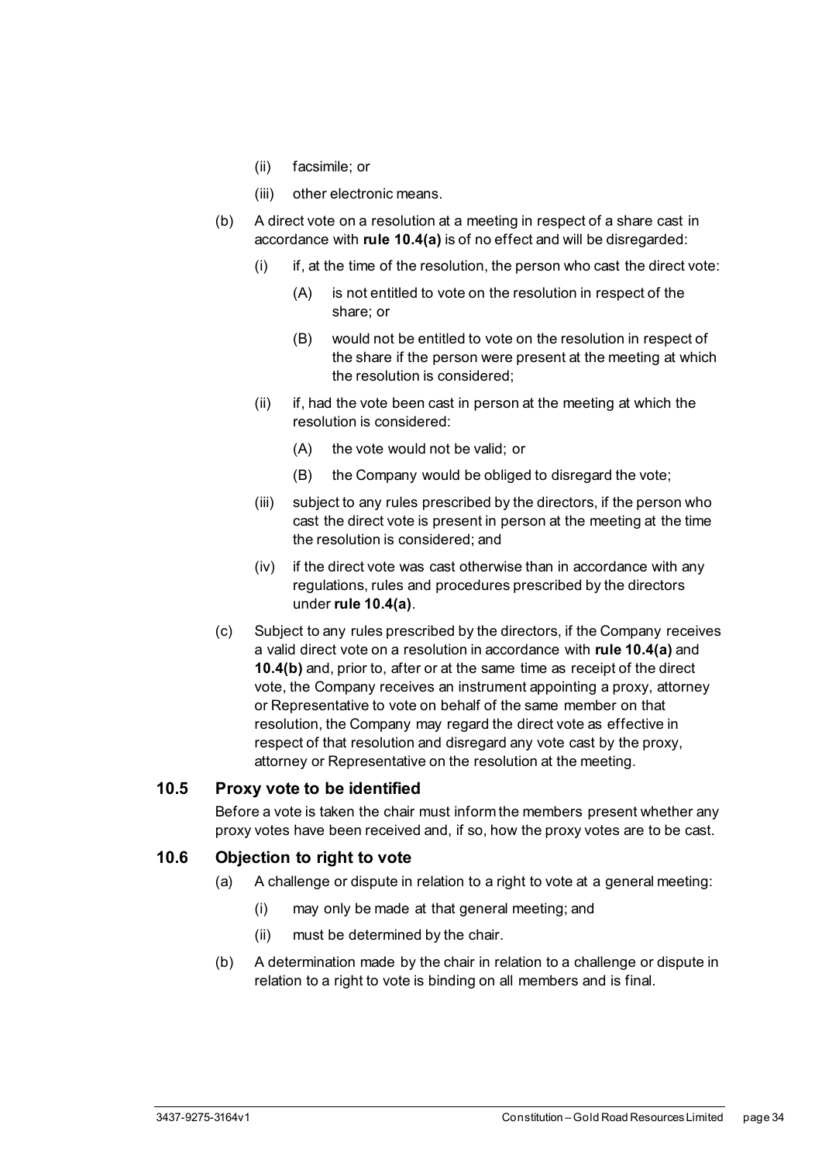- (ii) facsimile; or
- (iii) other electronic means.
- <span id="page-39-3"></span>(b) A direct vote on a resolution at a meeting in respect of a share cast in accordance with **rule [10.4\(a\)](#page-38-1)** is of no effect and will be disregarded:
	- $(i)$  if, at the time of the resolution, the person who cast the direct vote:
		- (A) is not entitled to vote on the resolution in respect of the share; or
		- (B) would not be entitled to vote on the resolution in respect of the share if the person were present at the meeting at which the resolution is considered;
	- (ii) if, had the vote been cast in person at the meeting at which the resolution is considered:
		- (A) the vote would not be valid; or
		- (B) the Company would be obliged to disregard the vote;
	- (iii) subject to any rules prescribed by the directors, if the person who cast the direct vote is present in person at the meeting at the time the resolution is considered; and
	- (iv) if the direct vote was cast otherwise than in accordance with any regulations, rules and procedures prescribed by the directors under **rule [10.4\(a\)](#page-38-1)**.
- <span id="page-39-2"></span>(c) Subject to any rules prescribed by the directors, if the Company receives a valid direct vote on a resolution in accordance with **rule [10.4\(a\)](#page-38-1)** and **[10.4\(b\)](#page-39-3)** and, prior to, after or at the same time as receipt of the direct vote, the Company receives an instrument appointing a proxy, attorney or Representative to vote on behalf of the same member on that resolution, the Company may regard the direct vote as effective in respect of that resolution and disregard any vote cast by the proxy, attorney or Representative on the resolution at the meeting.

#### <span id="page-39-0"></span>**10.5 Proxy vote to be identified**

Before a vote is taken the chair must inform the members present whether any proxy votes have been received and, if so, how the proxy votes are to be cast.

#### <span id="page-39-1"></span>**10.6 Objection to right to vote**

- (a) A challenge or dispute in relation to a right to vote at a general meeting:
	- (i) may only be made at that general meeting; and
	- (ii) must be determined by the chair.
- (b) A determination made by the chair in relation to a challenge or dispute in relation to a right to vote is binding on all members and is final.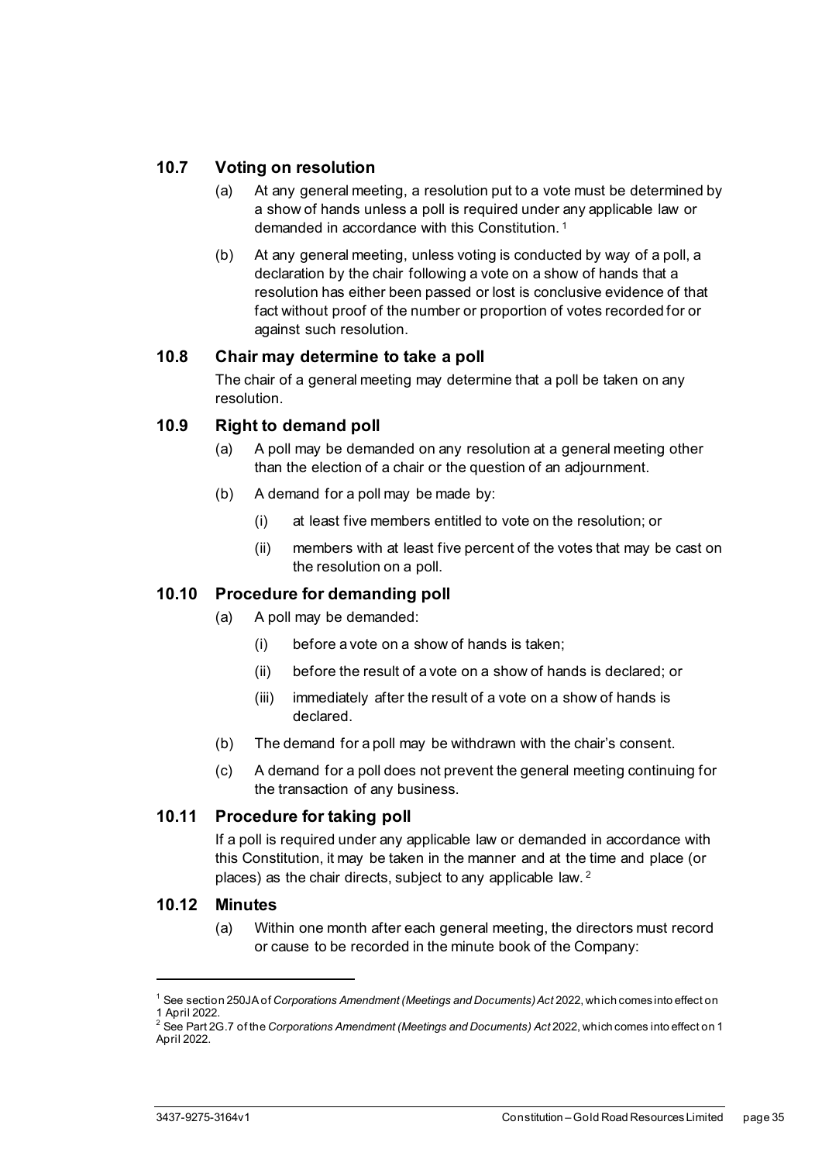#### <span id="page-40-0"></span>**10.7 Voting on resolution**

- (a) At any general meeting, a resolution put to a vote must be determined by a show of hands unless a poll is required under any applicable law or demanded in accordance with this Constitution. [1](#page-40-5)
- (b) At any general meeting, unless voting is conducted by way of a poll, a declaration by the chair following a vote on a show of hands that a resolution has either been passed or lost is conclusive evidence of that fact without proof of the number or proportion of votes recorded for or against such resolution.

#### <span id="page-40-1"></span>**10.8 Chair may determine to take a poll**

The chair of a general meeting may determine that a poll be taken on any resolution.

#### <span id="page-40-2"></span>**10.9 Right to demand poll**

- (a) A poll may be demanded on any resolution at a general meeting other than the election of a chair or the question of an adjournment.
- (b) A demand for a poll may be made by:
	- (i) at least five members entitled to vote on the resolution; or
	- (ii) members with at least five percent of the votes that may be cast on the resolution on a poll.

#### <span id="page-40-3"></span>**10.10 Procedure for demanding poll**

- (a) A poll may be demanded:
	- (i) before a vote on a show of hands is taken;
	- (ii) before the result of a vote on a show of hands is declared; or
	- (iii) immediately after the result of a vote on a show of hands is declared.
- (b) The demand for a poll may be withdrawn with the chair's consent.
- (c) A demand for a poll does not prevent the general meeting continuing for the transaction of any business.

#### <span id="page-40-4"></span>**10.11 Procedure for taking poll**

If a poll is required under any applicable law or demanded in accordance with this Constitution, it may be taken in the manner and at the time and place (or places) as the chair directs, subject to any applicable law. [2](#page-40-6)

#### **10.12 Minutes**

(a) Within one month after each general meeting, the directors must record or cause to be recorded in the minute book of the Company:

<span id="page-40-5"></span><sup>1</sup> See section 250JA of *Corporations Amendment (Meetings and Documents) Act* 2022, which comes into effect on 1 April 2022.

<span id="page-40-6"></span><sup>2</sup> See Part 2G.7 of the *Corporations Amendment (Meetings and Documents) Act* 2022, which comes into effect on 1 April 2022.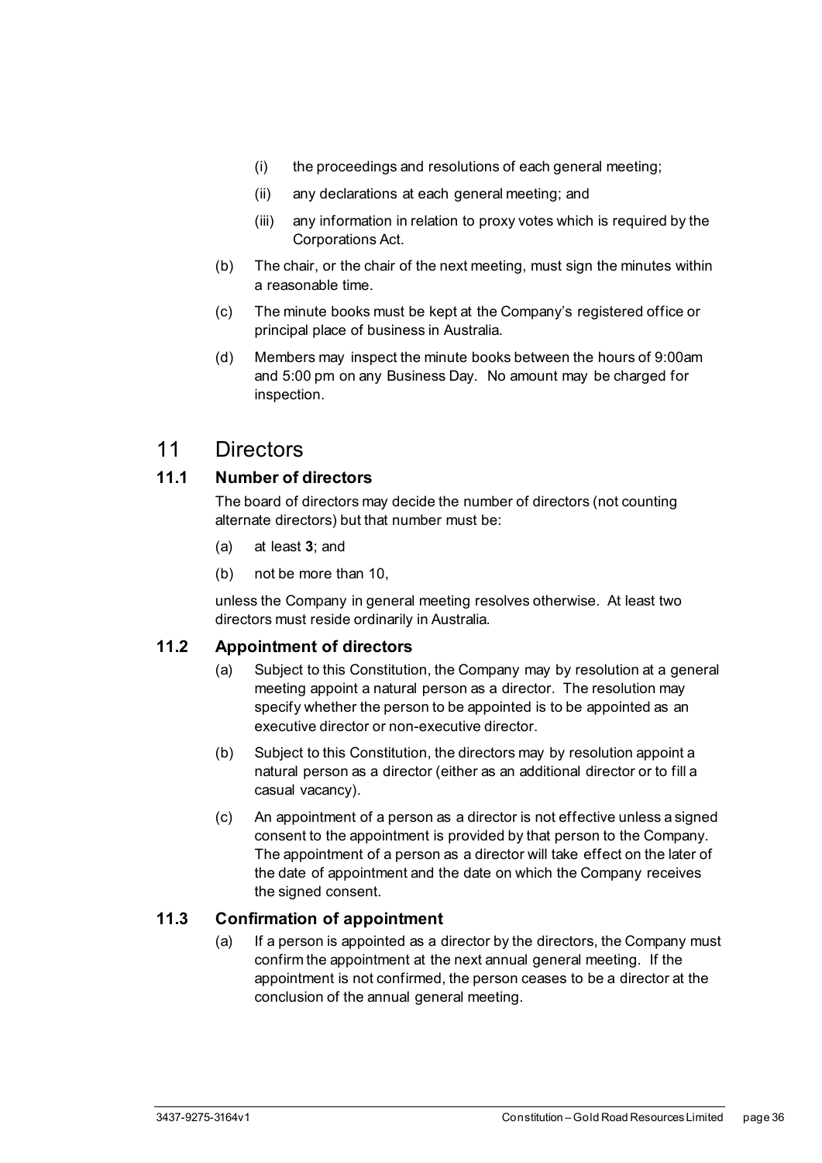- (i) the proceedings and resolutions of each general meeting;
- (ii) any declarations at each general meeting; and
- (iii) any information in relation to proxy votes which is required by the Corporations Act.
- (b) The chair, or the chair of the next meeting, must sign the minutes within a reasonable time.
- (c) The minute books must be kept at the Company's registered office or principal place of business in Australia.
- (d) Members may inspect the minute books between the hours of 9:00am and 5:00 pm on any Business Day. No amount may be charged for inspection.

## <span id="page-41-0"></span>11 Directors

#### <span id="page-41-1"></span>**11.1 Number of directors**

The board of directors may decide the number of directors (not counting alternate directors) but that number must be:

- (a) at least **3**; and
- (b) not be more than 10,

unless the Company in general meeting resolves otherwise. At least two directors must reside ordinarily in Australia.

#### <span id="page-41-2"></span>**11.2 Appointment of directors**

- (a) Subject to this Constitution, the Company may by resolution at a general meeting appoint a natural person as a director. The resolution may specify whether the person to be appointed is to be appointed as an executive director or non-executive director.
- (b) Subject to this Constitution, the directors may by resolution appoint a natural person as a director (either as an additional director or to fill a casual vacancy).
- (c) An appointment of a person as a director is not effective unless a signed consent to the appointment is provided by that person to the Company. The appointment of a person as a director will take effect on the later of the date of appointment and the date on which the Company receives the signed consent.

#### <span id="page-41-4"></span><span id="page-41-3"></span>**11.3 Confirmation of appointment**

(a) If a person is appointed as a director by the directors, the Company must confirm the appointment at the next annual general meeting. If the appointment is not confirmed, the person ceases to be a director at the conclusion of the annual general meeting.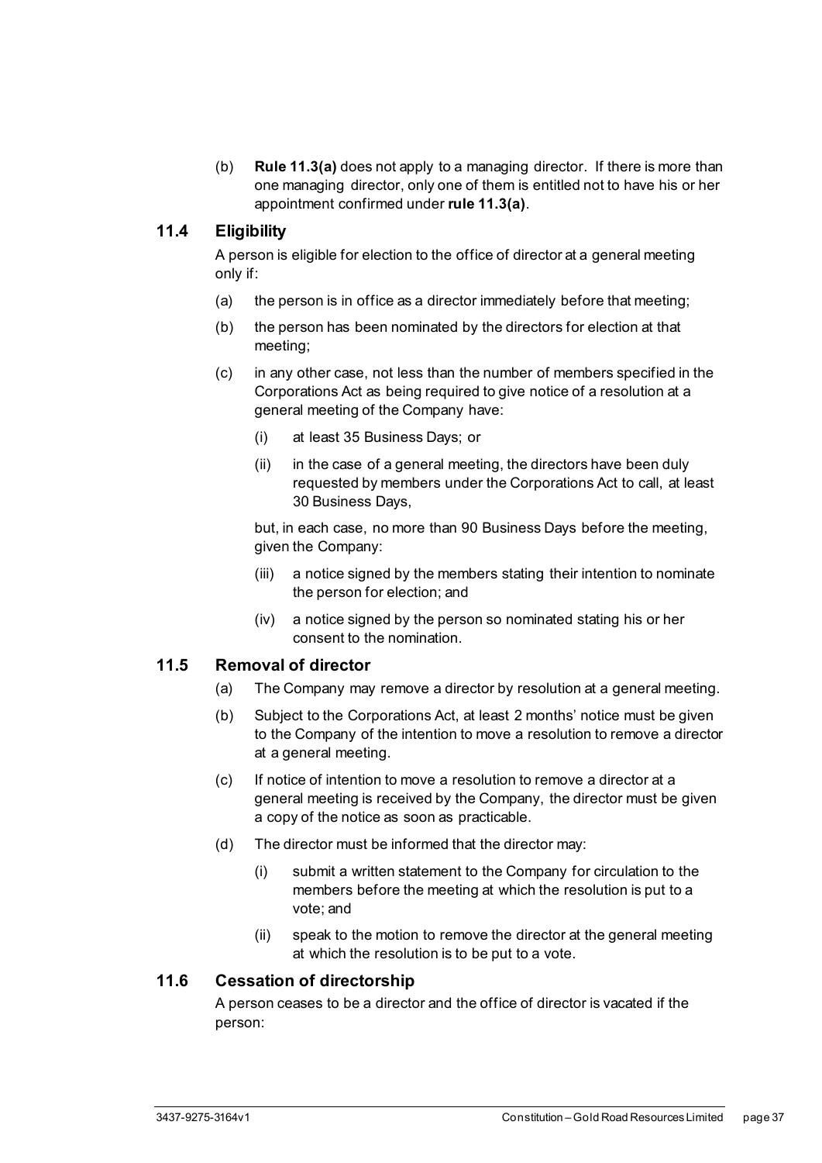(b) **Rule [11.3\(a\)](#page-41-4)** does not apply to a managing director. If there is more than one managing director, only one of them is entitled not to have his or her appointment confirmed under **rul[e 11.3\(a\)](#page-41-4)**.

#### <span id="page-42-0"></span>**11.4 Eligibility**

A person is eligible for election to the office of director at a general meeting only if:

- (a) the person is in office as a director immediately before that meeting;
- (b) the person has been nominated by the directors for election at that meeting;
- (c) in any other case, not less than the number of members specified in the Corporations Act as being required to give notice of a resolution at a general meeting of the Company have:
	- (i) at least 35 Business Days; or
	- (ii) in the case of a general meeting, the directors have been duly requested by members under the Corporations Act to call, at least 30 Business Days,

but, in each case, no more than 90 Business Days before the meeting, given the Company:

- (iii) a notice signed by the members stating their intention to nominate the person for election; and
- (iv) a notice signed by the person so nominated stating his or her consent to the nomination.

#### <span id="page-42-1"></span>**11.5 Removal of director**

- (a) The Company may remove a director by resolution at a general meeting.
- (b) Subject to the Corporations Act, at least 2 months' notice must be given to the Company of the intention to move a resolution to remove a director at a general meeting.
- (c) If notice of intention to move a resolution to remove a director at a general meeting is received by the Company, the director must be given a copy of the notice as soon as practicable.
- (d) The director must be informed that the director may:
	- (i) submit a written statement to the Company for circulation to the members before the meeting at which the resolution is put to a vote; and
	- (ii) speak to the motion to remove the director at the general meeting at which the resolution is to be put to a vote.

#### <span id="page-42-2"></span>**11.6 Cessation of directorship**

A person ceases to be a director and the office of director is vacated if the person: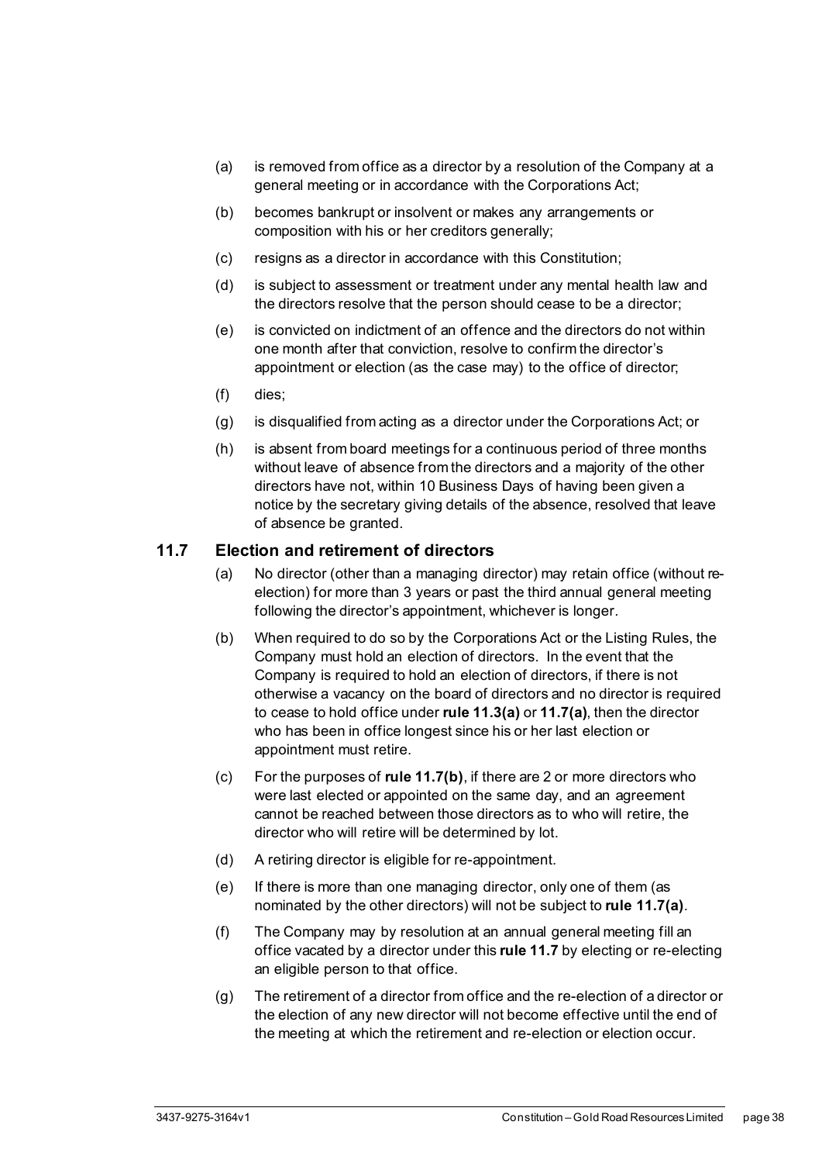- (a) is removed from office as a director by a resolution of the Company at a general meeting or in accordance with the Corporations Act;
- (b) becomes bankrupt or insolvent or makes any arrangements or composition with his or her creditors generally;
- (c) resigns as a director in accordance with this Constitution;
- (d) is subject to assessment or treatment under any mental health law and the directors resolve that the person should cease to be a director;
- (e) is convicted on indictment of an offence and the directors do not within one month after that conviction, resolve to confirm the director's appointment or election (as the case may) to the office of director;
- (f) dies;
- (g) is disqualified from acting as a director under the Corporations Act; or
- (h) is absent from board meetings for a continuous period of three months without leave of absence from the directors and a majority of the other directors have not, within 10 Business Days of having been given a notice by the secretary giving details of the absence, resolved that leave of absence be granted.

#### <span id="page-43-1"></span><span id="page-43-0"></span>**11.7 Election and retirement of directors**

- (a) No director (other than a managing director) may retain office (without reelection) for more than 3 years or past the third annual general meeting following the director's appointment, whichever is longer.
- <span id="page-43-2"></span>(b) When required to do so by the Corporations Act or the Listing Rules, the Company must hold an election of directors. In the event that the Company is required to hold an election of directors, if there is not otherwise a vacancy on the board of directors and no director is required to cease to hold office under **rule [11.3\(a\)](#page-41-4)** or **[11.7\(a\)](#page-43-1)**, then the director who has been in office longest since his or her last election or appointment must retire.
- (c) For the purposes of **rul[e 11.7\(b\)](#page-43-2)**, if there are 2 or more directors who were last elected or appointed on the same day, and an agreement cannot be reached between those directors as to who will retire, the director who will retire will be determined by lot.
- (d) A retiring director is eligible for re-appointment.
- (e) If there is more than one managing director, only one of them (as nominated by the other directors) will not be subject to **rule [11.7\(a\)](#page-43-1)**.
- (f) The Company may by resolution at an annual general meeting fill an office vacated by a director under this **rule [11.7](#page-43-0)** by electing or re-electing an eligible person to that office.
- (g) The retirement of a director from office and the re-election of a director or the election of any new director will not become effective until the end of the meeting at which the retirement and re-election or election occur.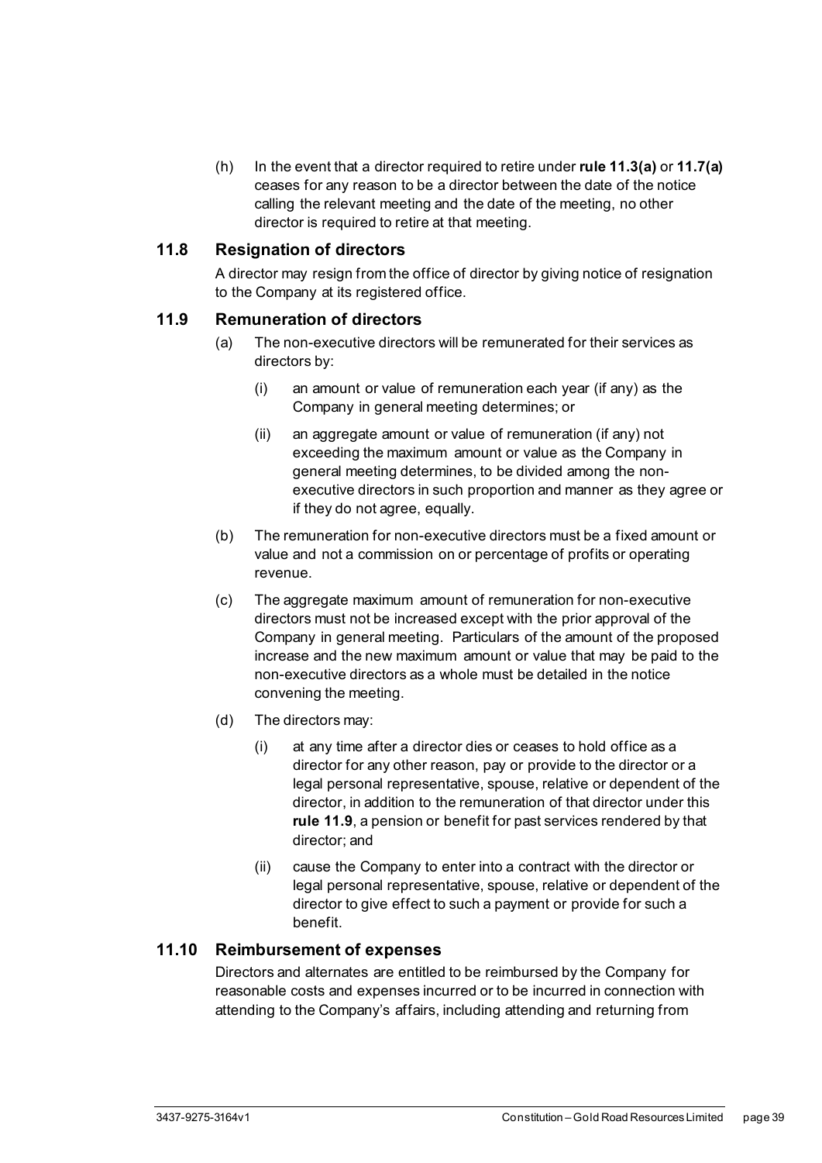(h) In the event that a director required to retire under **rule [11.3\(a\)](#page-41-4)** or **[11.7\(a\)](#page-43-1)** ceases for any reason to be a director between the date of the notice calling the relevant meeting and the date of the meeting, no other director is required to retire at that meeting.

#### <span id="page-44-0"></span>**11.8 Resignation of directors**

A director may resign from the office of director by giving notice of resignation to the Company at its registered office.

#### <span id="page-44-1"></span>**11.9 Remuneration of directors**

- (a) The non-executive directors will be remunerated for their services as directors by:
	- (i) an amount or value of remuneration each year (if any) as the Company in general meeting determines; or
	- (ii) an aggregate amount or value of remuneration (if any) not exceeding the maximum amount or value as the Company in general meeting determines, to be divided among the nonexecutive directors in such proportion and manner as they agree or if they do not agree, equally.
- (b) The remuneration for non-executive directors must be a fixed amount or value and not a commission on or percentage of profits or operating revenue.
- (c) The aggregate maximum amount of remuneration for non-executive directors must not be increased except with the prior approval of the Company in general meeting. Particulars of the amount of the proposed increase and the new maximum amount or value that may be paid to the non-executive directors as a whole must be detailed in the notice convening the meeting.
- (d) The directors may:
	- (i) at any time after a director dies or ceases to hold office as a director for any other reason, pay or provide to the director or a legal personal representative, spouse, relative or dependent of the director, in addition to the remuneration of that director under this **rule [11.9](#page-44-1)**, a pension or benefit for past services rendered by that director; and
	- (ii) cause the Company to enter into a contract with the director or legal personal representative, spouse, relative or dependent of the director to give effect to such a payment or provide for such a benefit.

#### <span id="page-44-2"></span>**11.10 Reimbursement of expenses**

Directors and alternates are entitled to be reimbursed by the Company for reasonable costs and expenses incurred or to be incurred in connection with attending to the Company's affairs, including attending and returning from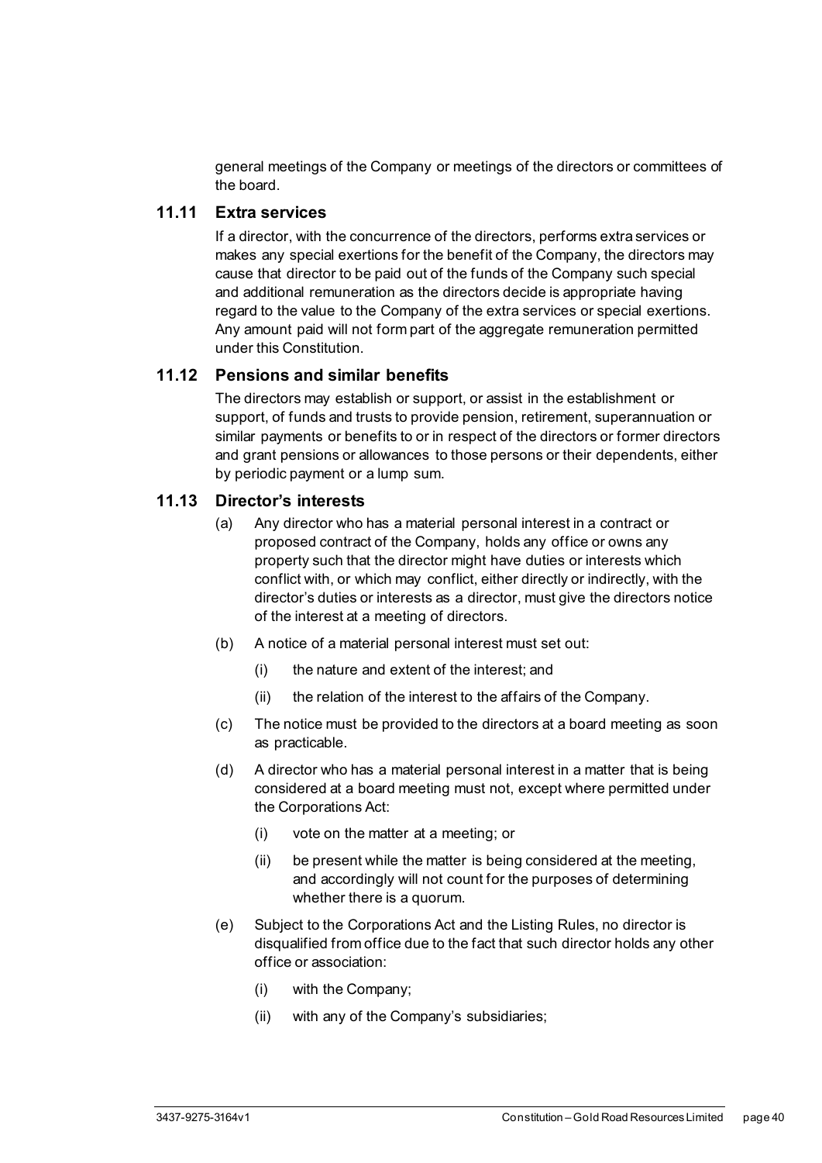general meetings of the Company or meetings of the directors or committees of the board.

#### <span id="page-45-0"></span>**11.11 Extra services**

If a director, with the concurrence of the directors, performs extra services or makes any special exertions for the benefit of the Company, the directors may cause that director to be paid out of the funds of the Company such special and additional remuneration as the directors decide is appropriate having regard to the value to the Company of the extra services or special exertions. Any amount paid will not form part of the aggregate remuneration permitted under this Constitution.

#### <span id="page-45-1"></span>**11.12 Pensions and similar benefits**

The directors may establish or support, or assist in the establishment or support, of funds and trusts to provide pension, retirement, superannuation or similar payments or benefits to or in respect of the directors or former directors and grant pensions or allowances to those persons or their dependents, either by periodic payment or a lump sum.

#### <span id="page-45-5"></span><span id="page-45-2"></span>**11.13 Director's interests**

- (a) Any director who has a material personal interest in a contract or proposed contract of the Company, holds any office or owns any property such that the director might have duties or interests which conflict with, or which may conflict, either directly or indirectly, with the director's duties or interests as a director, must give the directors notice of the interest at a meeting of directors.
- <span id="page-45-6"></span>(b) A notice of a material personal interest must set out:
	- (i) the nature and extent of the interest; and
	- (ii) the relation of the interest to the affairs of the Company.
- (c) The notice must be provided to the directors at a board meeting as soon as practicable.
- (d) A director who has a material personal interest in a matter that is being considered at a board meeting must not, except where permitted under the Corporations Act:
	- (i) vote on the matter at a meeting; or
	- (ii) be present while the matter is being considered at the meeting, and accordingly will not count for the purposes of determining whether there is a quorum.
- <span id="page-45-4"></span><span id="page-45-3"></span>(e) Subject to the Corporations Act and the Listing Rules, no director is disqualified from office due to the fact that such director holds any other office or association:
	- (i) with the Company;
	- (ii) with any of the Company's subsidiaries;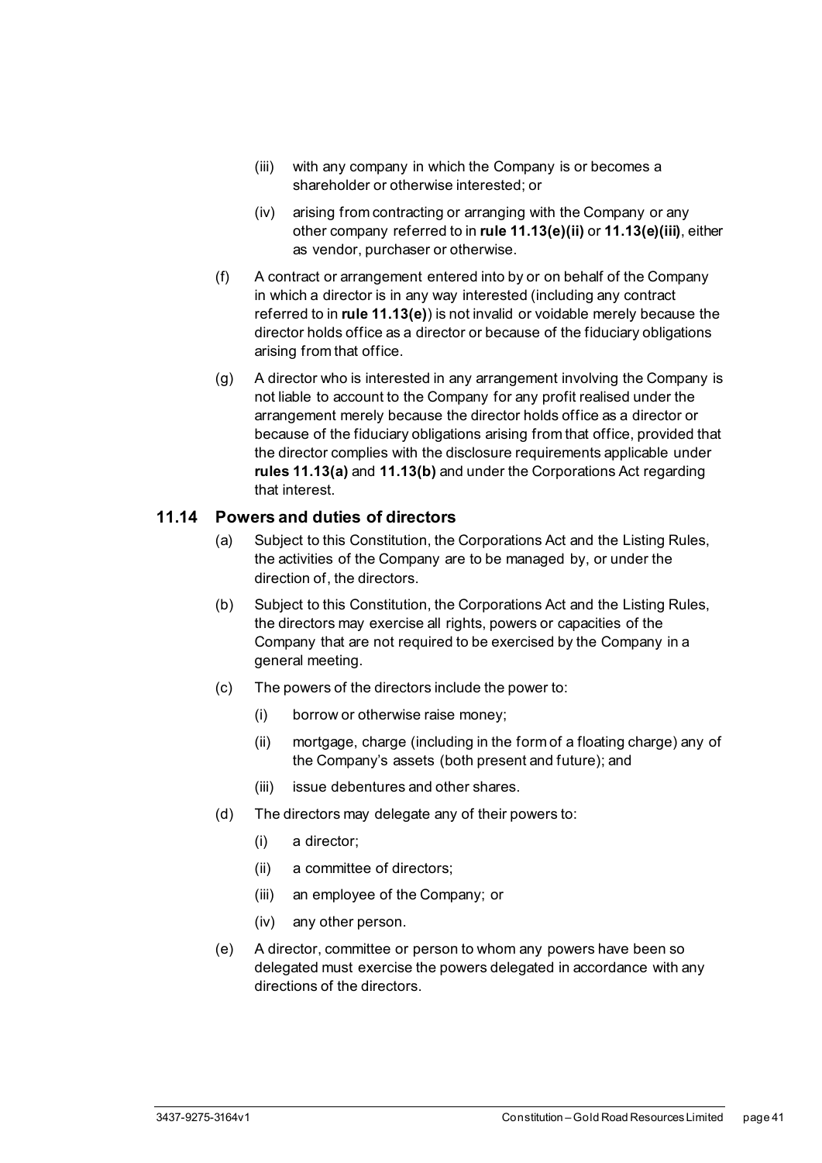- <span id="page-46-1"></span>(iii) with any company in which the Company is or becomes a shareholder or otherwise interested; or
- (iv) arising from contracting or arranging with the Company or any other company referred to in **rule [11.13\(e\)\(ii\)](#page-45-3)** or **[11.13\(e\)\(iii\)](#page-46-1)**, either as vendor, purchaser or otherwise.
- (f) A contract or arrangement entered into by or on behalf of the Company in which a director is in any way interested (including any contract referred to in **rule [11.13\(e\)](#page-45-4)**) is not invalid or voidable merely because the director holds office as a director or because of the fiduciary obligations arising from that office.
- (g) A director who is interested in any arrangement involving the Company is not liable to account to the Company for any profit realised under the arrangement merely because the director holds office as a director or because of the fiduciary obligations arising from that office, provided that the director complies with the disclosure requirements applicable under **rules [11.13\(a\)](#page-45-5)** and **[11.13\(b\)](#page-45-6)** and under the Corporations Act regarding that interest.

#### <span id="page-46-0"></span>**11.14 Powers and duties of directors**

- (a) Subject to this Constitution, the Corporations Act and the Listing Rules, the activities of the Company are to be managed by, or under the direction of, the directors.
- (b) Subject to this Constitution, the Corporations Act and the Listing Rules, the directors may exercise all rights, powers or capacities of the Company that are not required to be exercised by the Company in a general meeting.
- (c) The powers of the directors include the power to:
	- (i) borrow or otherwise raise money;
	- (ii) mortgage, charge (including in the form of a floating charge) any of the Company's assets (both present and future); and
	- (iii) issue debentures and other shares.
- <span id="page-46-2"></span>(d) The directors may delegate any of their powers to:
	- (i) a director;
	- (ii) a committee of directors;
	- (iii) an employee of the Company; or
	- (iv) any other person.
- (e) A director, committee or person to whom any powers have been so delegated must exercise the powers delegated in accordance with any directions of the directors.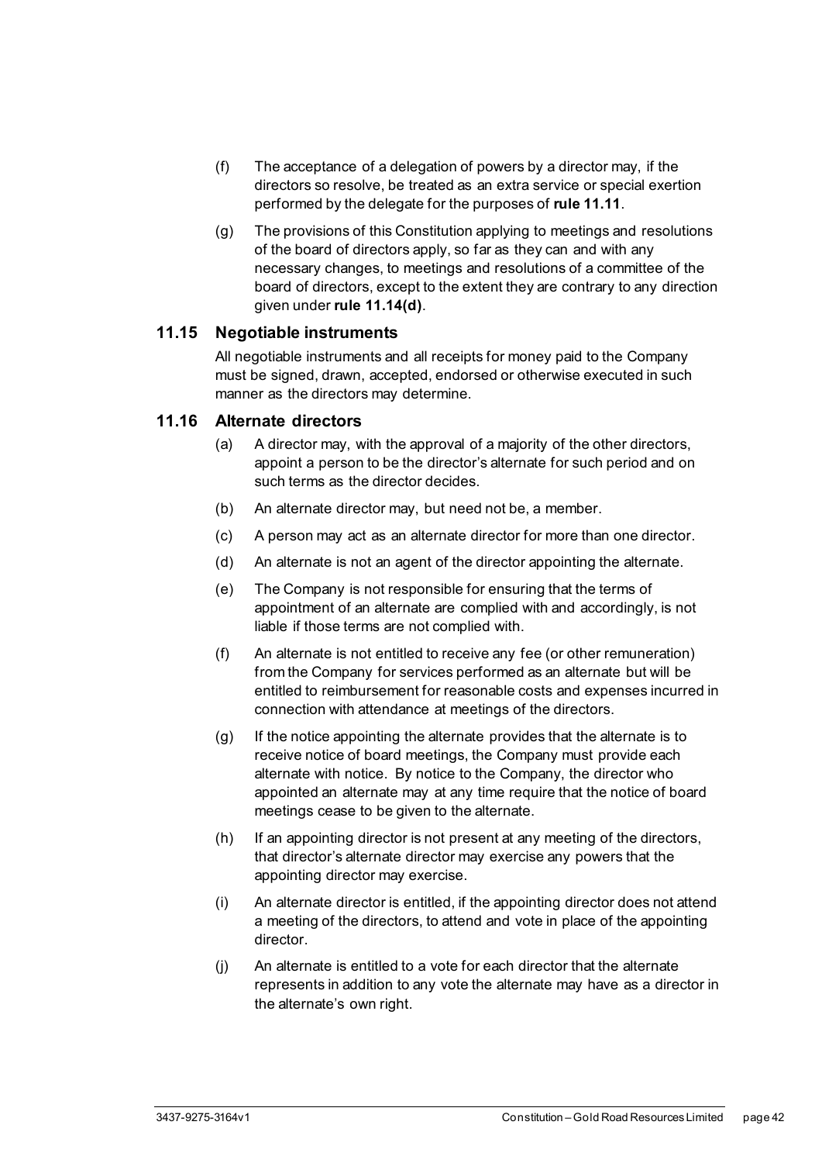- (f) The acceptance of a delegation of powers by a director may, if the directors so resolve, be treated as an extra service or special exertion performed by the delegate for the purposes of **rul[e 11.11](#page-45-0)**.
- (g) The provisions of this Constitution applying to meetings and resolutions of the board of directors apply, so far as they can and with any necessary changes, to meetings and resolutions of a committee of the board of directors, except to the extent they are contrary to any direction given under **rule [11.14\(d\)](#page-46-2)**.

#### <span id="page-47-0"></span>**11.15 Negotiable instruments**

All negotiable instruments and all receipts for money paid to the Company must be signed, drawn, accepted, endorsed or otherwise executed in such manner as the directors may determine.

#### <span id="page-47-1"></span>**11.16 Alternate directors**

- (a) A director may, with the approval of a majority of the other directors, appoint a person to be the director's alternate for such period and on such terms as the director decides.
- (b) An alternate director may, but need not be, a member.
- (c) A person may act as an alternate director for more than one director.
- (d) An alternate is not an agent of the director appointing the alternate.
- (e) The Company is not responsible for ensuring that the terms of appointment of an alternate are complied with and accordingly, is not liable if those terms are not complied with.
- (f) An alternate is not entitled to receive any fee (or other remuneration) from the Company for services performed as an alternate but will be entitled to reimbursement for reasonable costs and expenses incurred in connection with attendance at meetings of the directors.
- (g) If the notice appointing the alternate provides that the alternate is to receive notice of board meetings, the Company must provide each alternate with notice. By notice to the Company, the director who appointed an alternate may at any time require that the notice of board meetings cease to be given to the alternate.
- (h) If an appointing director is not present at any meeting of the directors, that director's alternate director may exercise any powers that the appointing director may exercise.
- (i) An alternate director is entitled, if the appointing director does not attend a meeting of the directors, to attend and vote in place of the appointing director.
- (j) An alternate is entitled to a vote for each director that the alternate represents in addition to any vote the alternate may have as a director in the alternate's own right.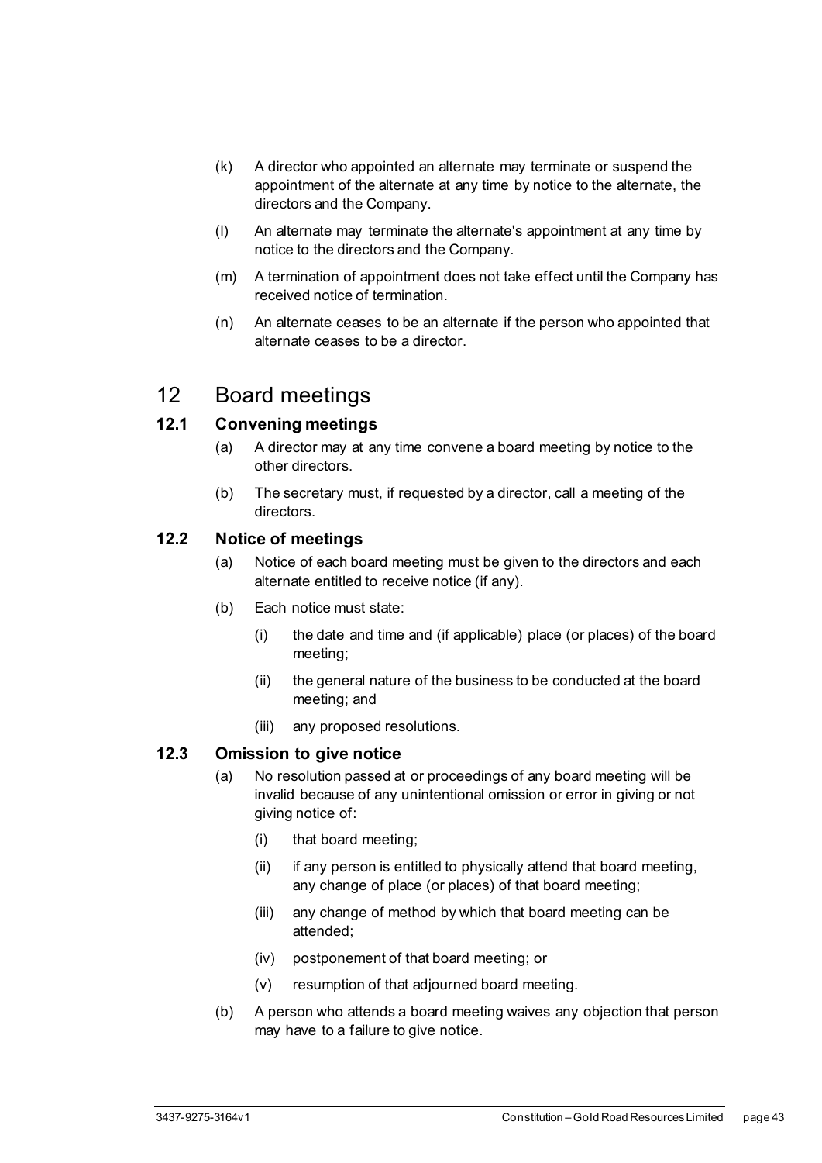- (k) A director who appointed an alternate may terminate or suspend the appointment of the alternate at any time by notice to the alternate, the directors and the Company.
- (l) An alternate may terminate the alternate's appointment at any time by notice to the directors and the Company.
- (m) A termination of appointment does not take effect until the Company has received notice of termination.
- (n) An alternate ceases to be an alternate if the person who appointed that alternate ceases to be a director.

## <span id="page-48-0"></span>12 Board meetings

#### <span id="page-48-1"></span>**12.1 Convening meetings**

- (a) A director may at any time convene a board meeting by notice to the other directors.
- (b) The secretary must, if requested by a director, call a meeting of the directors.

#### <span id="page-48-2"></span>**12.2 Notice of meetings**

- (a) Notice of each board meeting must be given to the directors and each alternate entitled to receive notice (if any).
- (b) Each notice must state:
	- (i) the date and time and (if applicable) place (or places) of the board meeting;
	- (ii) the general nature of the business to be conducted at the board meeting; and
	- (iii) any proposed resolutions.

#### <span id="page-48-3"></span>**12.3 Omission to give notice**

- (a) No resolution passed at or proceedings of any board meeting will be invalid because of any unintentional omission or error in giving or not giving notice of:
	- (i) that board meeting;
	- (ii) if any person is entitled to physically attend that board meeting, any change of place (or places) of that board meeting;
	- (iii) any change of method by which that board meeting can be attended;
	- (iv) postponement of that board meeting; or
	- (v) resumption of that adjourned board meeting.
- (b) A person who attends a board meeting waives any objection that person may have to a failure to give notice.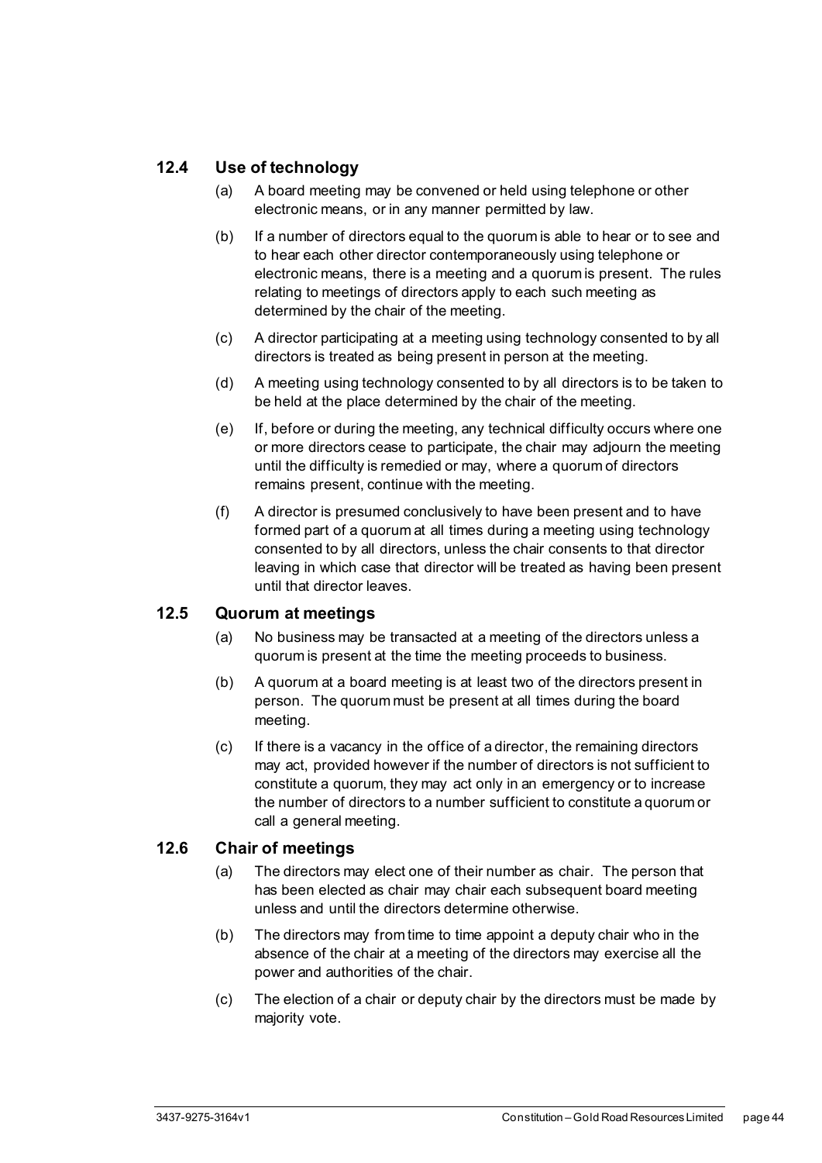#### <span id="page-49-0"></span>**12.4 Use of technology**

- (a) A board meeting may be convened or held using telephone or other electronic means, or in any manner permitted by law.
- (b) If a number of directors equal to the quorum is able to hear or to see and to hear each other director contemporaneously using telephone or electronic means, there is a meeting and a quorum is present. The rules relating to meetings of directors apply to each such meeting as determined by the chair of the meeting.
- (c) A director participating at a meeting using technology consented to by all directors is treated as being present in person at the meeting.
- (d) A meeting using technology consented to by all directors is to be taken to be held at the place determined by the chair of the meeting.
- (e) If, before or during the meeting, any technical difficulty occurs where one or more directors cease to participate, the chair may adjourn the meeting until the difficulty is remedied or may, where a quorum of directors remains present, continue with the meeting.
- (f) A director is presumed conclusively to have been present and to have formed part of a quorum at all times during a meeting using technology consented to by all directors, unless the chair consents to that director leaving in which case that director will be treated as having been present until that director leaves.

#### <span id="page-49-1"></span>**12.5 Quorum at meetings**

- (a) No business may be transacted at a meeting of the directors unless a quorum is present at the time the meeting proceeds to business.
- (b) A quorum at a board meeting is at least two of the directors present in person. The quorum must be present at all times during the board meeting.
- (c) If there is a vacancy in the office of a director, the remaining directors may act, provided however if the number of directors is not sufficient to constitute a quorum, they may act only in an emergency or to increase the number of directors to a number sufficient to constitute a quorum or call a general meeting.

#### <span id="page-49-2"></span>**12.6 Chair of meetings**

- (a) The directors may elect one of their number as chair. The person that has been elected as chair may chair each subsequent board meeting unless and until the directors determine otherwise.
- (b) The directors may from time to time appoint a deputy chair who in the absence of the chair at a meeting of the directors may exercise all the power and authorities of the chair.
- (c) The election of a chair or deputy chair by the directors must be made by majority vote.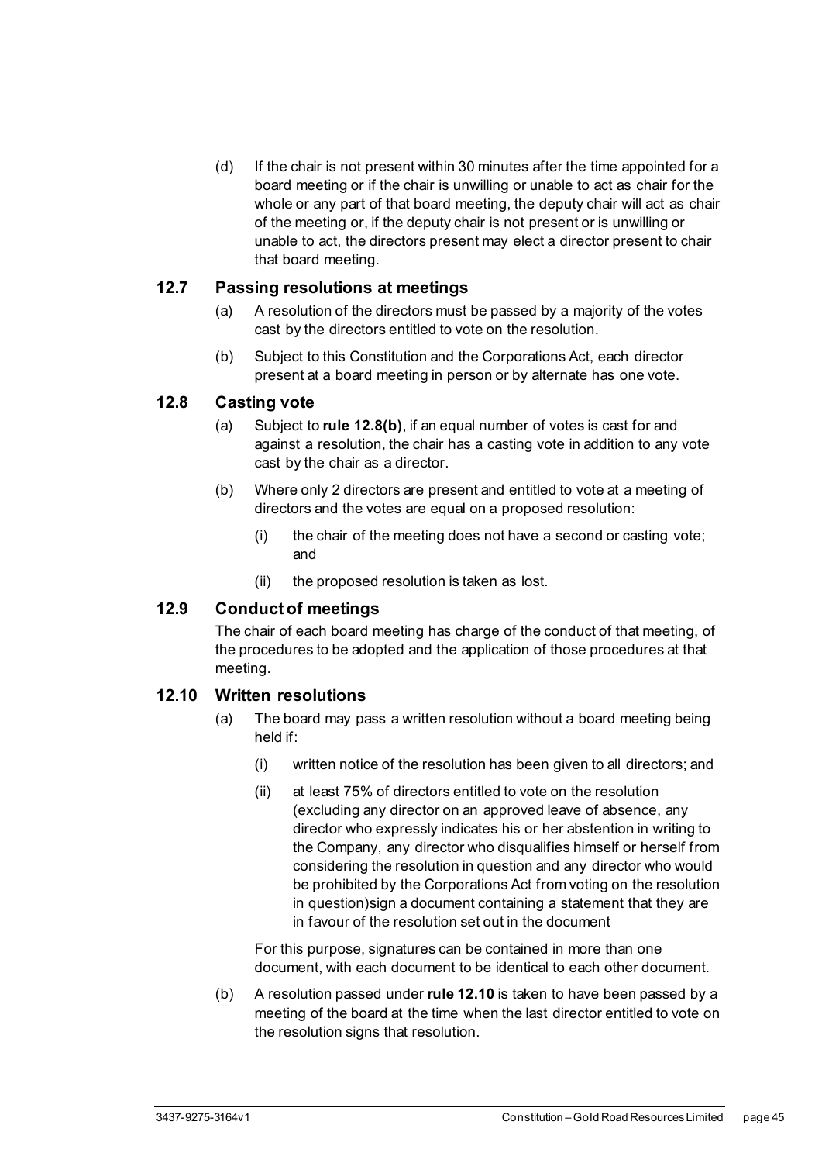(d) If the chair is not present within 30 minutes after the time appointed for a board meeting or if the chair is unwilling or unable to act as chair for the whole or any part of that board meeting, the deputy chair will act as chair of the meeting or, if the deputy chair is not present or is unwilling or unable to act, the directors present may elect a director present to chair that board meeting.

#### <span id="page-50-0"></span>**12.7 Passing resolutions at meetings**

- (a) A resolution of the directors must be passed by a majority of the votes cast by the directors entitled to vote on the resolution.
- (b) Subject to this Constitution and the Corporations Act, each director present at a board meeting in person or by alternate has one vote.

#### <span id="page-50-1"></span>**12.8 Casting vote**

- (a) Subject to **rule [12.8\(b\)](#page-50-4)**, if an equal number of votes is cast for and against a resolution, the chair has a casting vote in addition to any vote cast by the chair as a director.
- <span id="page-50-4"></span>(b) Where only 2 directors are present and entitled to vote at a meeting of directors and the votes are equal on a proposed resolution:
	- (i) the chair of the meeting does not have a second or casting vote; and
	- (ii) the proposed resolution is taken as lost.

#### <span id="page-50-2"></span>**12.9 Conduct of meetings**

The chair of each board meeting has charge of the conduct of that meeting, of the procedures to be adopted and the application of those procedures at that meeting.

#### <span id="page-50-3"></span>**12.10 Written resolutions**

- (a) The board may pass a written resolution without a board meeting being held if:
	- (i) written notice of the resolution has been given to all directors; and
	- (ii) at least 75% of directors entitled to vote on the resolution (excluding any director on an approved leave of absence, any director who expressly indicates his or her abstention in writing to the Company, any director who disqualifies himself or herself from considering the resolution in question and any director who would be prohibited by the Corporations Act from voting on the resolution in question)sign a document containing a statement that they are in favour of the resolution set out in the document

For this purpose, signatures can be contained in more than one document, with each document to be identical to each other document.

(b) A resolution passed under **rul[e 12.10](#page-50-3)** is taken to have been passed by a meeting of the board at the time when the last director entitled to vote on the resolution signs that resolution.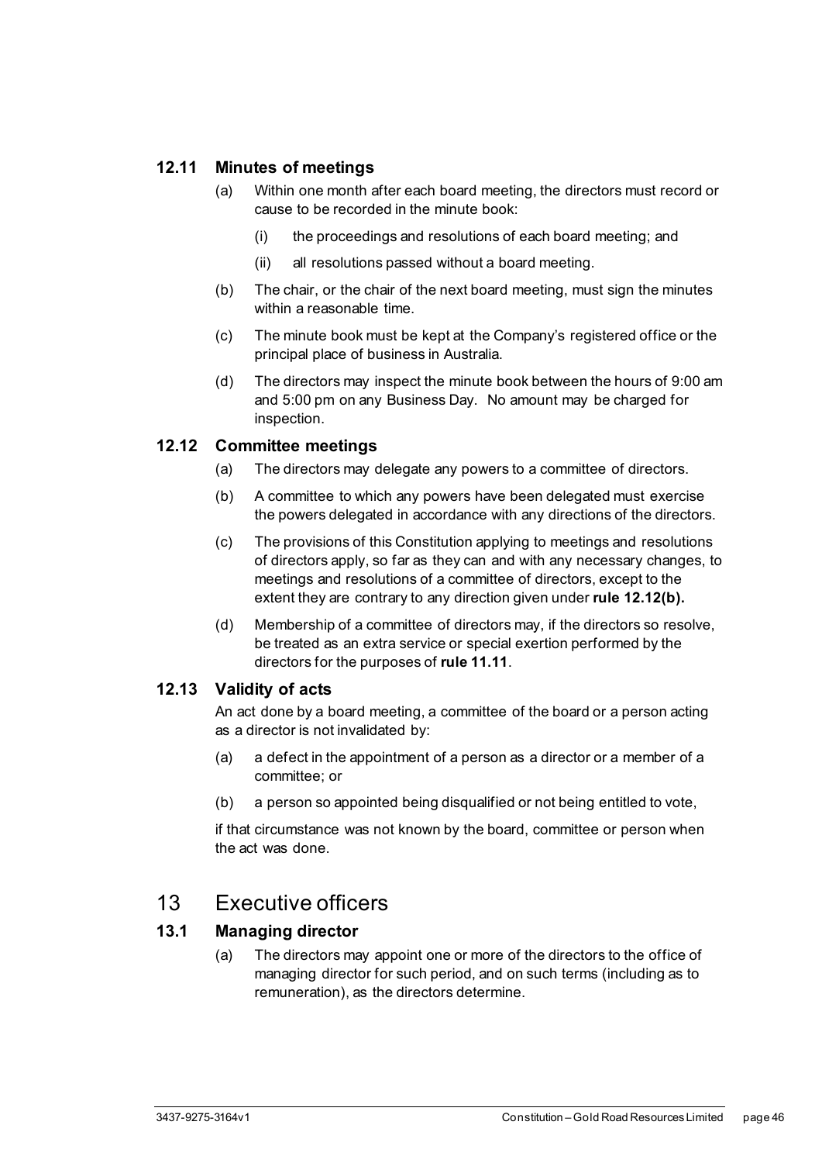#### <span id="page-51-0"></span>**12.11 Minutes of meetings**

- (a) Within one month after each board meeting, the directors must record or cause to be recorded in the minute book:
	- (i) the proceedings and resolutions of each board meeting; and
	- (ii) all resolutions passed without a board meeting.
- (b) The chair, or the chair of the next board meeting, must sign the minutes within a reasonable time.
- (c) The minute book must be kept at the Company's registered office or the principal place of business in Australia.
- (d) The directors may inspect the minute book between the hours of 9:00 am and 5:00 pm on any Business Day. No amount may be charged for inspection.

#### <span id="page-51-5"></span><span id="page-51-1"></span>**12.12 Committee meetings**

- (a) The directors may delegate any powers to a committee of directors.
- (b) A committee to which any powers have been delegated must exercise the powers delegated in accordance with any directions of the directors.
- (c) The provisions of this Constitution applying to meetings and resolutions of directors apply, so far as they can and with any necessary changes, to meetings and resolutions of a committee of directors, except to the extent they are contrary to any direction given under **rul[e 12.12\(b\).](#page-51-5)**
- (d) Membership of a committee of directors may, if the directors so resolve, be treated as an extra service or special exertion performed by the directors for the purposes of **rule [11.11](#page-45-0)**.

#### <span id="page-51-2"></span>**12.13 Validity of acts**

An act done by a board meeting, a committee of the board or a person acting as a director is not invalidated by:

- (a) a defect in the appointment of a person as a director or a member of a committee; or
- (b) a person so appointed being disqualified or not being entitled to vote,

if that circumstance was not known by the board, committee or person when the act was done.

## <span id="page-51-3"></span>13 Executive officers

#### <span id="page-51-4"></span>**13.1 Managing director**

(a) The directors may appoint one or more of the directors to the office of managing director for such period, and on such terms (including as to remuneration), as the directors determine.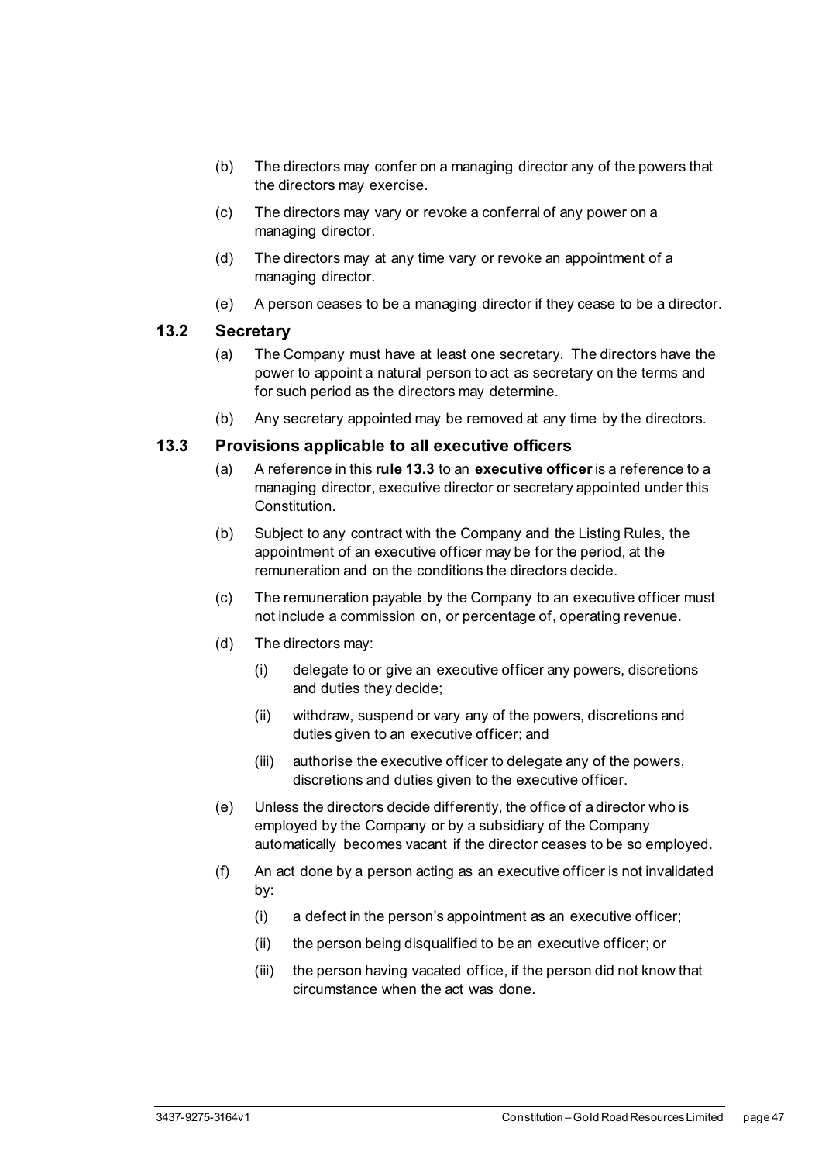- (b) The directors may confer on a managing director any of the powers that the directors may exercise.
- (c) The directors may vary or revoke a conferral of any power on a managing director.
- (d) The directors may at any time vary or revoke an appointment of a managing director.
- (e) A person ceases to be a managing director if they cease to be a director.

#### <span id="page-52-0"></span>**13.2 Secretary**

- (a) The Company must have at least one secretary. The directors have the power to appoint a natural person to act as secretary on the terms and for such period as the directors may determine.
- (b) Any secretary appointed may be removed at any time by the directors.

#### <span id="page-52-1"></span>**13.3 Provisions applicable to all executive officers**

- (a) A reference in this **rule [13.3](#page-52-1)** to an **executive officer**is a reference to a managing director, executive director or secretary appointed under this Constitution.
- (b) Subject to any contract with the Company and the Listing Rules, the appointment of an executive officer may be for the period, at the remuneration and on the conditions the directors decide.
- (c) The remuneration payable by the Company to an executive officer must not include a commission on, or percentage of, operating revenue.
- (d) The directors may:
	- (i) delegate to or give an executive officer any powers, discretions and duties they decide;
	- (ii) withdraw, suspend or vary any of the powers, discretions and duties given to an executive officer; and
	- (iii) authorise the executive officer to delegate any of the powers, discretions and duties given to the executive officer.
- (e) Unless the directors decide differently, the office of a director who is employed by the Company or by a subsidiary of the Company automatically becomes vacant if the director ceases to be so employed.
- (f) An act done by a person acting as an executive officer is not invalidated by:
	- (i) a defect in the person's appointment as an executive officer;
	- (ii) the person being disqualified to be an executive officer; or
	- (iii) the person having vacated office, if the person did not know that circumstance when the act was done.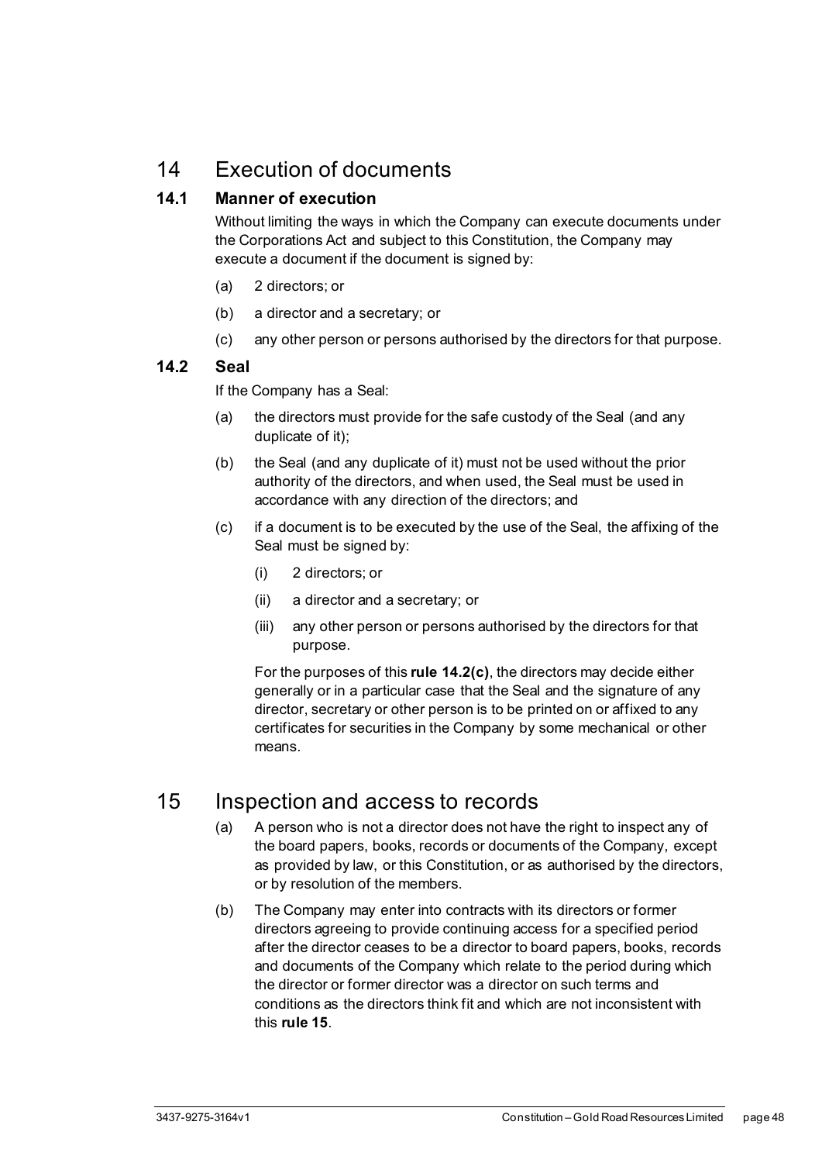## <span id="page-53-0"></span>14 Execution of documents

#### <span id="page-53-1"></span>**14.1 Manner of execution**

Without limiting the ways in which the Company can execute documents under the Corporations Act and subject to this Constitution, the Company may execute a document if the document is signed by:

- (a) 2 directors; or
- (b) a director and a secretary; or
- (c) any other person or persons authorised by the directors for that purpose.

#### <span id="page-53-2"></span>**14.2 Seal**

If the Company has a Seal:

- (a) the directors must provide for the safe custody of the Seal (and any duplicate of it);
- (b) the Seal (and any duplicate of it) must not be used without the prior authority of the directors, and when used, the Seal must be used in accordance with any direction of the directors; and
- <span id="page-53-4"></span>(c) if a document is to be executed by the use of the Seal, the affixing of the Seal must be signed by:
	- (i) 2 directors; or
	- (ii) a director and a secretary; or
	- (iii) any other person or persons authorised by the directors for that purpose.

For the purposes of this **rule [14.2\(c\)](#page-53-4)**, the directors may decide either generally or in a particular case that the Seal and the signature of any director, secretary or other person is to be printed on or affixed to any certificates for securities in the Company by some mechanical or other means.

## <span id="page-53-5"></span><span id="page-53-3"></span>15 Inspection and access to records

- (a) A person who is not a director does not have the right to inspect any of the board papers, books, records or documents of the Company, except as provided by law, or this Constitution, or as authorised by the directors, or by resolution of the members.
- <span id="page-53-6"></span>(b) The Company may enter into contracts with its directors or former directors agreeing to provide continuing access for a specified period after the director ceases to be a director to board papers, books, records and documents of the Company which relate to the period during which the director or former director was a director on such terms and conditions as the directors think fit and which are not inconsistent with this **rul[e 15](#page-53-3)**.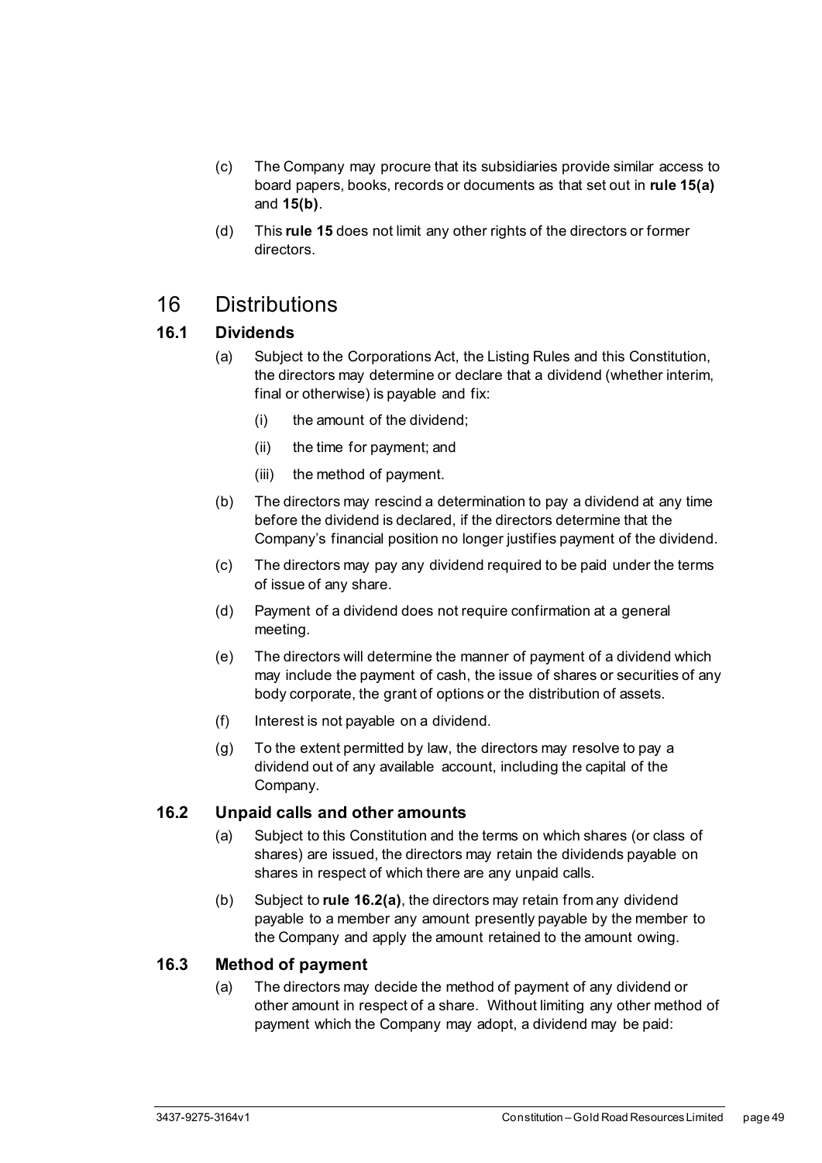- (c) The Company may procure that its subsidiaries provide similar access to board papers, books, records or documents as that set out in **rul[e 15\(a\)](#page-53-5)** and **[15\(b\)](#page-53-6)**.
- (d) This **rule [15](#page-53-3)** does not limit any other rights of the directors or former directors.

## <span id="page-54-0"></span>16 Distributions

#### <span id="page-54-1"></span>**16.1 Dividends**

- (a) Subject to the Corporations Act, the Listing Rules and this Constitution, the directors may determine or declare that a dividend (whether interim, final or otherwise) is payable and fix:
	- (i) the amount of the dividend;
	- (ii) the time for payment; and
	- (iii) the method of payment.
- (b) The directors may rescind a determination to pay a dividend at any time before the dividend is declared, if the directors determine that the Company's financial position no longer justifies payment of the dividend.
- (c) The directors may pay any dividend required to be paid under the terms of issue of any share.
- (d) Payment of a dividend does not require confirmation at a general meeting.
- (e) The directors will determine the manner of payment of a dividend which may include the payment of cash, the issue of shares or securities of any body corporate, the grant of options or the distribution of assets.
- (f) Interest is not payable on a dividend.
- (g) To the extent permitted by law, the directors may resolve to pay a dividend out of any available account, including the capital of the Company.

#### <span id="page-54-4"></span><span id="page-54-2"></span>**16.2 Unpaid calls and other amounts**

- (a) Subject to this Constitution and the terms on which shares (or class of shares) are issued, the directors may retain the dividends payable on shares in respect of which there are any unpaid calls.
- (b) Subject to **rule [16.2\(a\)](#page-54-4)**, the directors may retain from any dividend payable to a member any amount presently payable by the member to the Company and apply the amount retained to the amount owing.

#### <span id="page-54-3"></span>**16.3 Method of payment**

(a) The directors may decide the method of payment of any dividend or other amount in respect of a share. Without limiting any other method of payment which the Company may adopt, a dividend may be paid: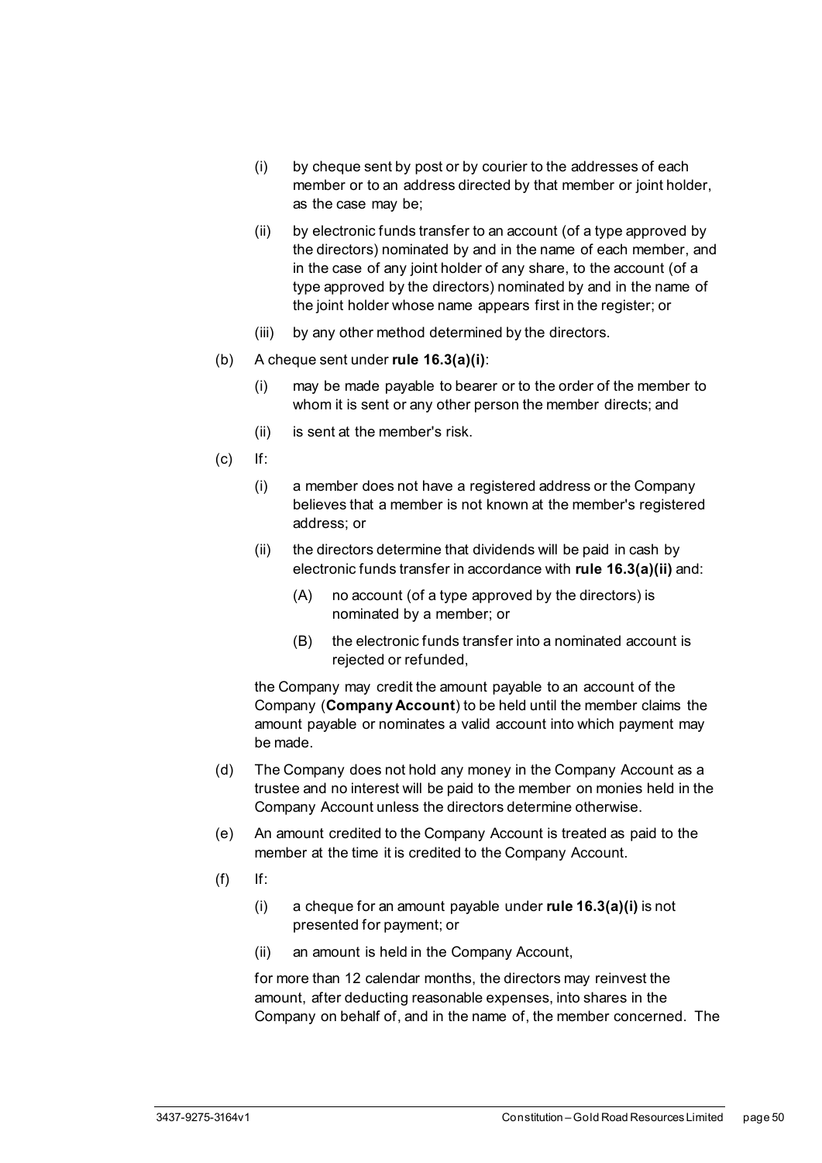- <span id="page-55-0"></span>(i) by cheque sent by post or by courier to the addresses of each member or to an address directed by that member or joint holder, as the case may be;
- <span id="page-55-1"></span>(ii) by electronic funds transfer to an account (of a type approved by the directors) nominated by and in the name of each member, and in the case of any joint holder of any share, to the account (of a type approved by the directors) nominated by and in the name of the joint holder whose name appears first in the register; or
- (iii) by any other method determined by the directors.
- (b) A cheque sent under **rule [16.3\(a\)\(i\)](#page-55-0)**:
	- (i) may be made payable to bearer or to the order of the member to whom it is sent or any other person the member directs; and
	- (ii) is sent at the member's risk.
- (c) If:
	- (i) a member does not have a registered address or the Company believes that a member is not known at the member's registered address; or
	- (ii) the directors determine that dividends will be paid in cash by electronic funds transfer in accordance with **rule [16.3\(a\)\(ii\)](#page-55-1)** and:
		- (A) no account (of a type approved by the directors) is nominated by a member; or
		- (B) the electronic funds transfer into a nominated account is rejected or refunded,

the Company may credit the amount payable to an account of the Company (**Company Account**) to be held until the member claims the amount payable or nominates a valid account into which payment may be made.

- (d) The Company does not hold any money in the Company Account as a trustee and no interest will be paid to the member on monies held in the Company Account unless the directors determine otherwise.
- (e) An amount credited to the Company Account is treated as paid to the member at the time it is credited to the Company Account.
- <span id="page-55-2"></span> $(f)$  If:
	- (i) a cheque for an amount payable under **rule [16.3\(a\)\(i\)](#page-55-0)** is not presented for payment; or
	- (ii) an amount is held in the Company Account,

for more than 12 calendar months, the directors may reinvest the amount, after deducting reasonable expenses, into shares in the Company on behalf of, and in the name of, the member concerned. The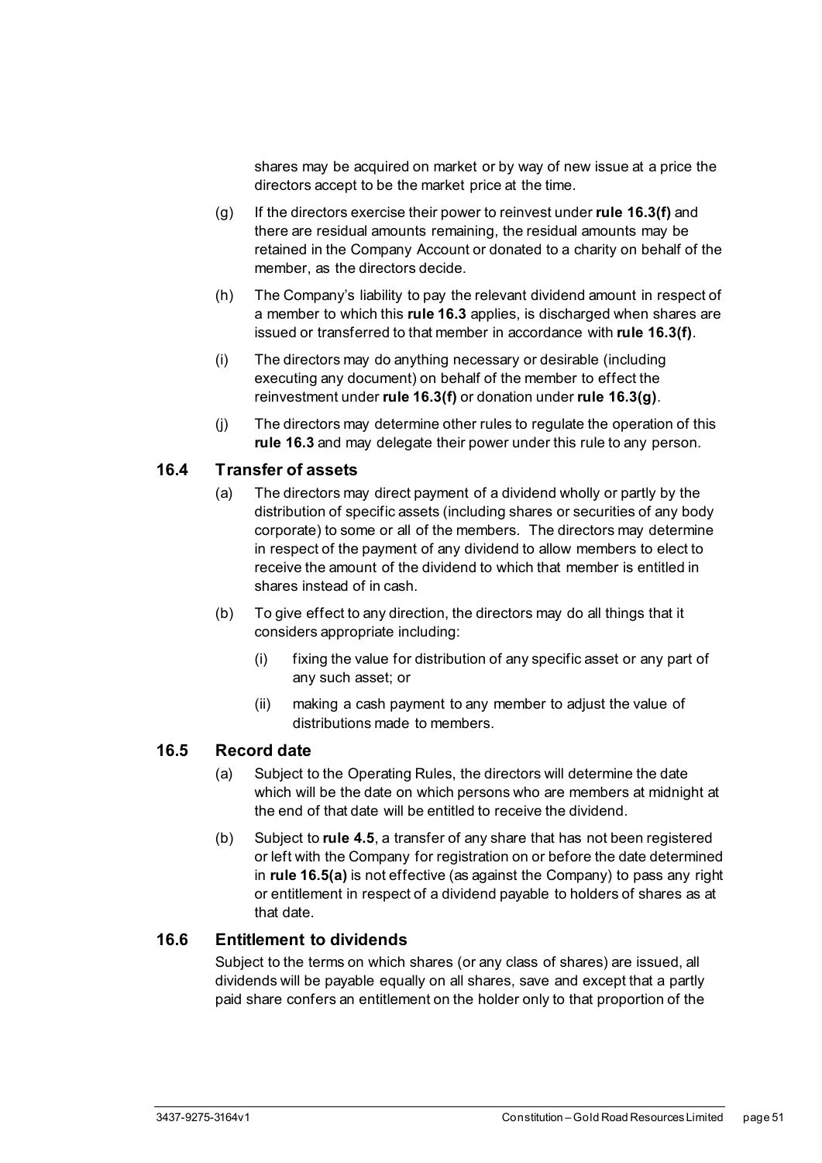shares may be acquired on market or by way of new issue at a price the directors accept to be the market price at the time.

- <span id="page-56-3"></span>(g) If the directors exercise their power to reinvest under **rule [16.3\(f\)](#page-55-2)** and there are residual amounts remaining, the residual amounts may be retained in the Company Account or donated to a charity on behalf of the member, as the directors decide.
- (h) The Company's liability to pay the relevant dividend amount in respect of a member to which this **rule [16.3](#page-54-3)** applies, is discharged when shares are issued or transferred to that member in accordance with **rule [16.3\(f\)](#page-55-2)**.
- (i) The directors may do anything necessary or desirable (including executing any document) on behalf of the member to effect the reinvestment under **rule [16.3\(f\)](#page-55-2)** or donation under **rule [16.3\(g\)](#page-56-3)**.
- (j) The directors may determine other rules to regulate the operation of this **rule [16.3](#page-54-3)** and may delegate their power under this rule to any person.

#### <span id="page-56-0"></span>**16.4 Transfer of assets**

- (a) The directors may direct payment of a dividend wholly or partly by the distribution of specific assets (including shares or securities of any body corporate) to some or all of the members. The directors may determine in respect of the payment of any dividend to allow members to elect to receive the amount of the dividend to which that member is entitled in shares instead of in cash.
- (b) To give effect to any direction, the directors may do all things that it considers appropriate including:
	- (i) fixing the value for distribution of any specific asset or any part of any such asset; or
	- (ii) making a cash payment to any member to adjust the value of distributions made to members.

#### <span id="page-56-4"></span><span id="page-56-1"></span>**16.5 Record date**

- (a) Subject to the Operating Rules, the directors will determine the date which will be the date on which persons who are members at midnight at the end of that date will be entitled to receive the dividend.
- (b) Subject to **rule [4.5](#page-22-1)**, a transfer of any share that has not been registered or left with the Company for registration on or before the date determined in **rul[e 16.5\(a\)](#page-56-4)** is not effective (as against the Company) to pass any right or entitlement in respect of a dividend payable to holders of shares as at that date.

#### <span id="page-56-2"></span>**16.6 Entitlement to dividends**

Subject to the terms on which shares (or any class of shares) are issued, all dividends will be payable equally on all shares, save and except that a partly paid share confers an entitlement on the holder only to that proportion of the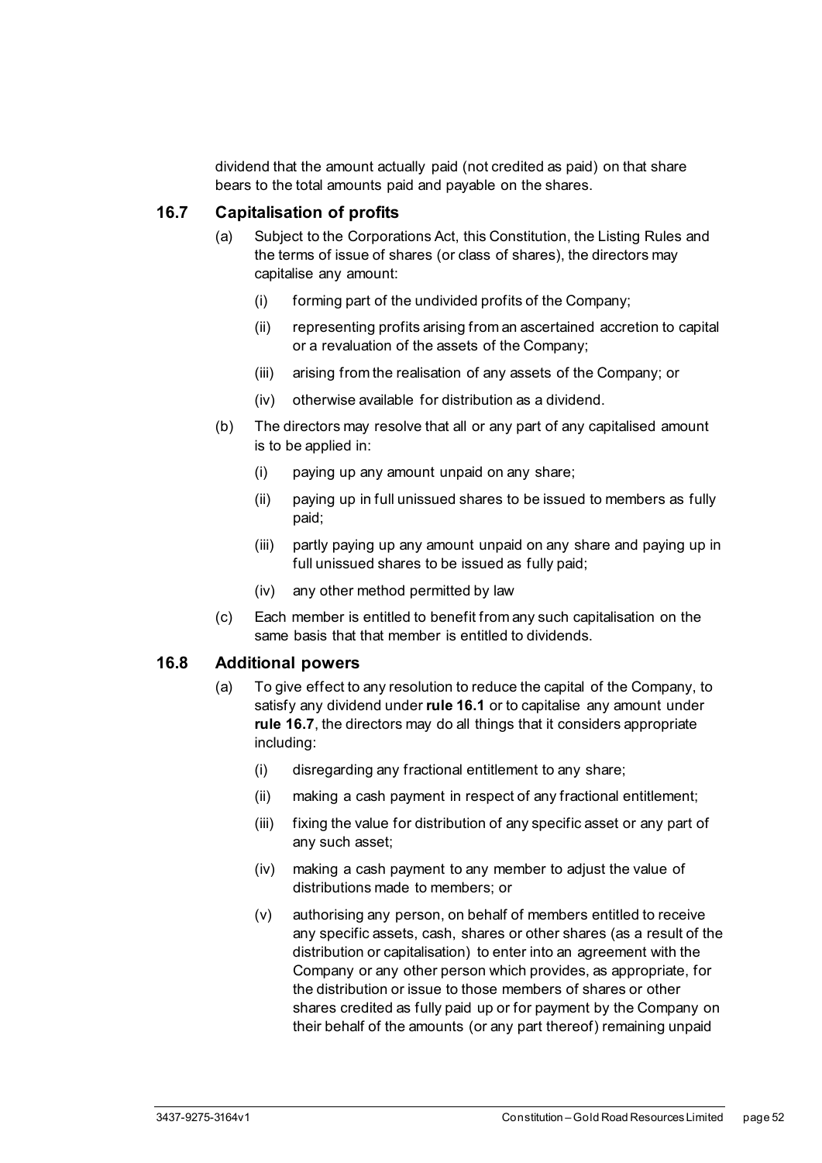dividend that the amount actually paid (not credited as paid) on that share bears to the total amounts paid and payable on the shares.

#### <span id="page-57-0"></span>**16.7 Capitalisation of profits**

- (a) Subject to the Corporations Act, this Constitution, the Listing Rules and the terms of issue of shares (or class of shares), the directors may capitalise any amount:
	- (i) forming part of the undivided profits of the Company;
	- (ii) representing profits arising from an ascertained accretion to capital or a revaluation of the assets of the Company;
	- (iii) arising from the realisation of any assets of the Company; or
	- (iv) otherwise available for distribution as a dividend.
- (b) The directors may resolve that all or any part of any capitalised amount is to be applied in:
	- (i) paying up any amount unpaid on any share;
	- (ii) paying up in full unissued shares to be issued to members as fully paid;
	- (iii) partly paying up any amount unpaid on any share and paying up in full unissued shares to be issued as fully paid;
	- (iv) any other method permitted by law
- (c) Each member is entitled to benefit from any such capitalisation on the same basis that that member is entitled to dividends.

#### <span id="page-57-1"></span>**16.8 Additional powers**

- <span id="page-57-2"></span>(a) To give effect to any resolution to reduce the capital of the Company, to satisfy any dividend under **rule [16.1](#page-54-1)** or to capitalise any amount under **rule [16.7](#page-57-0)**, the directors may do all things that it considers appropriate including:
	- (i) disregarding any fractional entitlement to any share;
	- (ii) making a cash payment in respect of any fractional entitlement;
	- (iii) fixing the value for distribution of any specific asset or any part of any such asset;
	- (iv) making a cash payment to any member to adjust the value of distributions made to members; or
	- (v) authorising any person, on behalf of members entitled to receive any specific assets, cash, shares or other shares (as a result of the distribution or capitalisation) to enter into an agreement with the Company or any other person which provides, as appropriate, for the distribution or issue to those members of shares or other shares credited as fully paid up or for payment by the Company on their behalf of the amounts (or any part thereof) remaining unpaid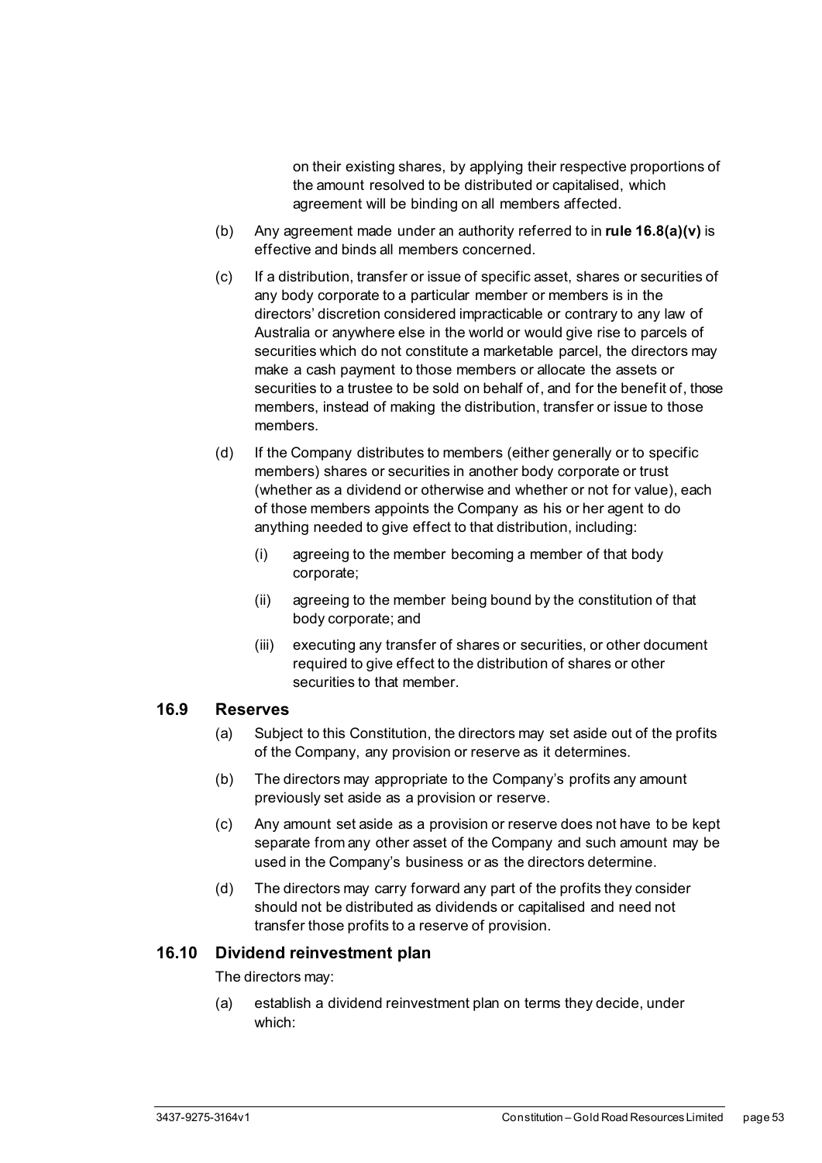on their existing shares, by applying their respective proportions of the amount resolved to be distributed or capitalised, which agreement will be binding on all members affected.

- (b) Any agreement made under an authority referred to in **rule [16.8\(a\)\(v\)](#page-57-2)** is effective and binds all members concerned.
- (c) If a distribution, transfer or issue of specific asset, shares or securities of any body corporate to a particular member or members is in the directors' discretion considered impracticable or contrary to any law of Australia or anywhere else in the world or would give rise to parcels of securities which do not constitute a marketable parcel, the directors may make a cash payment to those members or allocate the assets or securities to a trustee to be sold on behalf of, and for the benefit of, those members, instead of making the distribution, transfer or issue to those members.
- (d) If the Company distributes to members (either generally or to specific members) shares or securities in another body corporate or trust (whether as a dividend or otherwise and whether or not for value), each of those members appoints the Company as his or her agent to do anything needed to give effect to that distribution, including:
	- (i) agreeing to the member becoming a member of that body corporate;
	- (ii) agreeing to the member being bound by the constitution of that body corporate; and
	- (iii) executing any transfer of shares or securities, or other document required to give effect to the distribution of shares or other securities to that member.

#### <span id="page-58-0"></span>**16.9 Reserves**

- (a) Subject to this Constitution, the directors may set aside out of the profits of the Company, any provision or reserve as it determines.
- (b) The directors may appropriate to the Company's profits any amount previously set aside as a provision or reserve.
- (c) Any amount set aside as a provision or reserve does not have to be kept separate from any other asset of the Company and such amount may be used in the Company's business or as the directors determine.
- (d) The directors may carry forward any part of the profits they consider should not be distributed as dividends or capitalised and need not transfer those profits to a reserve of provision.

#### <span id="page-58-1"></span>**16.10 Dividend reinvestment plan**

The directors may:

(a) establish a dividend reinvestment plan on terms they decide, under which: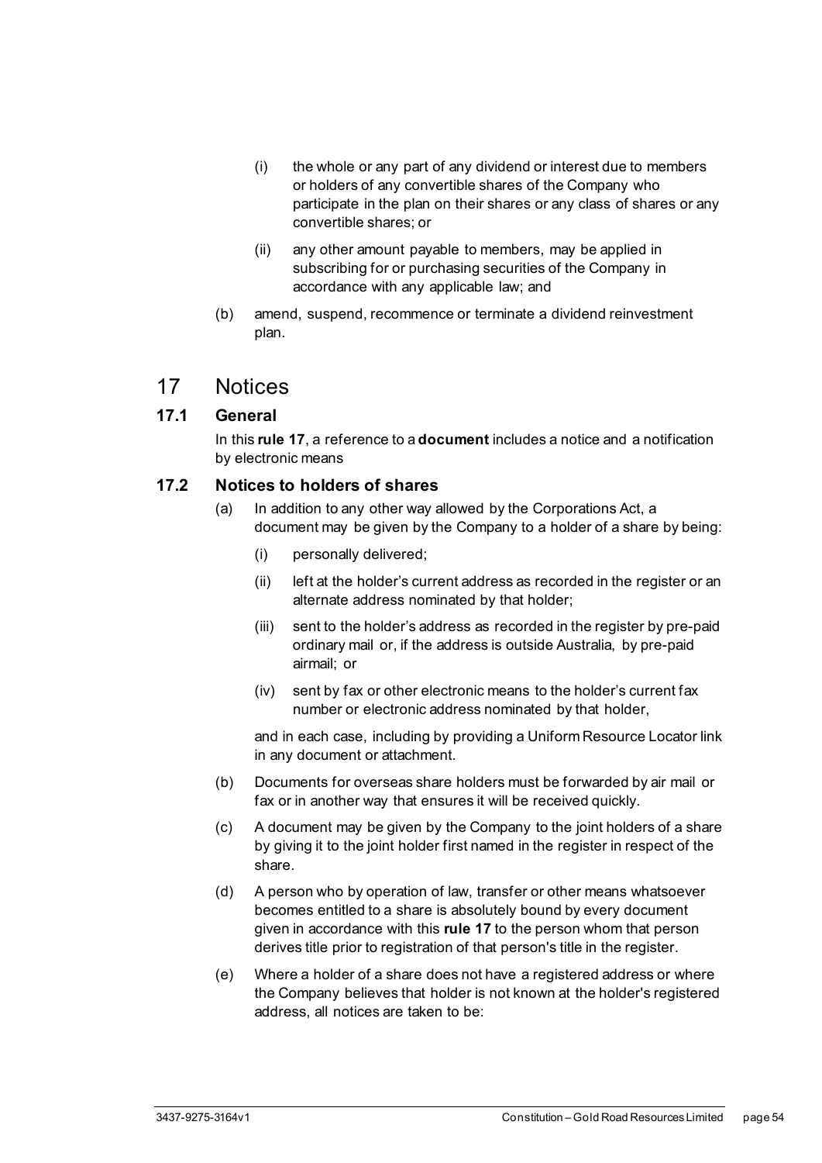- (i) the whole or any part of any dividend or interest due to members or holders of any convertible shares of the Company who participate in the plan on their shares or any class of shares or any convertible shares; or
- (ii) any other amount payable to members, may be applied in subscribing for or purchasing securities of the Company in accordance with any applicable law; and
- (b) amend, suspend, recommence or terminate a dividend reinvestment plan.

## <span id="page-59-0"></span>17 Notices

#### <span id="page-59-1"></span>**17.1 General**

In this **rule [17](#page-59-0)**, a reference to a **document** includes a notice and a notification by electronic means

#### <span id="page-59-2"></span>**17.2 Notices to holders of shares**

- (a) In addition to any other way allowed by the Corporations Act, a document may be given by the Company to a holder of a share by being:
	- (i) personally delivered;
	- (ii) left at the holder's current address as recorded in the register or an alternate address nominated by that holder;
	- (iii) sent to the holder's address as recorded in the register by pre-paid ordinary mail or, if the address is outside Australia, by pre-paid airmail; or
	- (iv) sent by fax or other electronic means to the holder's current fax number or electronic address nominated by that holder,

and in each case, including by providing a Uniform Resource Locator link in any document or attachment.

- (b) Documents for overseas share holders must be forwarded by air mail or fax or in another way that ensures it will be received quickly.
- (c) A document may be given by the Company to the joint holders of a share by giving it to the joint holder first named in the register in respect of the share.
- (d) A person who by operation of law, transfer or other means whatsoever becomes entitled to a share is absolutely bound by every document given in accordance with this **rul[e 17](#page-59-0)** to the person whom that person derives title prior to registration of that person's title in the register.
- (e) Where a holder of a share does not have a registered address or where the Company believes that holder is not known at the holder's registered address, all notices are taken to be: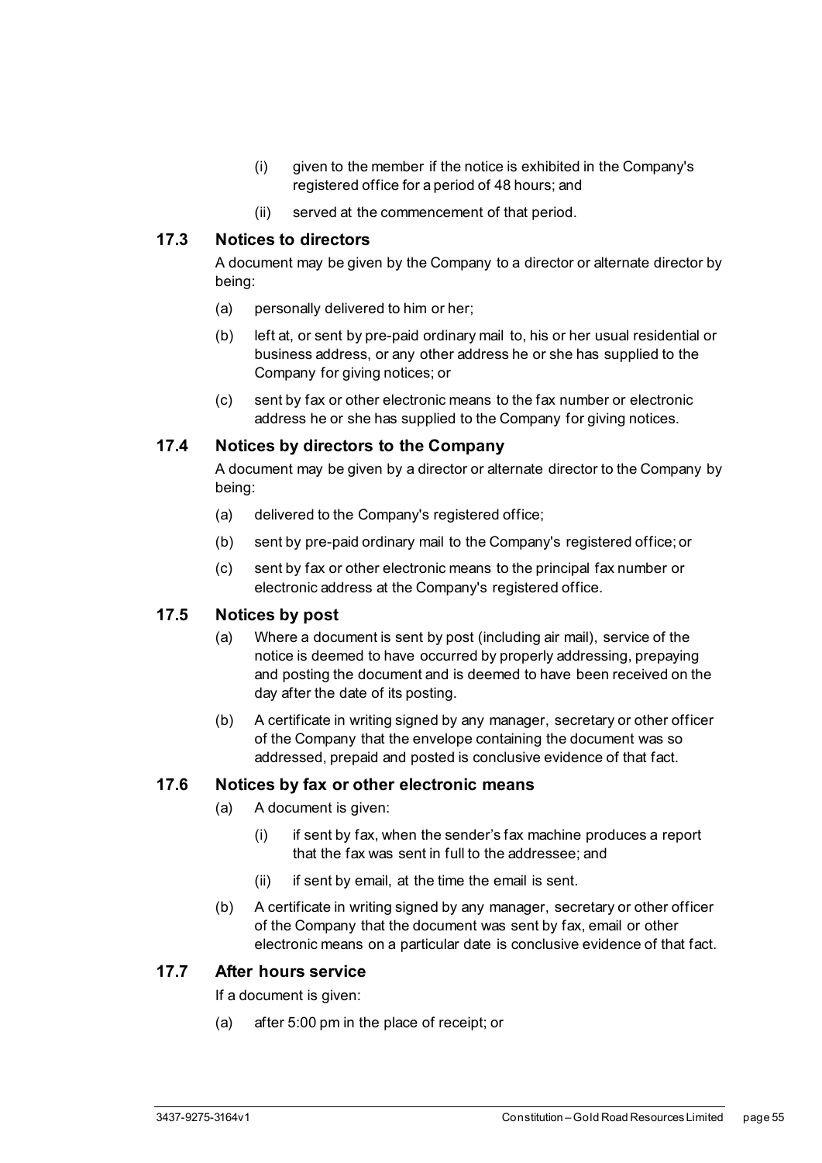- (i) given to the member if the notice is exhibited in the Company's registered office for a period of 48 hours; and
- (ii) served at the commencement of that period.

#### <span id="page-60-0"></span>**17.3 Notices to directors**

A document may be given by the Company to a director or alternate director by being:

- (a) personally delivered to him or her;
- (b) left at, or sent by pre-paid ordinary mail to, his or her usual residential or business address, or any other address he or she has supplied to the Company for giving notices; or
- (c) sent by fax or other electronic means to the fax number or electronic address he or she has supplied to the Company for giving notices.

#### <span id="page-60-1"></span>**17.4 Notices by directors to the Company**

A document may be given by a director or alternate director to the Company by being:

- (a) delivered to the Company's registered office;
- (b) sent by pre-paid ordinary mail to the Company's registered office; or
- (c) sent by fax or other electronic means to the principal fax number or electronic address at the Company's registered office.

#### <span id="page-60-2"></span>**17.5 Notices by post**

- (a) Where a document is sent by post (including air mail), service of the notice is deemed to have occurred by properly addressing, prepaying and posting the document and is deemed to have been received on the day after the date of its posting.
- (b) A certificate in writing signed by any manager, secretary or other officer of the Company that the envelope containing the document was so addressed, prepaid and posted is conclusive evidence of that fact.

#### <span id="page-60-3"></span>**17.6 Notices by fax or other electronic means**

- (a) A document is given:
	- (i) if sent by fax, when the sender's fax machine produces a report that the fax was sent in full to the addressee; and
	- (ii) if sent by email, at the time the email is sent.
- (b) A certificate in writing signed by any manager, secretary or other officer of the Company that the document was sent by fax, email or other electronic means on a particular date is conclusive evidence of that fact.

#### <span id="page-60-4"></span>**17.7 After hours service**

If a document is given:

(a) after 5:00 pm in the place of receipt; or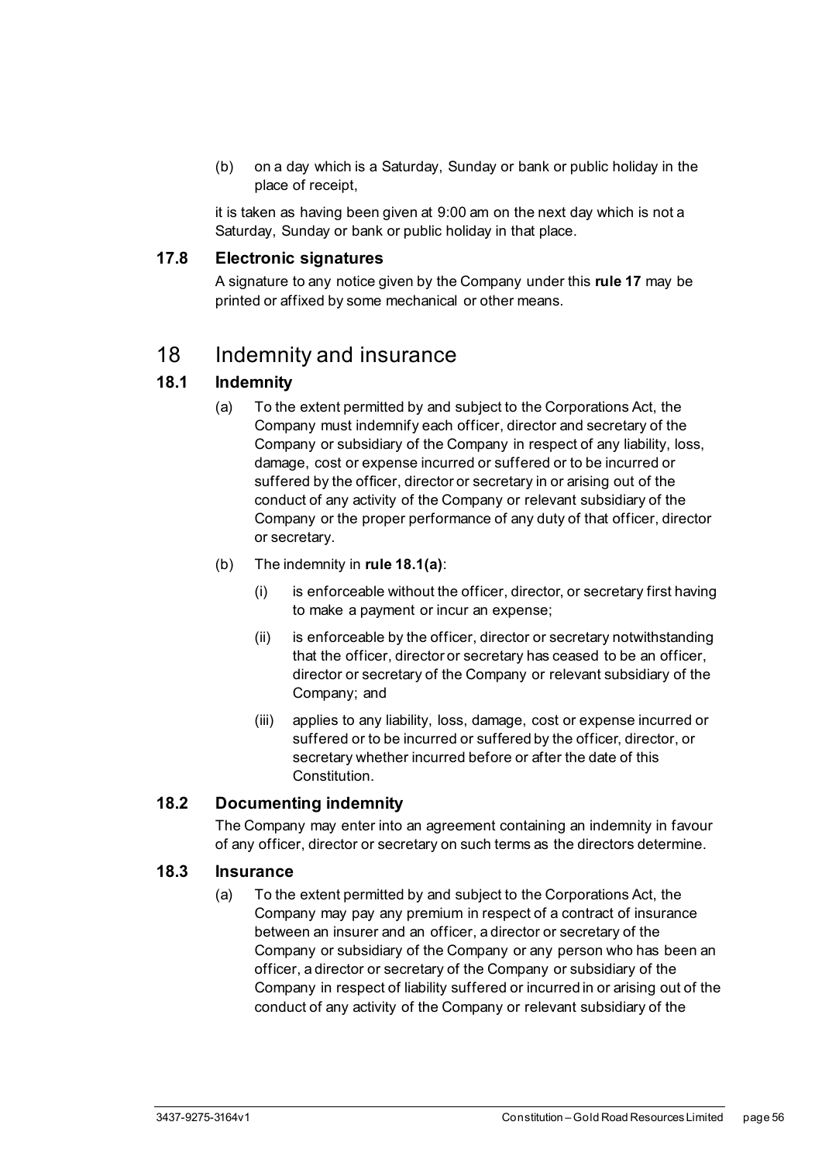(b) on a day which is a Saturday, Sunday or bank or public holiday in the place of receipt,

it is taken as having been given at 9:00 am on the next day which is not a Saturday, Sunday or bank or public holiday in that place.

#### <span id="page-61-0"></span>**17.8 Electronic signatures**

A signature to any notice given by the Company under this **rule 17** may be printed or affixed by some mechanical or other means.

## <span id="page-61-1"></span>18 Indemnity and insurance

#### <span id="page-61-2"></span>**18.1 Indemnity**

- (a) To the extent permitted by and subject to the Corporations Act, the Company must indemnify each officer, director and secretary of the Company or subsidiary of the Company in respect of any liability, loss, damage, cost or expense incurred or suffered or to be incurred or suffered by the officer, director or secretary in or arising out of the conduct of any activity of the Company or relevant subsidiary of the Company or the proper performance of any duty of that officer, director or secretary.
- (b) The indemnity in **rule 18.1(a)**:
	- (i) is enforceable without the officer, director, or secretary first having to make a payment or incur an expense;
	- (ii) is enforceable by the officer, director or secretary notwithstanding that the officer, director or secretary has ceased to be an officer, director or secretary of the Company or relevant subsidiary of the Company; and
	- (iii) applies to any liability, loss, damage, cost or expense incurred or suffered or to be incurred or suffered by the officer, director, or secretary whether incurred before or after the date of this Constitution.

#### <span id="page-61-3"></span>**18.2 Documenting indemnity**

The Company may enter into an agreement containing an indemnity in favour of any officer, director or secretary on such terms as the directors determine.

#### <span id="page-61-4"></span>**18.3 Insurance**

(a) To the extent permitted by and subject to the Corporations Act, the Company may pay any premium in respect of a contract of insurance between an insurer and an officer, a director or secretary of the Company or subsidiary of the Company or any person who has been an officer, a director or secretary of the Company or subsidiary of the Company in respect of liability suffered or incurred in or arising out of the conduct of any activity of the Company or relevant subsidiary of the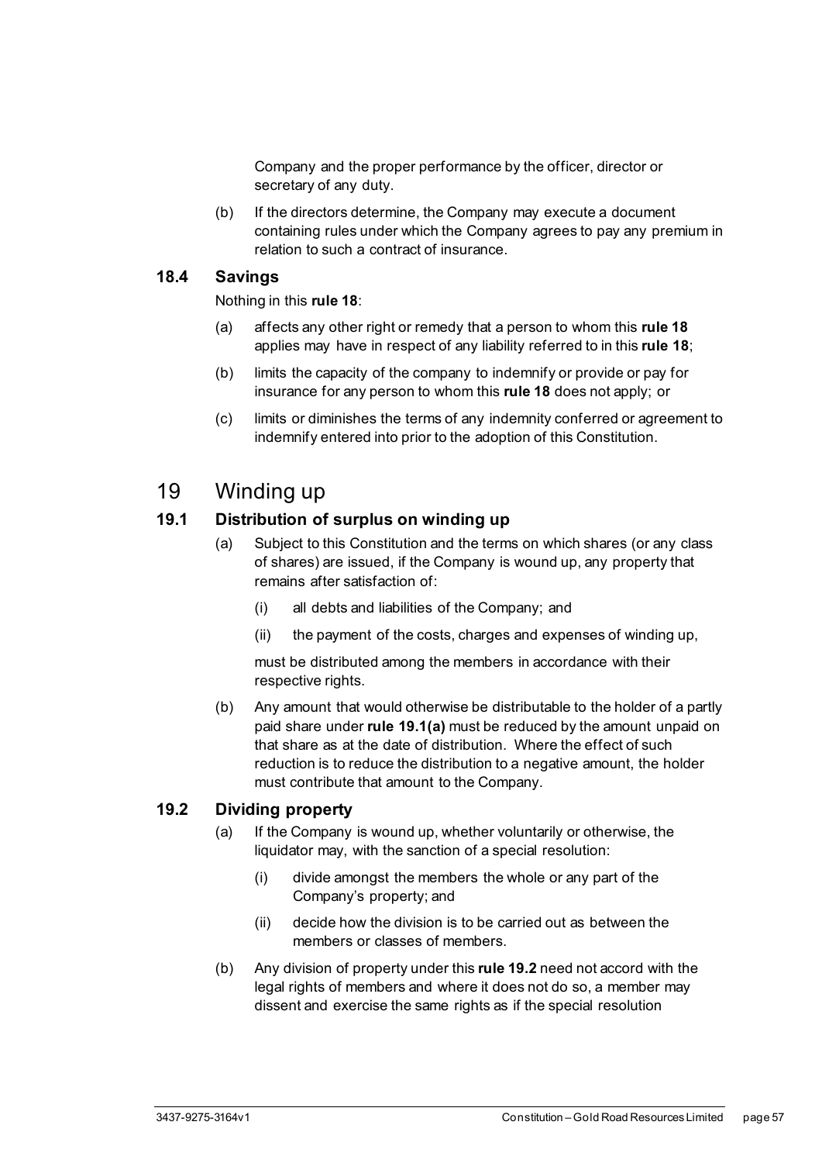Company and the proper performance by the officer, director or secretary of any duty.

(b) If the directors determine, the Company may execute a document containing rules under which the Company agrees to pay any premium in relation to such a contract of insurance.

#### <span id="page-62-0"></span>**18.4 Savings**

Nothing in this **rule 18**:

- (a) affects any other right or remedy that a person to whom this **rule 18** applies may have in respect of any liability referred to in this **rule 18**;
- (b) limits the capacity of the company to indemnify or provide or pay for insurance for any person to whom this **rule 18** does not apply; or
- (c) limits or diminishes the terms of any indemnity conferred or agreement to indemnify entered into prior to the adoption of this Constitution.

## <span id="page-62-1"></span>19 Winding up

#### <span id="page-62-2"></span>**19.1 Distribution of surplus on winding up**

- (a) Subject to this Constitution and the terms on which shares (or any class of shares) are issued, if the Company is wound up, any property that remains after satisfaction of:
	- (i) all debts and liabilities of the Company; and
	- (ii) the payment of the costs, charges and expenses of winding up,

must be distributed among the members in accordance with their respective rights.

(b) Any amount that would otherwise be distributable to the holder of a partly paid share under **rule 19.1(a)** must be reduced by the amount unpaid on that share as at the date of distribution. Where the effect of such reduction is to reduce the distribution to a negative amount, the holder must contribute that amount to the Company.

#### <span id="page-62-3"></span>**19.2 Dividing property**

- (a) If the Company is wound up, whether voluntarily or otherwise, the liquidator may, with the sanction of a special resolution:
	- (i) divide amongst the members the whole or any part of the Company's property; and
	- (ii) decide how the division is to be carried out as between the members or classes of members.
- (b) Any division of property under this **rule 19.2** need not accord with the legal rights of members and where it does not do so, a member may dissent and exercise the same rights as if the special resolution